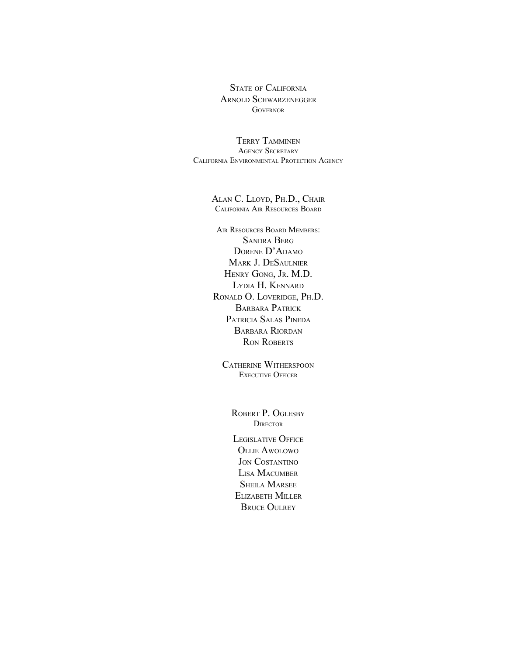STATE OF CALIFORNIA ARNOLD SCHWARZENEGGER **GOVERNOR** 

TERRY TAMMINEN AGENCY SECRETARY CALIFORNIA ENVIRONMENTAL PROTECTION AGENCY

#### ALAN C. LLOYD, PH.D., CHAIR CALIFORNIA AIR RESOURCES BOARD

AIR RESOURCES BOARD MEMBERS: SANDRA BERG DORENE D'ADAMO MARK J. DESAULNIER HENRY GONG, JR. M.D. LYDIA H. KENNARD RONALD O. LOVERIDGE, PH.D. BARBARA PATRICK PATRICIA SALAS PINEDA BARBARA RIORDAN RON ROBERTS

CATHERINE WITHERSPOON EXECUTIVE OFFICER

> ROBERT P. OGLESBY **DIRECTOR**

LEGISLATIVE OFFICE OLLIE AWOLOWO JON COSTANTINO LISA MACUMBER **SHEILA MARSEE** ELIZABETH MILLER **BRUCE OULREY**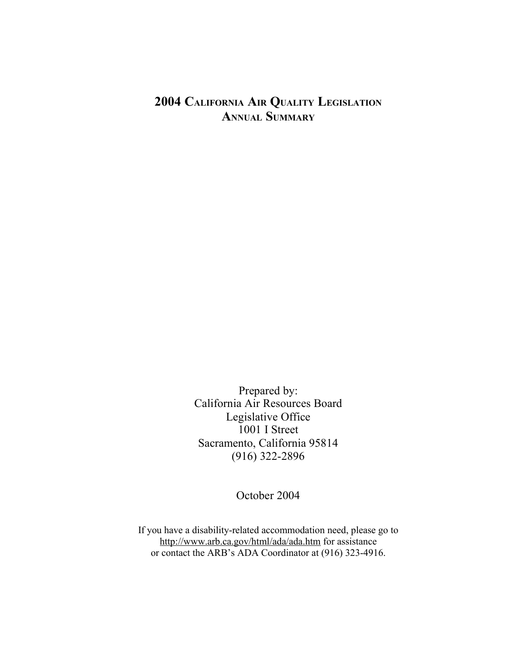## **2004 CALIFORNIA AIR QUALITY LEGISLATION ANNUAL SUMMARY**

Prepared by: California Air Resources Board Legislative Office 1001 I Street Sacramento, California 95814 (916) 322-2896

October 2004

If you have a disability-related accommodation need, please go to http://www.arb.ca.gov/html/ada/ada.htm for assistance or contact the ARB's ADA Coordinator at (916) 323-4916.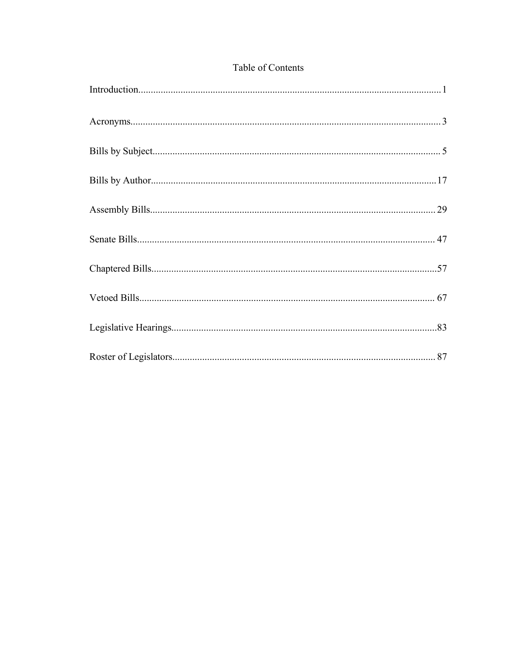#### Table of Contents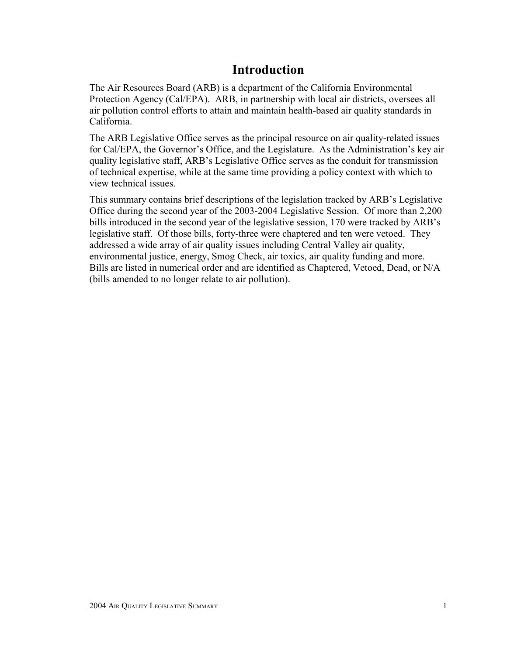# **Introduction**

The Air Resources Board (ARB) is a department of the California Environmental Protection Agency (Cal/EPA). ARB, in partnership with local air districts, oversees all air pollution control efforts to attain and maintain health-based air quality standards in California.

The ARB Legislative Office serves as the principal resource on air quality-related issues for Cal/EPA, the Governor's Office, and the Legislature. As the Administration's key air quality legislative staff, ARB's Legislative Office serves as the conduit for transmission of technical expertise, while at the same time providing a policy context with which to view technical issues.

This summary contains brief descriptions of the legislation tracked by ARB's Legislative Office during the second year of the 2003-2004 Legislative Session. Of more than 2,200 bills introduced in the second year of the legislative session, 170 were tracked by ARB's legislative staff. Of those bills, forty-three were chaptered and ten were vetoed. They addressed a wide array of air quality issues including Central Valley air quality, environmental justice, energy, Smog Check, air toxics, air quality funding and more. Bills are listed in numerical order and are identified as Chaptered, Vetoed, Dead, or N/A (bills amended to no longer relate to air pollution).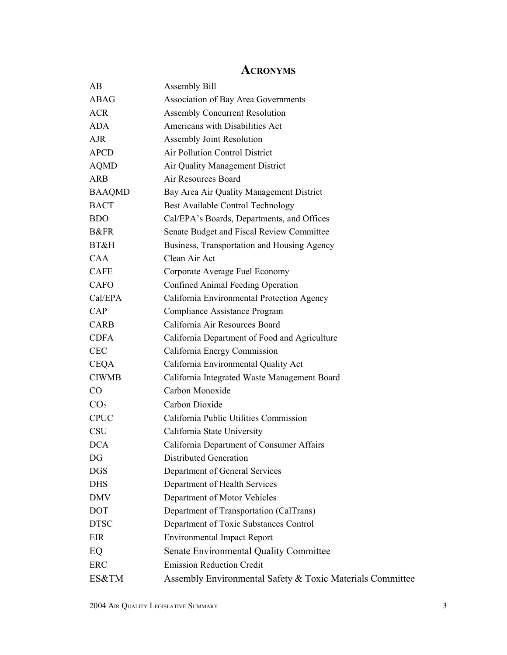### **ACRONYMS**

| AВ              | <b>Assembly Bill</b>                                      |
|-----------------|-----------------------------------------------------------|
| <b>ABAG</b>     | Association of Bay Area Governments                       |
| <b>ACR</b>      | <b>Assembly Concurrent Resolution</b>                     |
| <b>ADA</b>      | Americans with Disabilities Act                           |
| <b>AJR</b>      | Assembly Joint Resolution                                 |
| <b>APCD</b>     | Air Pollution Control District                            |
| <b>AQMD</b>     | Air Quality Management District                           |
| <b>ARB</b>      | Air Resources Board                                       |
| <b>BAAQMD</b>   | Bay Area Air Quality Management District                  |
| <b>BACT</b>     | Best Available Control Technology                         |
| <b>BDO</b>      | Cal/EPA's Boards, Departments, and Offices                |
| <b>B&amp;FR</b> | Senate Budget and Fiscal Review Committee                 |
| BT&H            | Business, Transportation and Housing Agency               |
| CAA             | Clean Air Act                                             |
| <b>CAFE</b>     | Corporate Average Fuel Economy                            |
| <b>CAFO</b>     | Confined Animal Feeding Operation                         |
| Cal/EPA         | California Environmental Protection Agency                |
| CAP             | Compliance Assistance Program                             |
| <b>CARB</b>     | California Air Resources Board                            |
| <b>CDFA</b>     | California Department of Food and Agriculture             |
| <b>CEC</b>      | California Energy Commission                              |
| <b>CEQA</b>     | California Environmental Quality Act                      |
| <b>CIWMB</b>    | California Integrated Waste Management Board              |
| $\rm CO$        | Carbon Monoxide                                           |
| CO <sub>2</sub> | Carbon Dioxide                                            |
| <b>CPUC</b>     | California Public Utilities Commission                    |
| <b>CSU</b>      | California State University                               |
| <b>DCA</b>      | California Department of Consumer Affairs                 |
| DG              | <b>Distributed Generation</b>                             |
| <b>DGS</b>      | Department of General Services                            |
| <b>DHS</b>      | Department of Health Services                             |
| <b>DMV</b>      | Department of Motor Vehicles                              |
| <b>DOT</b>      | Department of Transportation (CalTrans)                   |
| <b>DTSC</b>     | Department of Toxic Substances Control                    |
| EIR             | <b>Environmental Impact Report</b>                        |
| EQ              | <b>Senate Environmental Quality Committee</b>             |
| <b>ERC</b>      | <b>Emission Reduction Credit</b>                          |
| ES&TM           | Assembly Environmental Safety & Toxic Materials Committee |
|                 |                                                           |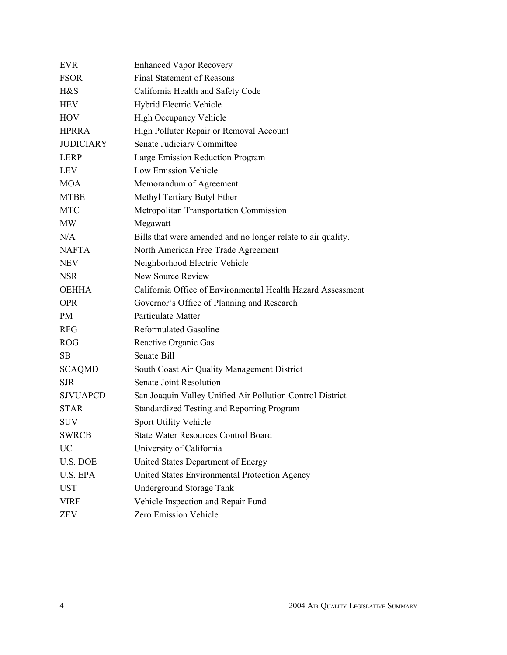| <b>Enhanced Vapor Recovery</b>                               |
|--------------------------------------------------------------|
| <b>Final Statement of Reasons</b>                            |
| California Health and Safety Code                            |
| Hybrid Electric Vehicle                                      |
| High Occupancy Vehicle                                       |
| High Polluter Repair or Removal Account                      |
| Senate Judiciary Committee                                   |
| Large Emission Reduction Program                             |
| <b>Low Emission Vehicle</b>                                  |
| Memorandum of Agreement                                      |
| Methyl Tertiary Butyl Ether                                  |
| Metropolitan Transportation Commission                       |
| Megawatt                                                     |
| Bills that were amended and no longer relate to air quality. |
| North American Free Trade Agreement                          |
| Neighborhood Electric Vehicle                                |
| New Source Review                                            |
| California Office of Environmental Health Hazard Assessment  |
| Governor's Office of Planning and Research                   |
| Particulate Matter                                           |
| <b>Reformulated Gasoline</b>                                 |
| Reactive Organic Gas                                         |
| Senate Bill                                                  |
| South Coast Air Quality Management District                  |
| Senate Joint Resolution                                      |
| San Joaquin Valley Unified Air Pollution Control District    |
| Standardized Testing and Reporting Program                   |
| Sport Utility Vehicle                                        |
| <b>State Water Resources Control Board</b>                   |
| University of California                                     |
| United States Department of Energy                           |
| United States Environmental Protection Agency                |
| <b>Underground Storage Tank</b>                              |
| Vehicle Inspection and Repair Fund                           |
| Zero Emission Vehicle                                        |
|                                                              |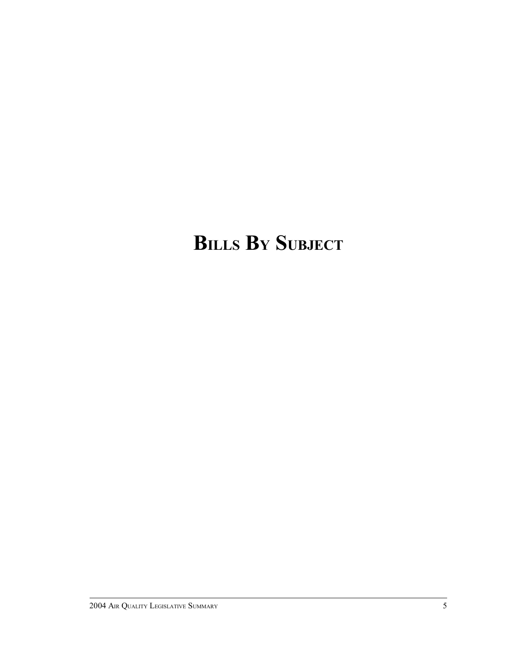# **BILLS B<sup>Y</sup> SUBJECT**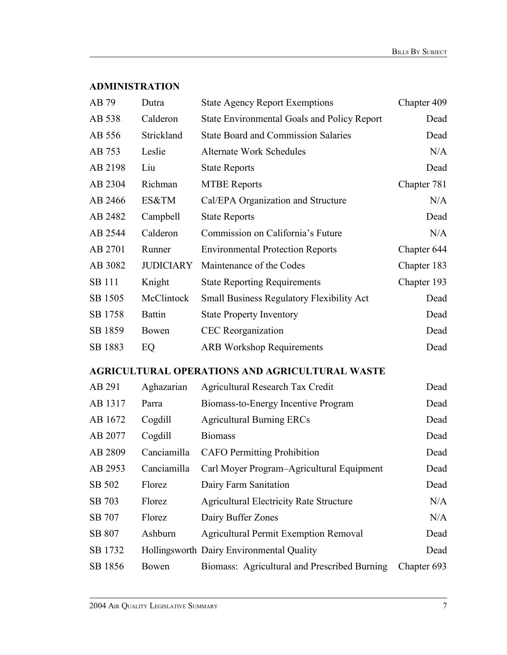#### **ADMINISTRATION**

| AB 79         | Dutra            | <b>State Agency Report Exemptions</b>                 | Chapter 409 |
|---------------|------------------|-------------------------------------------------------|-------------|
| AB 538        | Calderon         | <b>State Environmental Goals and Policy Report</b>    | Dead        |
| AB 556        | Strickland       | <b>State Board and Commission Salaries</b>            | Dead        |
| AB 753        | Leslie           | <b>Alternate Work Schedules</b>                       | N/A         |
| AB 2198       | Liu              | <b>State Reports</b>                                  | Dead        |
| AB 2304       | Richman          | <b>MTBE Reports</b>                                   | Chapter 781 |
| AB 2466       | ES&TM            | Cal/EPA Organization and Structure                    | N/A         |
| AB 2482       | Campbell         | <b>State Reports</b>                                  | Dead        |
| AB 2544       | Calderon         | Commission on California's Future                     | N/A         |
| AB 2701       | Runner           | <b>Environmental Protection Reports</b>               | Chapter 644 |
| AB 3082       | <b>JUDICIARY</b> | Maintenance of the Codes                              | Chapter 183 |
| <b>SB 111</b> | Knight           | <b>State Reporting Requirements</b>                   | Chapter 193 |
| SB 1505       | McClintock       | <b>Small Business Regulatory Flexibility Act</b>      | Dead        |
| SB 1758       | <b>Battin</b>    | <b>State Property Inventory</b>                       | Dead        |
| SB 1859       | Bowen            | <b>CEC</b> Reorganization                             | Dead        |
| SB 1883       | EQ               | <b>ARB Workshop Requirements</b>                      | Dead        |
|               |                  | <b>AGRICULTURAL OPERATIONS AND AGRICULTURAL WASTE</b> |             |
| AB 291        | Aghazarian       | Agricultural Research Tax Credit                      | Dead        |
| AB 1317       | Parra            | Biomass-to-Energy Incentive Program                   | Dead        |
| AB 1672       | Cogdill          | <b>Agricultural Burning ERCs</b>                      | Dead        |
| AB 2077       | Cogdill          | <b>Biomass</b>                                        | Dead        |
| AB 2809       | Canciamilla      | <b>CAFO</b> Permitting Prohibition                    | Dead        |
| AB 2953       |                  | Canciamilla Carl Moyer Program-Agricultural Equipment | Dead        |
| SB 502        | Florez           | Dairy Farm Sanitation                                 | Dead        |
| SB 703        | Florez           | <b>Agricultural Electricity Rate Structure</b>        | N/A         |
| SB 707        | Florez           | Dairy Buffer Zones                                    | N/A         |
| SB 807        | Ashburn          | <b>Agricultural Permit Exemption Removal</b>          | Dead        |
| SB 1732       |                  | Hollingsworth Dairy Environmental Quality             | Dead        |
| SB 1856       | Bowen            | Biomass: Agricultural and Prescribed Burning          | Chapter 693 |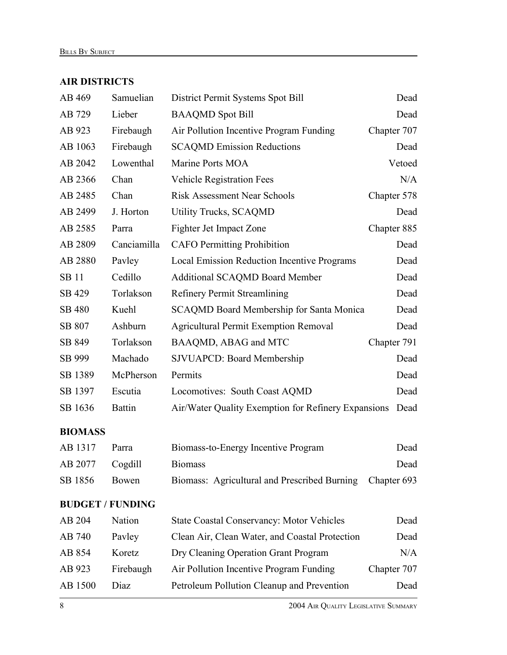#### **AIR DISTRICTS**

| AB 469                  | Samuelian     | District Permit Systems Spot Bill                   |             |
|-------------------------|---------------|-----------------------------------------------------|-------------|
| AB 729                  | Lieber        | <b>BAAQMD</b> Spot Bill                             | Dead        |
| AB 923                  | Firebaugh     | Air Pollution Incentive Program Funding             | Chapter 707 |
| AB 1063                 | Firebaugh     | <b>SCAQMD Emission Reductions</b>                   | Dead        |
| AB 2042                 | Lowenthal     | Marine Ports MOA                                    | Vetoed      |
| AB 2366                 | Chan          | <b>Vehicle Registration Fees</b>                    | N/A         |
| AB 2485                 | Chan          | <b>Risk Assessment Near Schools</b>                 | Chapter 578 |
| AB 2499                 | J. Horton     | <b>Utility Trucks, SCAQMD</b>                       | Dead        |
| AB 2585                 | Parra         | Fighter Jet Impact Zone                             | Chapter 885 |
| AB 2809                 | Canciamilla   | <b>CAFO</b> Permitting Prohibition                  | Dead        |
| AB 2880                 | Pavley        | <b>Local Emission Reduction Incentive Programs</b>  | Dead        |
| <b>SB11</b>             | Cedillo       | <b>Additional SCAQMD Board Member</b>               | Dead        |
| SB 429                  | Torlakson     | <b>Refinery Permit Streamlining</b>                 | Dead        |
| <b>SB 480</b>           | Kuehl         | <b>SCAQMD Board Membership for Santa Monica</b>     | Dead        |
| SB 807                  | Ashburn       | <b>Agricultural Permit Exemption Removal</b>        | Dead        |
| SB 849                  | Torlakson     | BAAQMD, ABAG and MTC                                | Chapter 791 |
| SB 999                  | Machado       | <b>SJVUAPCD: Board Membership</b>                   | Dead        |
| SB 1389                 | McPherson     | Permits                                             | Dead        |
| SB 1397                 | Escutia       | Locomotives: South Coast AQMD                       | Dead        |
| SB 1636                 | <b>Battin</b> | Air/Water Quality Exemption for Refinery Expansions | Dead        |
| <b>BIOMASS</b>          |               |                                                     |             |
| AB 1317                 | Parra         | Biomass-to-Energy Incentive Program                 | Dead        |
| AB 2077                 | Cogdill       | <b>Biomass</b>                                      | Dead        |
| SB 1856                 | Bowen         | Biomass: Agricultural and Prescribed Burning        | Chapter 693 |
| <b>BUDGET / FUNDING</b> |               |                                                     |             |
| AB 204                  | Nation        | <b>State Coastal Conservancy: Motor Vehicles</b>    | Dead        |
| AB 740                  | Pavley        | Clean Air, Clean Water, and Coastal Protection      | Dead        |
| AB 854                  | Koretz        | Dry Cleaning Operation Grant Program                | N/A         |
| AB 923                  | Firebaugh     | Air Pollution Incentive Program Funding             | Chapter 707 |
| AB 1500                 | Diaz          | Petroleum Pollution Cleanup and Prevention          | Dead        |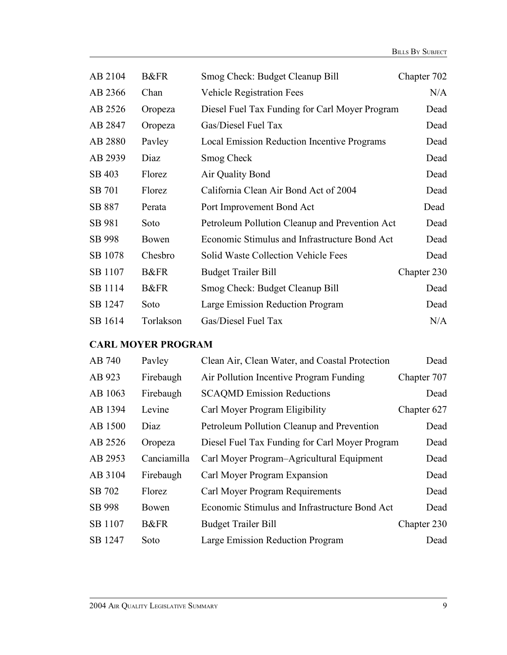| AB 2104 | <b>B&amp;FR</b> | Smog Check: Budget Cleanup Bill                    | Chapter 702 |
|---------|-----------------|----------------------------------------------------|-------------|
| AB 2366 | Chan            | <b>Vehicle Registration Fees</b>                   | N/A         |
| AB 2526 | Oropeza         | Diesel Fuel Tax Funding for Carl Moyer Program     | Dead        |
| AB 2847 | Oropeza         | Gas/Diesel Fuel Tax                                | Dead        |
| AB 2880 | Payley          | <b>Local Emission Reduction Incentive Programs</b> | Dead        |
| AB 2939 | Diaz            | Smog Check                                         | Dead        |
| SB 403  | Florez          | Air Quality Bond                                   | Dead        |
| SB 701  | Florez          | California Clean Air Bond Act of 2004              | Dead        |
| SB 887  | Perata          | Port Improvement Bond Act                          | Dead        |
| SB 981  | Soto            | Petroleum Pollution Cleanup and Prevention Act     | Dead        |
| SB 998  | Bowen           | Economic Stimulus and Infrastructure Bond Act      | Dead        |
| SB 1078 | Chesbro         | Solid Waste Collection Vehicle Fees                | Dead        |
| SB 1107 | <b>B&amp;FR</b> | <b>Budget Trailer Bill</b>                         | Chapter 230 |
| SB 1114 | <b>B&amp;FR</b> | Smog Check: Budget Cleanup Bill                    | Dead        |
| SB 1247 | Soto            | Large Emission Reduction Program                   | Dead        |
| SB 1614 | Torlakson       | Gas/Diesel Fuel Tax                                | N/A         |

#### **CARL MOYER PROGRAM**

| AB 740  | Payley          | Clean Air, Clean Water, and Coastal Protection | Dead        |
|---------|-----------------|------------------------------------------------|-------------|
| AB 923  | Firebaugh       | Air Pollution Incentive Program Funding        | Chapter 707 |
| AB 1063 | Firebaugh       | <b>SCAQMD Emission Reductions</b>              | Dead        |
| AB 1394 | Levine          | Carl Moyer Program Eligibility                 | Chapter 627 |
| AB 1500 | Diaz            | Petroleum Pollution Cleanup and Prevention     | Dead        |
| AB 2526 | Oropeza         | Diesel Fuel Tax Funding for Carl Moyer Program | Dead        |
| AB 2953 | Canciamilla     | Carl Moyer Program–Agricultural Equipment      | Dead        |
| AB 3104 | Firebaugh       | Carl Moyer Program Expansion                   | Dead        |
| SB 702  | Florez          | Carl Moyer Program Requirements                | Dead        |
| SB 998  | Bowen           | Economic Stimulus and Infrastructure Bond Act  | Dead        |
| SB 1107 | <b>B&amp;FR</b> | <b>Budget Trailer Bill</b>                     | Chapter 230 |
| SB 1247 | Soto            | Large Emission Reduction Program               | Dead        |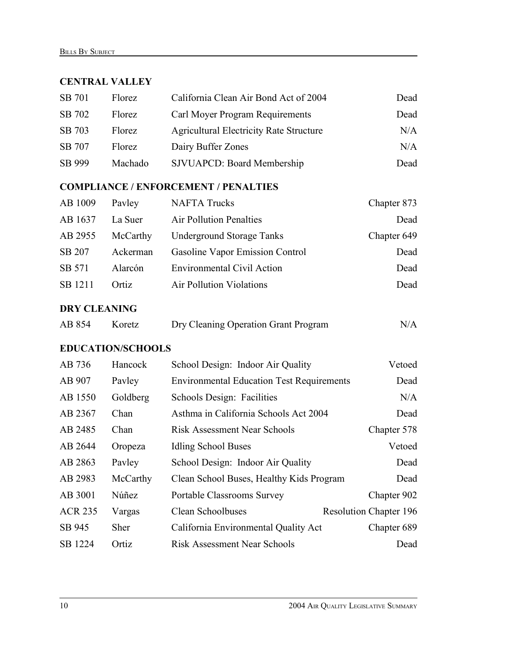#### **CENTRAL VALLEY**

| SB 701 | Florez  | California Clean Air Bond Act of 2004          | Dead |
|--------|---------|------------------------------------------------|------|
| SB 702 | Florez  | Carl Moyer Program Requirements                | Dead |
| SB 703 | Florez  | <b>Agricultural Electricity Rate Structure</b> | N/A  |
| SB 707 | Florez  | Dairy Buffer Zones                             | N/A  |
| SB 999 | Machado | <b>SJVUAPCD: Board Membership</b>              | Dead |

#### **COMPLIANCE / ENFORCEMENT / PENALTIES**

| AB 1009 | Payley   | <b>NAFTA Trucks</b>               | Chapter 873 |
|---------|----------|-----------------------------------|-------------|
| AB 1637 | La Suer  | <b>Air Pollution Penalties</b>    | Dead        |
| AB 2955 | McCarthy | <b>Underground Storage Tanks</b>  | Chapter 649 |
| SB 207  | Ackerman | Gasoline Vapor Emission Control   | Dead        |
| SB 571  | Alarcón  | <b>Environmental Civil Action</b> | Dead        |
| SB 1211 | Ortiz    | <b>Air Pollution Violations</b>   | Dead        |
|         |          |                                   |             |

#### **DRY CLEANING**

| AB 854 | Koretz | Dry Cleaning Operation Grant Program | N/A |
|--------|--------|--------------------------------------|-----|
|--------|--------|--------------------------------------|-----|

#### **EDUCATION/SCHOOLS**

| AB 736         | Hancock     | School Design: Indoor Air Quality                | Vetoed                        |
|----------------|-------------|--------------------------------------------------|-------------------------------|
| AB 907         | Payley      | <b>Environmental Education Test Requirements</b> | Dead                          |
| AB 1550        | Goldberg    | Schools Design: Facilities                       | N/A                           |
| AB 2367        | Chan        | Asthma in California Schools Act 2004            | Dead                          |
| AB 2485        | Chan        | <b>Risk Assessment Near Schools</b>              | Chapter 578                   |
| AB 2644        | Oropeza     | <b>Idling School Buses</b>                       | Vetoed                        |
| AB 2863        | Payley      | School Design: Indoor Air Quality                | Dead                          |
| AB 2983        | McCarthy    | Clean School Buses, Healthy Kids Program         | Dead                          |
| AB 3001        | Núñez       | <b>Portable Classrooms Survey</b>                | Chapter 902                   |
| <b>ACR 235</b> | Vargas      | Clean Schoolbuses                                | <b>Resolution Chapter 196</b> |
| SB 945         | <b>Sher</b> | California Environmental Quality Act             | Chapter 689                   |
| SB 1224        | Ortiz       | <b>Risk Assessment Near Schools</b>              | Dead                          |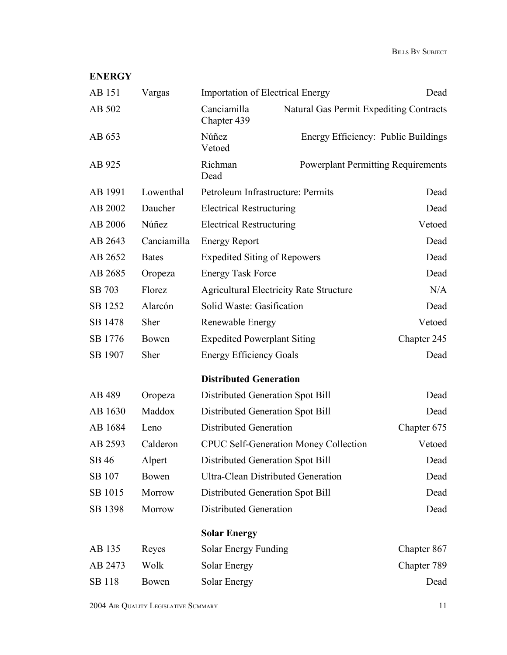| <b>ENERGY</b> |              |                                     |                                                |             |
|---------------|--------------|-------------------------------------|------------------------------------------------|-------------|
| AB 151        | Vargas       |                                     | <b>Importation of Electrical Energy</b>        | Dead        |
| AB 502        |              | Canciamilla<br>Chapter 439          | Natural Gas Permit Expediting Contracts        |             |
| AB 653        |              | Núñez<br>Vetoed                     | Energy Efficiency: Public Buildings            |             |
| AB 925        |              | Richman<br>Dead                     | <b>Powerplant Permitting Requirements</b>      |             |
| AB 1991       | Lowenthal    |                                     | Petroleum Infrastructure: Permits              | Dead        |
| AB 2002       | Daucher      | <b>Electrical Restructuring</b>     |                                                | Dead        |
| AB 2006       | Núñez        | <b>Electrical Restructuring</b>     |                                                | Vetoed      |
| AB 2643       | Canciamilla  | <b>Energy Report</b>                |                                                | Dead        |
| AB 2652       | <b>Bates</b> | <b>Expedited Siting of Repowers</b> |                                                | Dead        |
| AB 2685       | Oropeza      | <b>Energy Task Force</b>            |                                                | Dead        |
| SB 703        | Florez       |                                     | <b>Agricultural Electricity Rate Structure</b> | N/A         |
| SB 1252       | Alarcón      | Solid Waste: Gasification           |                                                | Dead        |
| SB 1478       | Sher         | Renewable Energy                    |                                                | Vetoed      |
| SB 1776       | Bowen        | <b>Expedited Powerplant Siting</b>  |                                                | Chapter 245 |
| SB 1907       | Sher         | <b>Energy Efficiency Goals</b>      |                                                | Dead        |
|               |              | <b>Distributed Generation</b>       |                                                |             |
| AB 489        | Oropeza      |                                     | Distributed Generation Spot Bill               | Dead        |
| AB 1630       | Maddox       |                                     | Distributed Generation Spot Bill               | Dead        |
| AB 1684       | Leno         | <b>Distributed Generation</b>       |                                                | Chapter 675 |
| AB 2593       | Calderon     |                                     | <b>CPUC Self-Generation Money Collection</b>   | Vetoed      |
| SB 46         | Alpert       |                                     | Distributed Generation Spot Bill               | Dead        |
| SB 107        | Bowen        |                                     | <b>Ultra-Clean Distributed Generation</b>      | Dead        |
| SB 1015       | Morrow       |                                     | Distributed Generation Spot Bill               | Dead        |
| SB 1398       | Morrow       | <b>Distributed Generation</b>       |                                                | Dead        |
|               |              | <b>Solar Energy</b>                 |                                                |             |
| AB 135        | Reyes        | Solar Energy Funding                |                                                | Chapter 867 |
| AB 2473       | Wolk         | Solar Energy                        |                                                | Chapter 789 |
| SB 118        | Bowen        | <b>Solar Energy</b>                 |                                                | Dead        |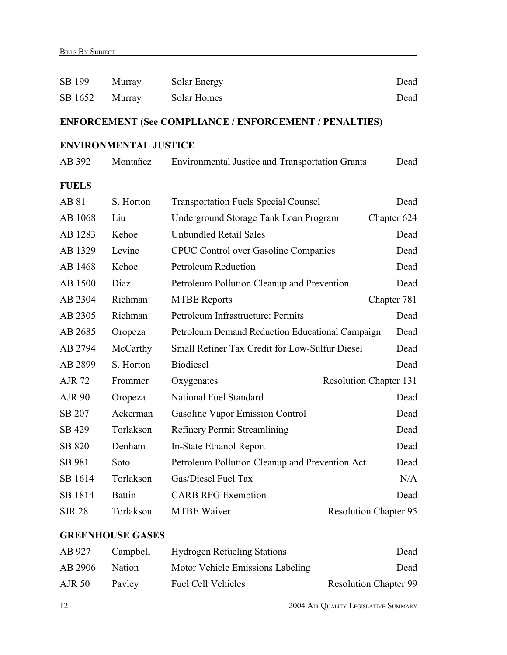| SB 199        | Murray                       | Solar Energy                                                  | Dead                          |
|---------------|------------------------------|---------------------------------------------------------------|-------------------------------|
| SB 1652       | Murray                       | Solar Homes                                                   | Dead                          |
|               |                              | <b>ENFORCEMENT (See COMPLIANCE / ENFORCEMENT / PENALTIES)</b> |                               |
|               | <b>ENVIRONMENTAL JUSTICE</b> |                                                               |                               |
| AB 392        | Montañez                     | <b>Environmental Justice and Transportation Grants</b>        | Dead                          |
| <b>FUELS</b>  |                              |                                                               |                               |
| AB 81         | S. Horton                    | <b>Transportation Fuels Special Counsel</b>                   | Dead                          |
| AB 1068       | Liu                          | Underground Storage Tank Loan Program                         | Chapter 624                   |
| AB 1283       | Kehoe                        | <b>Unbundled Retail Sales</b>                                 | Dead                          |
| AB 1329       | Levine                       | <b>CPUC Control over Gasoline Companies</b>                   | Dead                          |
| AB 1468       | Kehoe                        | <b>Petroleum Reduction</b>                                    | Dead                          |
| AB 1500       | Diaz                         | Petroleum Pollution Cleanup and Prevention                    | Dead                          |
| AB 2304       | Richman                      | <b>MTBE Reports</b>                                           | Chapter 781                   |
| AB 2305       | Richman                      | Petroleum Infrastructure: Permits                             | Dead                          |
| AB 2685       | Oropeza                      | Petroleum Demand Reduction Educational Campaign               | Dead                          |
| AB 2794       | McCarthy                     | Small Refiner Tax Credit for Low-Sulfur Diesel                | Dead                          |
| AB 2899       | S. Horton                    | <b>Biodiesel</b>                                              | Dead                          |
| <b>AJR 72</b> | Frommer                      | Oxygenates                                                    | <b>Resolution Chapter 131</b> |
| <b>AJR 90</b> | Oropeza                      | National Fuel Standard                                        | Dead                          |
| SB 207        | Ackerman                     | <b>Gasoline Vapor Emission Control</b>                        | Dead                          |
| SB 429        | Torlakson                    | <b>Refinery Permit Streamlining</b>                           | Dead                          |
| SB 820        | Denham                       | In-State Ethanol Report                                       | Dead                          |
| SB 981        | Soto                         | Petroleum Pollution Cleanup and Prevention Act                | Dead                          |
| SB 1614       | Torlakson                    | Gas/Diesel Fuel Tax                                           | N/A                           |
| SB 1814       | <b>Battin</b>                | <b>CARB RFG Exemption</b>                                     | Dead                          |
| <b>SJR 28</b> | Torlakson                    | <b>MTBE Waiver</b>                                            | <b>Resolution Chapter 95</b>  |

#### **GREENHOUSE GASES**

| AB 927        | Campbell      | <b>Hydrogen Refueling Stations</b> | Dead                         |
|---------------|---------------|------------------------------------|------------------------------|
| AB 2906       | <b>Nation</b> | Motor Vehicle Emissions Labeling   | Dead                         |
| <b>AJR 50</b> | Payley        | <b>Fuel Cell Vehicles</b>          | <b>Resolution Chapter 99</b> |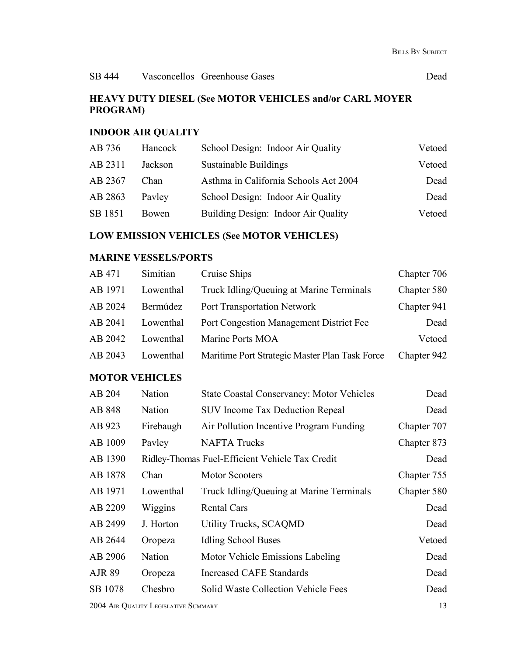#### **HEAVY DUTY DIESEL (See MOTOR VEHICLES and/or CARL MOYER PROGRAM)**

### **INDOOR AIR QUALITY**

| AB 736  | Hancock      | School Design: Indoor Air Quality     | Vetoed |
|---------|--------------|---------------------------------------|--------|
| AB 2311 | Jackson      | Sustainable Buildings                 | Vetoed |
| AB 2367 | Chan.        | Asthma in California Schools Act 2004 | Dead   |
| AB 2863 | Payley       | School Design: Indoor Air Quality     | Dead   |
| SB 1851 | <b>Bowen</b> | Building Design: Indoor Air Quality   | Vetoed |
|         |              |                                       |        |

#### **LOW EMISSION VEHICLES (See MOTOR VEHICLES)**

#### **MARINE VESSELS/PORTS**

| AB 471                | Simitian  | Cruise Ships                                     | Chapter 706 |
|-----------------------|-----------|--------------------------------------------------|-------------|
| AB 1971               | Lowenthal | Truck Idling/Queuing at Marine Terminals         | Chapter 580 |
| AB 2024               | Bermúdez  | <b>Port Transportation Network</b>               | Chapter 941 |
| AB 2041               | Lowenthal | Port Congestion Management District Fee          | Dead        |
| AB 2042               | Lowenthal | Marine Ports MOA                                 | Vetoed      |
| AB 2043               | Lowenthal | Maritime Port Strategic Master Plan Task Force   | Chapter 942 |
| <b>MOTOR VEHICLES</b> |           |                                                  |             |
| AB 204                | Nation    | <b>State Coastal Conservancy: Motor Vehicles</b> | Dead        |
| AB 848                | Nation    | <b>SUV Income Tax Deduction Repeal</b>           | Dead        |
| AB 923                | Firebaugh | Air Pollution Incentive Program Funding          | Chapter 707 |
| AB 1009               | Pavley    | <b>NAFTA Trucks</b>                              | Chapter 873 |
| AB 1390               |           | Ridley-Thomas Fuel-Efficient Vehicle Tax Credit  | Dead        |
| AB 1878               | Chan      | <b>Motor Scooters</b>                            | Chapter 755 |
| AB 1971               | Lowenthal | Truck Idling/Queuing at Marine Terminals         | Chapter 580 |
| AB 2209               | Wiggins   | <b>Rental Cars</b>                               | Dead        |
| AB 2499               | J. Horton | <b>Utility Trucks, SCAQMD</b>                    | Dead        |
| AB 2644               | Oropeza   | <b>Idling School Buses</b>                       | Vetoed      |
| AB 2906               | Nation    | Motor Vehicle Emissions Labeling                 | Dead        |
| <b>AJR 89</b>         | Oropeza   | <b>Increased CAFE Standards</b>                  | Dead        |
| SB 1078               | Chesbro   | Solid Waste Collection Vehicle Fees              | Dead        |

2004 AIR QUALITY LEGISLATIVE SUMMARY 13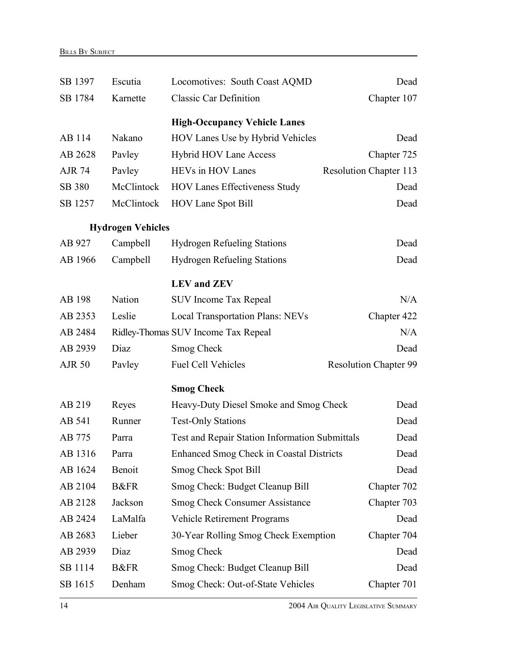| SB 1397       | Escutia                  | Locomotives: South Coast AQMD                         | Dead                          |
|---------------|--------------------------|-------------------------------------------------------|-------------------------------|
| SB 1784       | Karnette                 | <b>Classic Car Definition</b>                         | Chapter 107                   |
|               |                          | <b>High-Occupancy Vehicle Lanes</b>                   |                               |
| AB 114        | Nakano                   | HOV Lanes Use by Hybrid Vehicles                      | Dead                          |
| AB 2628       | Pavley                   | <b>Hybrid HOV Lane Access</b>                         | Chapter 725                   |
| <b>AJR 74</b> | Pavley                   | HEVs in HOV Lanes                                     | <b>Resolution Chapter 113</b> |
| SB 380        | McClintock               | <b>HOV Lanes Effectiveness Study</b>                  | Dead                          |
| SB 1257       | McClintock               | <b>HOV Lane Spot Bill</b>                             | Dead                          |
|               | <b>Hydrogen Vehicles</b> |                                                       |                               |
| AB 927        | Campbell                 | <b>Hydrogen Refueling Stations</b>                    | Dead                          |
| AB 1966       | Campbell                 | <b>Hydrogen Refueling Stations</b>                    | Dead                          |
|               |                          | <b>LEV</b> and <b>ZEV</b>                             |                               |
| AB 198        | Nation                   | <b>SUV Income Tax Repeal</b>                          | N/A                           |
| AB 2353       | Leslie                   | <b>Local Transportation Plans: NEVs</b>               | Chapter 422                   |
| AB 2484       |                          | Ridley-Thomas SUV Income Tax Repeal                   | N/A                           |
| AB 2939       | Diaz                     | Smog Check                                            | Dead                          |
| <b>AJR 50</b> | Pavley                   | <b>Fuel Cell Vehicles</b>                             | <b>Resolution Chapter 99</b>  |
|               |                          | <b>Smog Check</b>                                     |                               |
| AB 219        | Reyes                    | Heavy-Duty Diesel Smoke and Smog Check                | Dead                          |
| AB 541        | Runner                   | <b>Test-Only Stations</b>                             | Dead                          |
| AB 775        | Parra                    | <b>Test and Repair Station Information Submittals</b> | Dead                          |
| AB 1316       | Parra                    | Enhanced Smog Check in Coastal Districts              | Dead                          |
| AB 1624       | Benoit                   | Smog Check Spot Bill                                  | Dead                          |
| AB 2104       | <b>B&amp;FR</b>          | Smog Check: Budget Cleanup Bill                       | Chapter 702                   |
| AB 2128       | Jackson                  | <b>Smog Check Consumer Assistance</b>                 | Chapter 703                   |
| AB 2424       | LaMalfa                  | <b>Vehicle Retirement Programs</b>                    | Dead                          |
| AB 2683       | Lieber                   | 30-Year Rolling Smog Check Exemption                  | Chapter 704                   |
| AB 2939       | Diaz                     | Smog Check                                            | Dead                          |
| SB 1114       | <b>B&amp;FR</b>          | Smog Check: Budget Cleanup Bill                       | Dead                          |
| SB 1615       | Denham                   | Smog Check: Out-of-State Vehicles                     | Chapter 701                   |

14 2004 AIR QUALITY LEGISLATIVE SUMMARY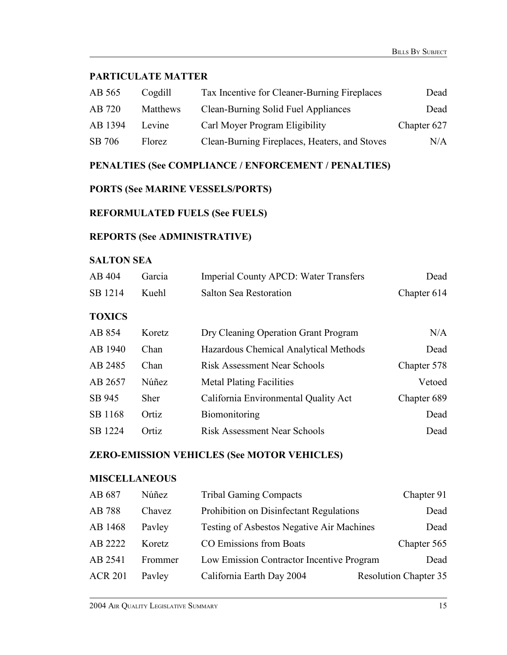#### **PARTICULATE MATTER**

| AB 565  | Cogdill  | Tax Incentive for Cleaner-Burning Fireplaces  | Dead        |
|---------|----------|-----------------------------------------------|-------------|
| AB 720  | Matthews | Clean-Burning Solid Fuel Appliances           | Dead        |
| AB 1394 | Levine   | Carl Moyer Program Eligibility                | Chapter 627 |
| SB 706  | Florez   | Clean-Burning Fireplaces, Heaters, and Stoves | N/A         |

#### **PENALTIES (See COMPLIANCE / ENFORCEMENT / PENALTIES)**

#### **PORTS (See MARINE VESSELS/PORTS)**

#### **REFORMULATED FUELS (See FUELS)**

#### **REPORTS (See ADMINISTRATIVE)**

#### **SALTON SEA**

| AB 404  | Garcia | <b>Imperial County APCD: Water Transfers</b> | Dead        |
|---------|--------|----------------------------------------------|-------------|
| SB 1214 | Kuehl. | Salton Sea Restoration                       | Chapter 614 |

#### **TOXICS**

| AB 854  | Koretz      | Dry Cleaning Operation Grant Program  | N/A         |
|---------|-------------|---------------------------------------|-------------|
| AB 1940 | Chan        | Hazardous Chemical Analytical Methods | Dead        |
| AB 2485 | Chan        | <b>Risk Assessment Near Schools</b>   | Chapter 578 |
| AB 2657 | Núñez       | <b>Metal Plating Facilities</b>       | Vetoed      |
| SB 945  | <b>Sher</b> | California Environmental Quality Act  | Chapter 689 |
| SB 1168 | Ortiz       | Biomonitoring                         | Dead        |
| SB 1224 | Ortiz       | <b>Risk Assessment Near Schools</b>   | Dead        |

#### **ZERO-EMISSION VEHICLES (See MOTOR VEHICLES)**

#### **MISCELLANEOUS**

| AB 687         | Núñez   | <b>Tribal Gaming Compacts</b>                    | Chapter 91                   |
|----------------|---------|--------------------------------------------------|------------------------------|
| AB 788         | Chavez  | Prohibition on Disinfectant Regulations          | Dead                         |
| AB 1468        | Payley  | <b>Testing of Asbestos Negative Air Machines</b> | Dead                         |
| AB 2222        | Koretz. | CO Emissions from Boats                          | Chapter 565                  |
| AB 2541        | Frommer | Low Emission Contractor Incentive Program        | Dead                         |
| <b>ACR 201</b> | Payley  | California Earth Day 2004                        | <b>Resolution Chapter 35</b> |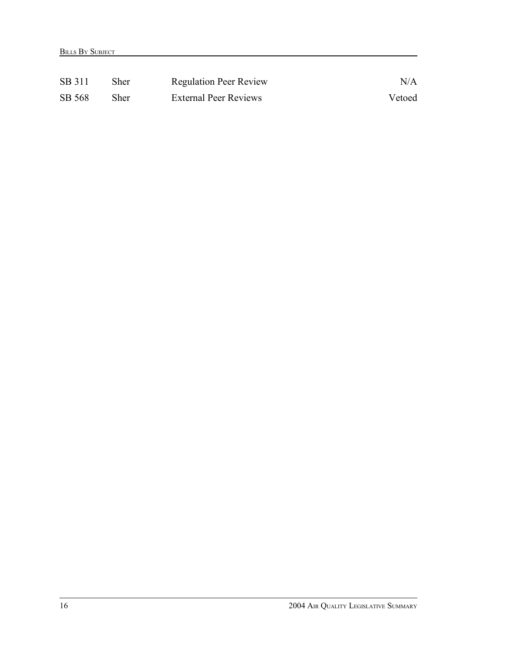| SB 311 | Sher | <b>Regulation Peer Review</b> | N/A    |
|--------|------|-------------------------------|--------|
| SB 568 | Sher | <b>External Peer Reviews</b>  | Vetoed |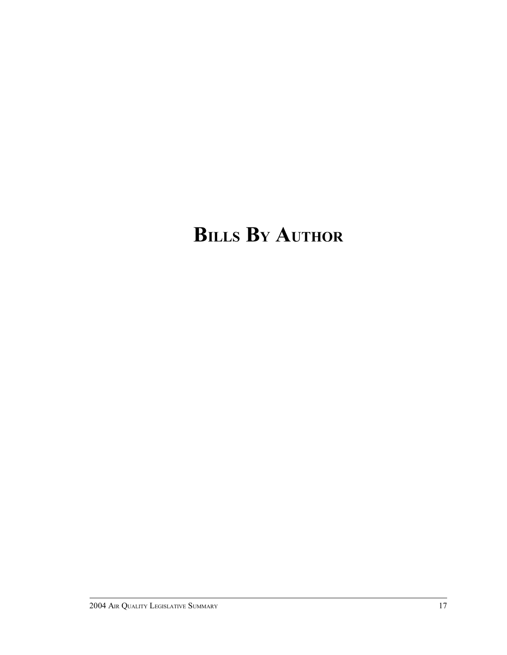# **BILLS B<sup>Y</sup> AUTHOR**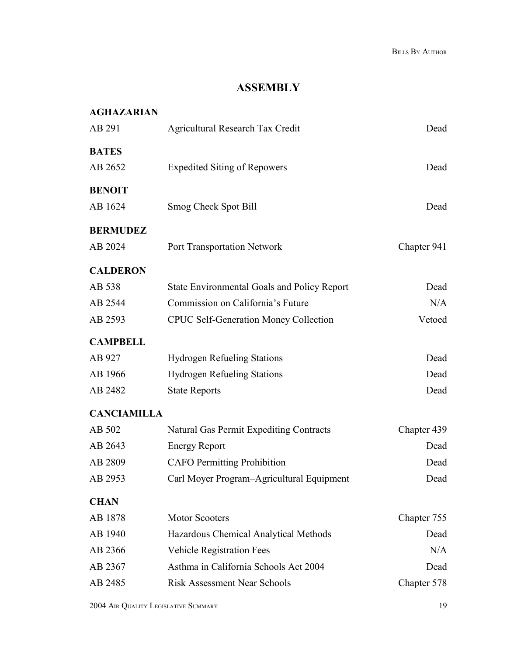## **ASSEMBLY**

| <b>AGHAZARIAN</b>  |                                                    |             |
|--------------------|----------------------------------------------------|-------------|
| AB 291             | <b>Agricultural Research Tax Credit</b>            | Dead        |
| <b>BATES</b>       |                                                    |             |
| AB 2652            | <b>Expedited Siting of Repowers</b>                | Dead        |
| <b>BENOIT</b>      |                                                    |             |
| AB 1624            | Smog Check Spot Bill                               | Dead        |
| <b>BERMUDEZ</b>    |                                                    |             |
| AB 2024            | Port Transportation Network                        | Chapter 941 |
| <b>CALDERON</b>    |                                                    |             |
| AB 538             | <b>State Environmental Goals and Policy Report</b> | Dead        |
| AB 2544            | Commission on California's Future                  | N/A         |
| AB 2593            | <b>CPUC Self-Generation Money Collection</b>       | Vetoed      |
| <b>CAMPBELL</b>    |                                                    |             |
| AB 927             | <b>Hydrogen Refueling Stations</b>                 | Dead        |
| AB 1966            | <b>Hydrogen Refueling Stations</b>                 | Dead        |
| AB 2482            | <b>State Reports</b>                               | Dead        |
| <b>CANCIAMILLA</b> |                                                    |             |
| AB 502             | <b>Natural Gas Permit Expediting Contracts</b>     | Chapter 439 |
| AB 2643            | <b>Energy Report</b>                               | Dead        |
| AB 2809            | <b>CAFO</b> Permitting Prohibition                 | Dead        |
| AB 2953            | Carl Moyer Program-Agricultural Equipment          | Dead        |
| <b>CHAN</b>        |                                                    |             |
| AB 1878            | <b>Motor Scooters</b>                              | Chapter 755 |
| AB 1940            | Hazardous Chemical Analytical Methods              | Dead        |
| AB 2366            | <b>Vehicle Registration Fees</b>                   | N/A         |
| AB 2367            | Asthma in California Schools Act 2004              | Dead        |
| AB 2485            | <b>Risk Assessment Near Schools</b>                | Chapter 578 |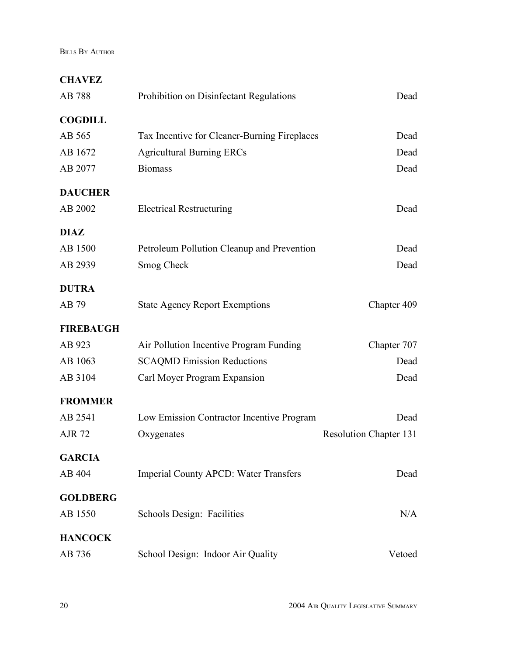| <b>CHAVEZ</b>    |                                              |                               |
|------------------|----------------------------------------------|-------------------------------|
| AB 788           | Prohibition on Disinfectant Regulations      | Dead                          |
| <b>COGDILL</b>   |                                              |                               |
| AB 565           | Tax Incentive for Cleaner-Burning Fireplaces | Dead                          |
| AB 1672          | <b>Agricultural Burning ERCs</b>             | Dead                          |
| AB 2077          | <b>Biomass</b>                               | Dead                          |
| <b>DAUCHER</b>   |                                              |                               |
| AB 2002          | <b>Electrical Restructuring</b>              | Dead                          |
| <b>DIAZ</b>      |                                              |                               |
| AB 1500          | Petroleum Pollution Cleanup and Prevention   | Dead                          |
| AB 2939          | Smog Check                                   | Dead                          |
| <b>DUTRA</b>     |                                              |                               |
| AB 79            | <b>State Agency Report Exemptions</b>        | Chapter 409                   |
| <b>FIREBAUGH</b> |                                              |                               |
| AB 923           | Air Pollution Incentive Program Funding      | Chapter 707                   |
| AB 1063          | <b>SCAQMD Emission Reductions</b>            | Dead                          |
| AB 3104          | Carl Moyer Program Expansion                 | Dead                          |
| <b>FROMMER</b>   |                                              |                               |
| AB 2541          | Low Emission Contractor Incentive Program    | Dead                          |
| <b>AJR 72</b>    | Oxygenates                                   | <b>Resolution Chapter 131</b> |
| <b>GARCIA</b>    |                                              |                               |
| AB 404           | <b>Imperial County APCD: Water Transfers</b> | Dead                          |
| <b>GOLDBERG</b>  |                                              |                               |
| AB 1550          | Schools Design: Facilities                   | N/A                           |
| <b>HANCOCK</b>   |                                              |                               |
| AB 736           | School Design: Indoor Air Quality            | Vetoed                        |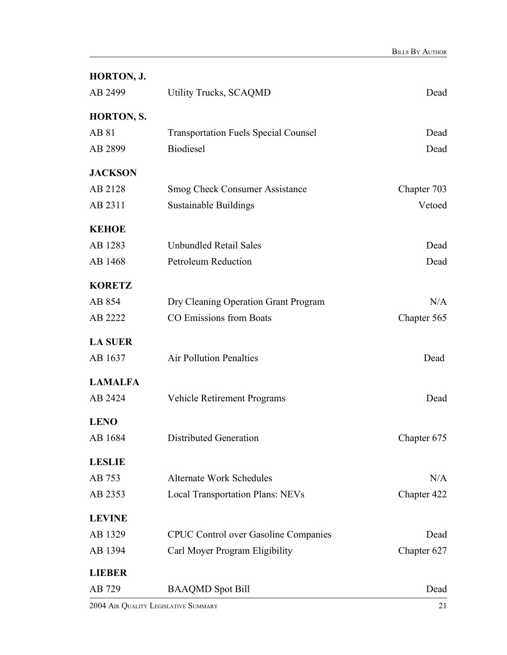| HORTON, J.        |                                             |             |
|-------------------|---------------------------------------------|-------------|
| AB 2499           | <b>Utility Trucks, SCAQMD</b>               | Dead        |
| <b>HORTON, S.</b> |                                             |             |
| AB 81             | <b>Transportation Fuels Special Counsel</b> | Dead        |
| AB 2899           | <b>Biodiesel</b>                            | Dead        |
| <b>JACKSON</b>    |                                             |             |
| AB 2128           | <b>Smog Check Consumer Assistance</b>       | Chapter 703 |
| AB 2311           | Sustainable Buildings                       | Vetoed      |
| <b>KEHOE</b>      |                                             |             |
| AB 1283           | <b>Unbundled Retail Sales</b>               | Dead        |
| AB 1468           | <b>Petroleum Reduction</b>                  | Dead        |
| <b>KORETZ</b>     |                                             |             |
| AB 854            | Dry Cleaning Operation Grant Program        | N/A         |
| AB 2222           | CO Emissions from Boats                     | Chapter 565 |
| <b>LA SUER</b>    |                                             |             |
| AB 1637           | <b>Air Pollution Penalties</b>              | Dead        |
| <b>LAMALFA</b>    |                                             |             |
| AB 2424           | <b>Vehicle Retirement Programs</b>          | Dead        |
| <b>LENO</b>       |                                             |             |
| AB 1684           | Distributed Generation                      | Chapter 675 |
| <b>LESLIE</b>     |                                             |             |
| AB 753            | <b>Alternate Work Schedules</b>             | N/A         |
| AB 2353           | <b>Local Transportation Plans: NEVs</b>     | Chapter 422 |
| <b>LEVINE</b>     |                                             |             |
| AB 1329           | <b>CPUC Control over Gasoline Companies</b> | Dead        |
| AB 1394           | Carl Moyer Program Eligibility              | Chapter 627 |
| <b>LIEBER</b>     |                                             |             |
| AB 729            | <b>BAAQMD</b> Spot Bill                     | Dead        |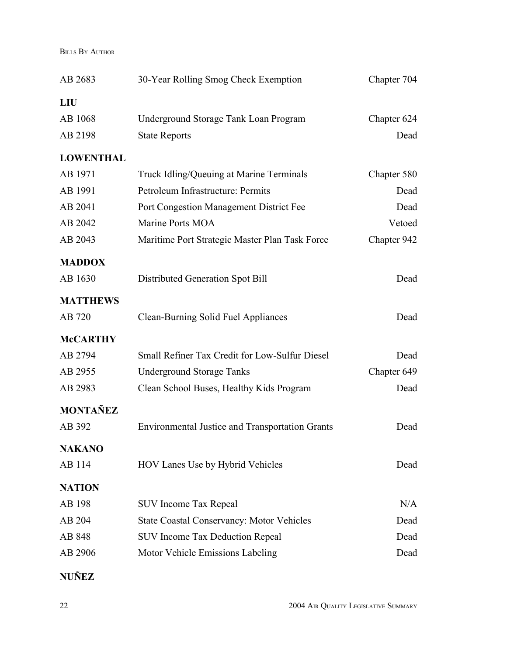| AB 2683          | 30-Year Rolling Smog Check Exemption                   | Chapter 704 |
|------------------|--------------------------------------------------------|-------------|
| <b>LIU</b>       |                                                        |             |
| AB 1068          | Underground Storage Tank Loan Program                  | Chapter 624 |
| AB 2198          | <b>State Reports</b>                                   | Dead        |
| <b>LOWENTHAL</b> |                                                        |             |
| AB 1971          | Truck Idling/Queuing at Marine Terminals               | Chapter 580 |
| AB 1991          | Petroleum Infrastructure: Permits                      | Dead        |
| AB 2041          | Port Congestion Management District Fee                | Dead        |
| AB 2042          | Marine Ports MOA                                       | Vetoed      |
| AB 2043          | Maritime Port Strategic Master Plan Task Force         | Chapter 942 |
| <b>MADDOX</b>    |                                                        |             |
| AB 1630          | Distributed Generation Spot Bill                       | Dead        |
| <b>MATTHEWS</b>  |                                                        |             |
| AB 720           | Clean-Burning Solid Fuel Appliances                    | Dead        |
| <b>McCARTHY</b>  |                                                        |             |
| AB 2794          | Small Refiner Tax Credit for Low-Sulfur Diesel         | Dead        |
| AB 2955          | <b>Underground Storage Tanks</b>                       | Chapter 649 |
| AB 2983          | Clean School Buses, Healthy Kids Program               | Dead        |
| <b>MONTAÑEZ</b>  |                                                        |             |
| AB 392           | <b>Environmental Justice and Transportation Grants</b> | Dead        |
| <b>NAKANO</b>    |                                                        |             |
| AB 114           | HOV Lanes Use by Hybrid Vehicles                       | Dead        |
| <b>NATION</b>    |                                                        |             |
| AB 198           | <b>SUV</b> Income Tax Repeal                           | N/A         |
| AB 204           | <b>State Coastal Conservancy: Motor Vehicles</b>       | Dead        |
| AB 848           | <b>SUV Income Tax Deduction Repeal</b>                 | Dead        |
| AB 2906          | Motor Vehicle Emissions Labeling                       | Dead        |
| <b>NUÑEZ</b>     |                                                        |             |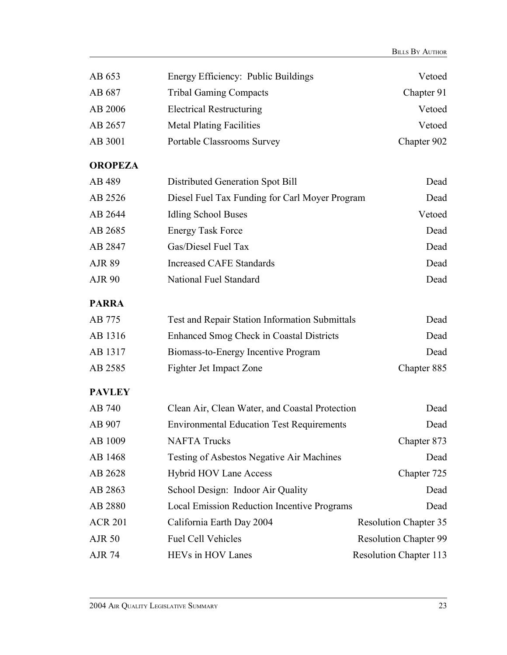| AB 653         | Energy Efficiency: Public Buildings              | Vetoed                        |
|----------------|--------------------------------------------------|-------------------------------|
| AB 687         | <b>Tribal Gaming Compacts</b>                    | Chapter 91                    |
| AB 2006        | <b>Electrical Restructuring</b>                  | Vetoed                        |
| AB 2657        | <b>Metal Plating Facilities</b>                  | Vetoed                        |
| AB 3001        | Portable Classrooms Survey                       | Chapter 902                   |
| <b>OROPEZA</b> |                                                  |                               |
| AB 489         | Distributed Generation Spot Bill                 | Dead                          |
| AB 2526        | Diesel Fuel Tax Funding for Carl Moyer Program   | Dead                          |
| AB 2644        | <b>Idling School Buses</b>                       | Vetoed                        |
| AB 2685        | <b>Energy Task Force</b>                         | Dead                          |
| AB 2847        | Gas/Diesel Fuel Tax                              | Dead                          |
| <b>AJR 89</b>  | <b>Increased CAFE Standards</b>                  | Dead                          |
| <b>AJR 90</b>  | National Fuel Standard                           | Dead                          |
| <b>PARRA</b>   |                                                  |                               |
| AB 775         | Test and Repair Station Information Submittals   | Dead                          |
| AB 1316        | <b>Enhanced Smog Check in Coastal Districts</b>  | Dead                          |
| AB 1317        | Biomass-to-Energy Incentive Program              | Dead                          |
| AB 2585        | Fighter Jet Impact Zone                          | Chapter 885                   |
| <b>PAVLEY</b>  |                                                  |                               |
| AB 740         | Clean Air, Clean Water, and Coastal Protection   | Dead                          |
| AB 907         | <b>Environmental Education Test Requirements</b> | Dead                          |
| AB 1009        | <b>NAFTA Trucks</b>                              | Chapter 873                   |
| AB 1468        | Testing of Asbestos Negative Air Machines        | Dead                          |
| AB 2628        | <b>Hybrid HOV Lane Access</b>                    | Chapter 725                   |
| AB 2863        | School Design: Indoor Air Quality                | Dead                          |
| AB 2880        | Local Emission Reduction Incentive Programs      | Dead                          |
| <b>ACR 201</b> | California Earth Day 2004                        | <b>Resolution Chapter 35</b>  |
| <b>AJR 50</b>  | <b>Fuel Cell Vehicles</b>                        | <b>Resolution Chapter 99</b>  |
| <b>AJR 74</b>  | HEVs in HOV Lanes                                | <b>Resolution Chapter 113</b> |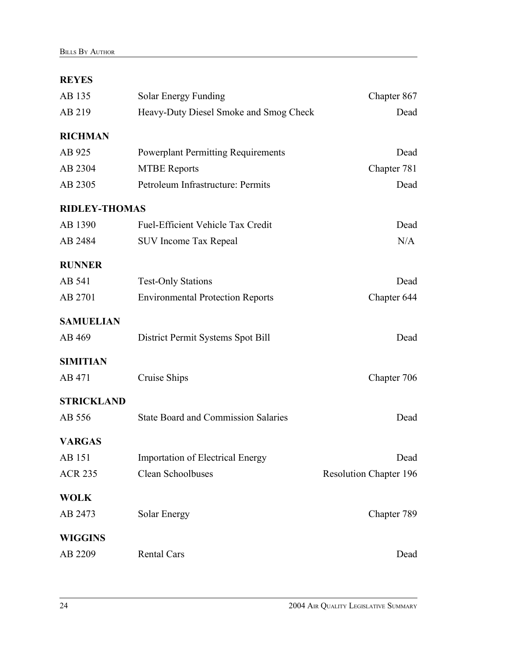#### **REYES**

| AB 135               | <b>Solar Energy Funding</b>                | Chapter 867                   |
|----------------------|--------------------------------------------|-------------------------------|
| AB 219               | Heavy-Duty Diesel Smoke and Smog Check     | Dead                          |
| <b>RICHMAN</b>       |                                            |                               |
| AB 925               | <b>Powerplant Permitting Requirements</b>  | Dead                          |
| AB 2304              | <b>MTBE Reports</b>                        | Chapter 781                   |
| AB 2305              | Petroleum Infrastructure: Permits          | Dead                          |
| <b>RIDLEY-THOMAS</b> |                                            |                               |
| AB 1390              | Fuel-Efficient Vehicle Tax Credit          | Dead                          |
| AB 2484              | <b>SUV Income Tax Repeal</b>               | N/A                           |
| <b>RUNNER</b>        |                                            |                               |
| AB 541               | <b>Test-Only Stations</b>                  | Dead                          |
| AB 2701              | <b>Environmental Protection Reports</b>    | Chapter 644                   |
| <b>SAMUELIAN</b>     |                                            |                               |
| AB 469               | District Permit Systems Spot Bill          | Dead                          |
| <b>SIMITIAN</b>      |                                            |                               |
| AB 471               | Cruise Ships                               | Chapter 706                   |
| <b>STRICKLAND</b>    |                                            |                               |
| AB 556               | <b>State Board and Commission Salaries</b> | Dead                          |
| <b>VARGAS</b>        |                                            |                               |
| AB 151               | <b>Importation of Electrical Energy</b>    | Dead                          |
| <b>ACR 235</b>       | Clean Schoolbuses                          | <b>Resolution Chapter 196</b> |
| <b>WOLK</b>          |                                            |                               |
| AB 2473              | Solar Energy                               | Chapter 789                   |
| <b>WIGGINS</b>       |                                            |                               |
| AB 2209              | <b>Rental Cars</b>                         | Dead                          |
|                      |                                            |                               |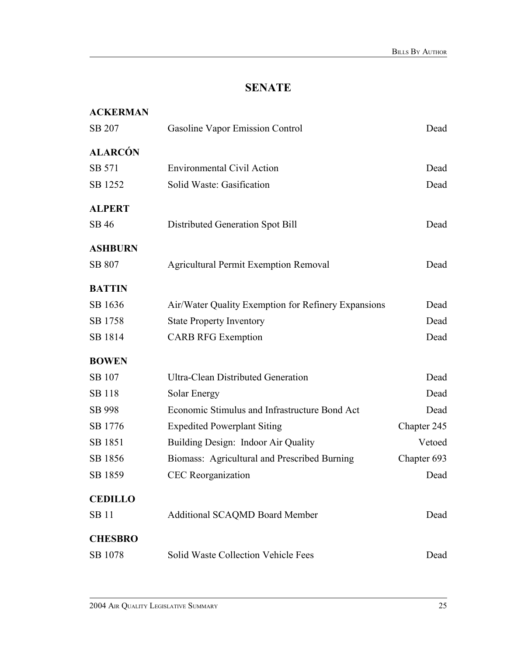### **SENATE**

| <b>ACKERMAN</b> |                                                     |             |
|-----------------|-----------------------------------------------------|-------------|
| SB 207          | Gasoline Vapor Emission Control                     | Dead        |
| <b>ALARCÓN</b>  |                                                     |             |
| SB 571          | <b>Environmental Civil Action</b>                   | Dead        |
| SB 1252         | Solid Waste: Gasification                           | Dead        |
| <b>ALPERT</b>   |                                                     |             |
| SB 46           | Distributed Generation Spot Bill                    | Dead        |
| <b>ASHBURN</b>  |                                                     |             |
| SB 807          | <b>Agricultural Permit Exemption Removal</b>        | Dead        |
| <b>BATTIN</b>   |                                                     |             |
| SB 1636         | Air/Water Quality Exemption for Refinery Expansions | Dead        |
| SB 1758         | <b>State Property Inventory</b>                     | Dead        |
| SB 1814         | <b>CARB RFG Exemption</b>                           | Dead        |
| <b>BOWEN</b>    |                                                     |             |
| SB 107          | <b>Ultra-Clean Distributed Generation</b>           | Dead        |
| <b>SB</b> 118   | Solar Energy                                        | Dead        |
| SB 998          | Economic Stimulus and Infrastructure Bond Act       | Dead        |
| SB 1776         | <b>Expedited Powerplant Siting</b>                  | Chapter 245 |
| SB 1851         | Building Design: Indoor Air Quality                 | Vetoed      |
| SB 1856         | Biomass: Agricultural and Prescribed Burning        | Chapter 693 |
| SB 1859         | <b>CEC</b> Reorganization                           | Dead        |
| <b>CEDILLO</b>  |                                                     |             |
| <b>SB</b> 11    | <b>Additional SCAQMD Board Member</b>               | Dead        |
| <b>CHESBRO</b>  |                                                     |             |
| SB 1078         | Solid Waste Collection Vehicle Fees                 | Dead        |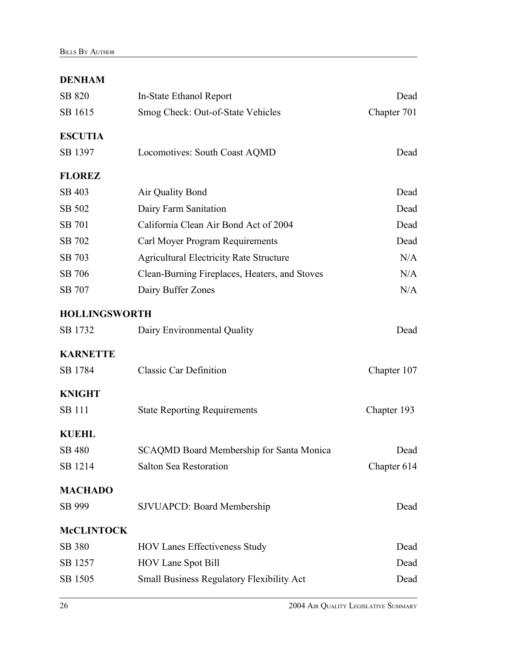#### **DENHAM**

| SB 820               | In-State Ethanol Report                          | Dead        |
|----------------------|--------------------------------------------------|-------------|
| SB 1615              | Smog Check: Out-of-State Vehicles                | Chapter 701 |
| <b>ESCUTIA</b>       |                                                  |             |
| SB 1397              | Locomotives: South Coast AQMD                    | Dead        |
| <b>FLOREZ</b>        |                                                  |             |
| SB 403               | Air Quality Bond                                 | Dead        |
| SB 502               | Dairy Farm Sanitation                            | Dead        |
| SB 701               | California Clean Air Bond Act of 2004            | Dead        |
| SB 702               | Carl Moyer Program Requirements                  | Dead        |
| SB 703               | <b>Agricultural Electricity Rate Structure</b>   | N/A         |
| SB 706               | Clean-Burning Fireplaces, Heaters, and Stoves    | N/A         |
| SB 707               | Dairy Buffer Zones                               | N/A         |
| <b>HOLLINGSWORTH</b> |                                                  |             |
| SB 1732              | Dairy Environmental Quality                      | Dead        |
| <b>KARNETTE</b>      |                                                  |             |
| SB 1784              | <b>Classic Car Definition</b>                    | Chapter 107 |
| <b>KNIGHT</b>        |                                                  |             |
| <b>SB</b> 111        | <b>State Reporting Requirements</b>              | Chapter 193 |
| <b>KUEHL</b>         |                                                  |             |
| <b>SB 480</b>        | SCAQMD Board Membership for Santa Monica         | Dead        |
| SB 1214              | <b>Salton Sea Restoration</b>                    | Chapter 614 |
| <b>MACHADO</b>       |                                                  |             |
| SB 999               | <b>SJVUAPCD: Board Membership</b>                | Dead        |
| <b>McCLINTOCK</b>    |                                                  |             |
| SB 380               | <b>HOV Lanes Effectiveness Study</b>             | Dead        |
| SB 1257              | <b>HOV Lane Spot Bill</b>                        | Dead        |
| SB 1505              | <b>Small Business Regulatory Flexibility Act</b> | Dead        |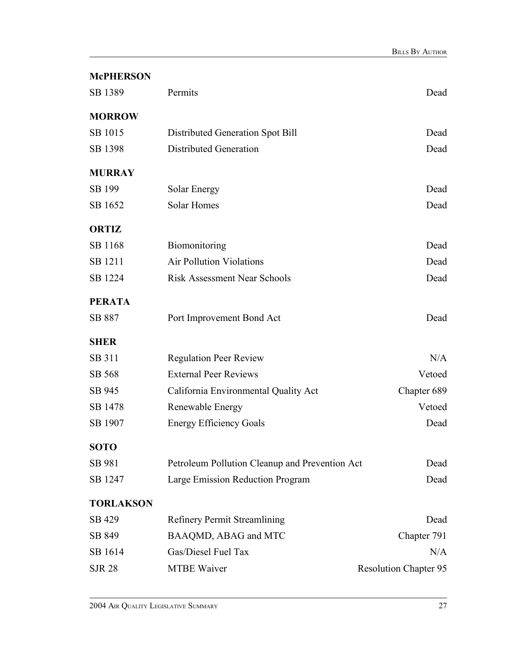| <b>McPHERSON</b> |                                                |                              |
|------------------|------------------------------------------------|------------------------------|
| SB 1389          | Permits                                        | Dead                         |
| <b>MORROW</b>    |                                                |                              |
| SB 1015          | Distributed Generation Spot Bill               | Dead                         |
| SB 1398          | <b>Distributed Generation</b>                  | Dead                         |
| <b>MURRAY</b>    |                                                |                              |
| SB 199           | Solar Energy                                   | Dead                         |
| SB 1652          | Solar Homes                                    | Dead                         |
| <b>ORTIZ</b>     |                                                |                              |
| SB 1168          | Biomonitoring                                  | Dead                         |
| SB 1211          | <b>Air Pollution Violations</b>                | Dead                         |
| SB 1224          | <b>Risk Assessment Near Schools</b>            | Dead                         |
| <b>PERATA</b>    |                                                |                              |
| SB 887           | Port Improvement Bond Act                      | Dead                         |
| <b>SHER</b>      |                                                |                              |
| SB 311           | <b>Regulation Peer Review</b>                  | N/A                          |
| SB 568           | <b>External Peer Reviews</b>                   | Vetoed                       |
| SB 945           | California Environmental Quality Act           | Chapter 689                  |
| SB 1478          | Renewable Energy                               | Vetoed                       |
| SB 1907          | <b>Energy Efficiency Goals</b>                 | Dead                         |
| <b>SOTO</b>      |                                                |                              |
| SB 981           | Petroleum Pollution Cleanup and Prevention Act | Dead                         |
| SB 1247          | Large Emission Reduction Program               | Dead                         |
| <b>TORLAKSON</b> |                                                |                              |
| SB 429           | <b>Refinery Permit Streamlining</b>            | Dead                         |
| SB 849           | BAAQMD, ABAG and MTC                           | Chapter 791                  |
| SB 1614          | Gas/Diesel Fuel Tax                            | N/A                          |
| <b>SJR 28</b>    | <b>MTBE Waiver</b>                             | <b>Resolution Chapter 95</b> |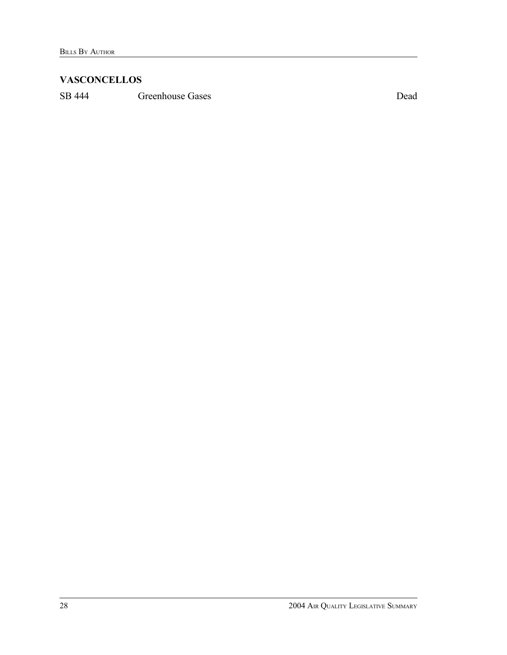#### **VASCONCELLOS**

SB 444 Greenhouse Gases Dead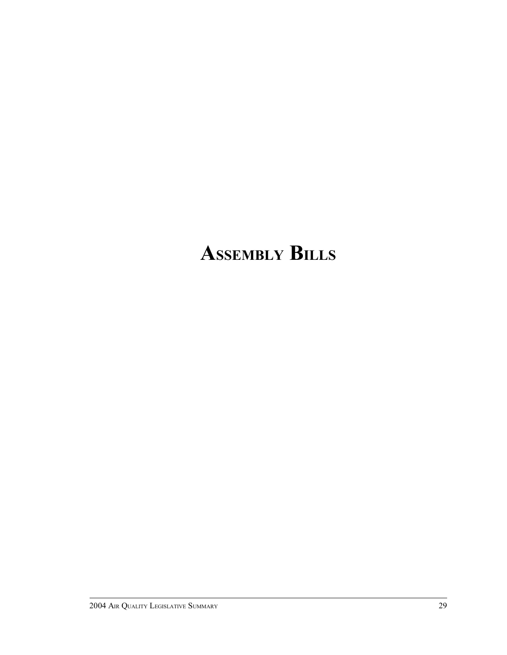# **ASSEMBLY BILLS**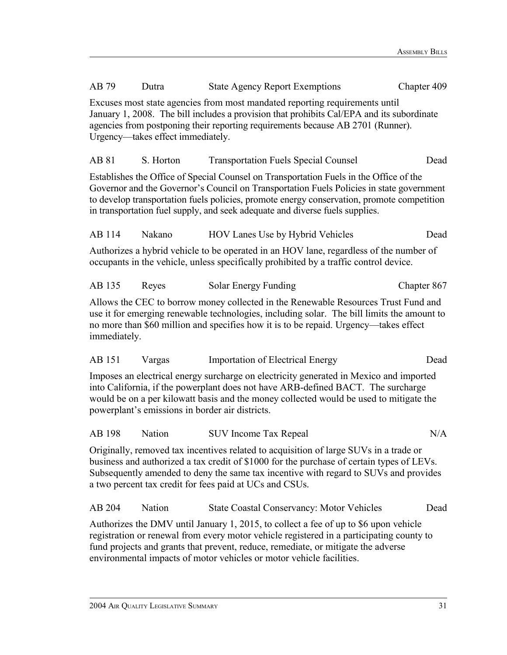| AB 79                                                                                                                                                                                                                                                                                                                                         | Dutra     | <b>State Agency Report Exemptions</b>                                                                                                                                                                                                                                                                                                                            | Chapter 409 |  |  |
|-----------------------------------------------------------------------------------------------------------------------------------------------------------------------------------------------------------------------------------------------------------------------------------------------------------------------------------------------|-----------|------------------------------------------------------------------------------------------------------------------------------------------------------------------------------------------------------------------------------------------------------------------------------------------------------------------------------------------------------------------|-------------|--|--|
| Excuses most state agencies from most mandated reporting requirements until<br>January 1, 2008. The bill includes a provision that prohibits Cal/EPA and its subordinate<br>agencies from postponing their reporting requirements because AB 2701 (Runner).<br>Urgency—takes effect immediately.                                              |           |                                                                                                                                                                                                                                                                                                                                                                  |             |  |  |
| AB 81                                                                                                                                                                                                                                                                                                                                         | S. Horton | <b>Transportation Fuels Special Counsel</b>                                                                                                                                                                                                                                                                                                                      | Dead        |  |  |
|                                                                                                                                                                                                                                                                                                                                               |           | Establishes the Office of Special Counsel on Transportation Fuels in the Office of the<br>Governor and the Governor's Council on Transportation Fuels Policies in state government<br>to develop transportation fuels policies, promote energy conservation, promote competition<br>in transportation fuel supply, and seek adequate and diverse fuels supplies. |             |  |  |
| AB 114                                                                                                                                                                                                                                                                                                                                        | Nakano    | HOV Lanes Use by Hybrid Vehicles                                                                                                                                                                                                                                                                                                                                 | Dead        |  |  |
|                                                                                                                                                                                                                                                                                                                                               |           | Authorizes a hybrid vehicle to be operated in an HOV lane, regardless of the number of<br>occupants in the vehicle, unless specifically prohibited by a traffic control device.                                                                                                                                                                                  |             |  |  |
| AB 135                                                                                                                                                                                                                                                                                                                                        | Reyes     | Solar Energy Funding                                                                                                                                                                                                                                                                                                                                             | Chapter 867 |  |  |
| immediately.                                                                                                                                                                                                                                                                                                                                  |           | Allows the CEC to borrow money collected in the Renewable Resources Trust Fund and<br>use it for emerging renewable technologies, including solar. The bill limits the amount to<br>no more than \$60 million and specifies how it is to be repaid. Urgency—takes effect                                                                                         |             |  |  |
| AB 151                                                                                                                                                                                                                                                                                                                                        | Vargas    | <b>Importation of Electrical Energy</b>                                                                                                                                                                                                                                                                                                                          | Dead        |  |  |
| Imposes an electrical energy surcharge on electricity generated in Mexico and imported<br>into California, if the powerplant does not have ARB-defined BACT. The surcharge<br>would be on a per kilowatt basis and the money collected would be used to mitigate the<br>powerplant's emissions in border air districts.                       |           |                                                                                                                                                                                                                                                                                                                                                                  |             |  |  |
| AB 198                                                                                                                                                                                                                                                                                                                                        | Nation    | <b>SUV Income Tax Repeal</b>                                                                                                                                                                                                                                                                                                                                     | N/A         |  |  |
| Originally, removed tax incentives related to acquisition of large SUVs in a trade or<br>business and authorized a tax credit of \$1000 for the purchase of certain types of LEVs.<br>Subsequently amended to deny the same tax incentive with regard to SUVs and provides<br>a two percent tax credit for fees paid at UCs and CSUs.         |           |                                                                                                                                                                                                                                                                                                                                                                  |             |  |  |
| AB 204                                                                                                                                                                                                                                                                                                                                        | Nation    | <b>State Coastal Conservancy: Motor Vehicles</b>                                                                                                                                                                                                                                                                                                                 | Dead        |  |  |
| Authorizes the DMV until January 1, 2015, to collect a fee of up to \$6 upon vehicle<br>registration or renewal from every motor vehicle registered in a participating county to<br>fund projects and grants that prevent, reduce, remediate, or mitigate the adverse<br>environmental impacts of motor vehicles or motor vehicle facilities. |           |                                                                                                                                                                                                                                                                                                                                                                  |             |  |  |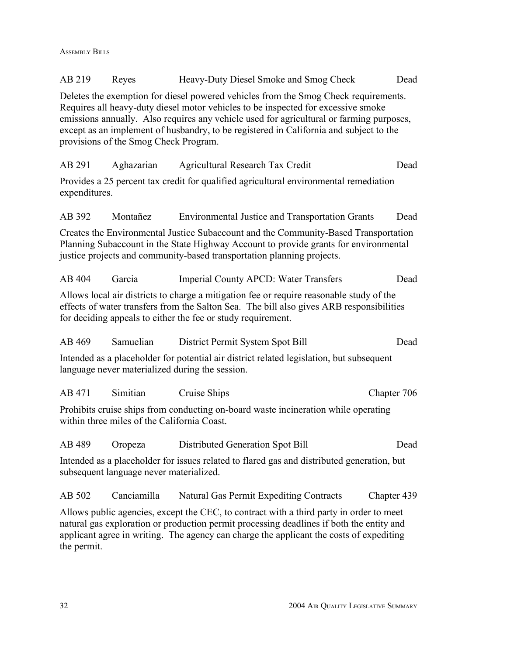ASSEMBLY BILLS

| AB 219                                                                                                                                                                                                                                                                                        | Reyes                                       | Heavy-Duty Diesel Smoke and Smog Check                                                                                                                                                                                                                                                                                                                         | Dead        |  |
|-----------------------------------------------------------------------------------------------------------------------------------------------------------------------------------------------------------------------------------------------------------------------------------------------|---------------------------------------------|----------------------------------------------------------------------------------------------------------------------------------------------------------------------------------------------------------------------------------------------------------------------------------------------------------------------------------------------------------------|-------------|--|
|                                                                                                                                                                                                                                                                                               | provisions of the Smog Check Program.       | Deletes the exemption for diesel powered vehicles from the Smog Check requirements.<br>Requires all heavy-duty diesel motor vehicles to be inspected for excessive smoke<br>emissions annually. Also requires any vehicle used for agricultural or farming purposes,<br>except as an implement of husbandry, to be registered in California and subject to the |             |  |
| AB 291                                                                                                                                                                                                                                                                                        | Aghazarian                                  | Agricultural Research Tax Credit                                                                                                                                                                                                                                                                                                                               | Dead        |  |
| expenditures.                                                                                                                                                                                                                                                                                 |                                             | Provides a 25 percent tax credit for qualified agricultural environmental remediation                                                                                                                                                                                                                                                                          |             |  |
| AB 392                                                                                                                                                                                                                                                                                        | Montañez                                    | <b>Environmental Justice and Transportation Grants</b>                                                                                                                                                                                                                                                                                                         | Dead        |  |
|                                                                                                                                                                                                                                                                                               |                                             | Creates the Environmental Justice Subaccount and the Community-Based Transportation<br>Planning Subaccount in the State Highway Account to provide grants for environmental<br>justice projects and community-based transportation planning projects.                                                                                                          |             |  |
| AB 404                                                                                                                                                                                                                                                                                        | Garcia                                      | Imperial County APCD: Water Transfers                                                                                                                                                                                                                                                                                                                          | Dead        |  |
|                                                                                                                                                                                                                                                                                               |                                             | Allows local air districts to charge a mitigation fee or require reasonable study of the<br>effects of water transfers from the Salton Sea. The bill also gives ARB responsibilities<br>for deciding appeals to either the fee or study requirement.                                                                                                           |             |  |
| AB 469                                                                                                                                                                                                                                                                                        | Samuelian                                   | District Permit System Spot Bill                                                                                                                                                                                                                                                                                                                               | Dead        |  |
|                                                                                                                                                                                                                                                                                               |                                             | Intended as a placeholder for potential air district related legislation, but subsequent<br>language never materialized during the session.                                                                                                                                                                                                                    |             |  |
| AB 471                                                                                                                                                                                                                                                                                        | Simitian                                    | Cruise Ships                                                                                                                                                                                                                                                                                                                                                   | Chapter 706 |  |
|                                                                                                                                                                                                                                                                                               | within three miles of the California Coast. | Prohibits cruise ships from conducting on-board waste incineration while operating                                                                                                                                                                                                                                                                             |             |  |
| AB 489 Oropeza                                                                                                                                                                                                                                                                                |                                             | Distributed Generation Spot Bill                                                                                                                                                                                                                                                                                                                               | Dead        |  |
|                                                                                                                                                                                                                                                                                               | subsequent language never materialized.     | Intended as a placeholder for issues related to flared gas and distributed generation, but                                                                                                                                                                                                                                                                     |             |  |
| AB 502                                                                                                                                                                                                                                                                                        | Canciamilla                                 | <b>Natural Gas Permit Expediting Contracts</b>                                                                                                                                                                                                                                                                                                                 | Chapter 439 |  |
| Allows public agencies, except the CEC, to contract with a third party in order to meet<br>natural gas exploration or production permit processing deadlines if both the entity and<br>applicant agree in writing. The agency can charge the applicant the costs of expediting<br>the permit. |                                             |                                                                                                                                                                                                                                                                                                                                                                |             |  |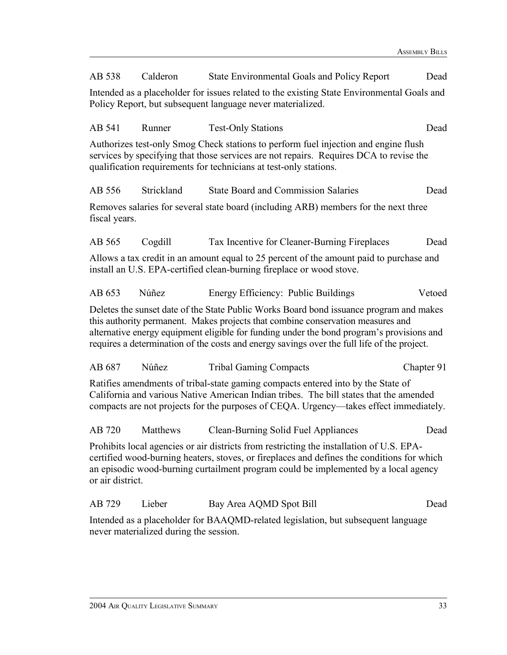| AB 538                                                                                                                                                                                                                                                              | Calderon                                                                                                                                                 | <b>State Environmental Goals and Policy Report</b>                                                                                                                                                                                                                                                                                                                     | Dead       |  |  |
|---------------------------------------------------------------------------------------------------------------------------------------------------------------------------------------------------------------------------------------------------------------------|----------------------------------------------------------------------------------------------------------------------------------------------------------|------------------------------------------------------------------------------------------------------------------------------------------------------------------------------------------------------------------------------------------------------------------------------------------------------------------------------------------------------------------------|------------|--|--|
|                                                                                                                                                                                                                                                                     | Intended as a placeholder for issues related to the existing State Environmental Goals and<br>Policy Report, but subsequent language never materialized. |                                                                                                                                                                                                                                                                                                                                                                        |            |  |  |
| AB 541                                                                                                                                                                                                                                                              | Runner                                                                                                                                                   | <b>Test-Only Stations</b>                                                                                                                                                                                                                                                                                                                                              | Dead       |  |  |
|                                                                                                                                                                                                                                                                     |                                                                                                                                                          | Authorizes test-only Smog Check stations to perform fuel injection and engine flush<br>services by specifying that those services are not repairs. Requires DCA to revise the<br>qualification requirements for technicians at test-only stations.                                                                                                                     |            |  |  |
| AB 556                                                                                                                                                                                                                                                              | Strickland                                                                                                                                               | <b>State Board and Commission Salaries</b>                                                                                                                                                                                                                                                                                                                             | Dead       |  |  |
| fiscal years.                                                                                                                                                                                                                                                       |                                                                                                                                                          | Removes salaries for several state board (including ARB) members for the next three                                                                                                                                                                                                                                                                                    |            |  |  |
| AB 565                                                                                                                                                                                                                                                              | Cogdill                                                                                                                                                  | Tax Incentive for Cleaner-Burning Fireplaces                                                                                                                                                                                                                                                                                                                           | Dead       |  |  |
|                                                                                                                                                                                                                                                                     |                                                                                                                                                          | Allows a tax credit in an amount equal to 25 percent of the amount paid to purchase and<br>install an U.S. EPA-certified clean-burning fireplace or wood stove.                                                                                                                                                                                                        |            |  |  |
| AB 653                                                                                                                                                                                                                                                              | Núñez                                                                                                                                                    | Energy Efficiency: Public Buildings                                                                                                                                                                                                                                                                                                                                    | Vetoed     |  |  |
|                                                                                                                                                                                                                                                                     |                                                                                                                                                          | Deletes the sunset date of the State Public Works Board bond issuance program and makes<br>this authority permanent. Makes projects that combine conservation measures and<br>alternative energy equipment eligible for funding under the bond program's provisions and<br>requires a determination of the costs and energy savings over the full life of the project. |            |  |  |
| AB 687                                                                                                                                                                                                                                                              | Núñez                                                                                                                                                    | <b>Tribal Gaming Compacts</b>                                                                                                                                                                                                                                                                                                                                          | Chapter 91 |  |  |
| Ratifies amendments of tribal-state gaming compacts entered into by the State of<br>California and various Native American Indian tribes. The bill states that the amended<br>compacts are not projects for the purposes of CEQA. Urgency—takes effect immediately. |                                                                                                                                                          |                                                                                                                                                                                                                                                                                                                                                                        |            |  |  |
| AB 720                                                                                                                                                                                                                                                              | Matthews                                                                                                                                                 | <b>Clean-Burning Solid Fuel Appliances</b>                                                                                                                                                                                                                                                                                                                             | Dead       |  |  |
| or air district.                                                                                                                                                                                                                                                    |                                                                                                                                                          | Prohibits local agencies or air districts from restricting the installation of U.S. EPA-<br>certified wood-burning heaters, stoves, or fireplaces and defines the conditions for which<br>an episodic wood-burning curtailment program could be implemented by a local agency                                                                                          |            |  |  |
| AB 729                                                                                                                                                                                                                                                              | Lieber                                                                                                                                                   | Bay Area AQMD Spot Bill                                                                                                                                                                                                                                                                                                                                                | Dead       |  |  |
|                                                                                                                                                                                                                                                                     |                                                                                                                                                          | Intended as a placeholder for BAAQMD-related legislation, but subsequent language                                                                                                                                                                                                                                                                                      |            |  |  |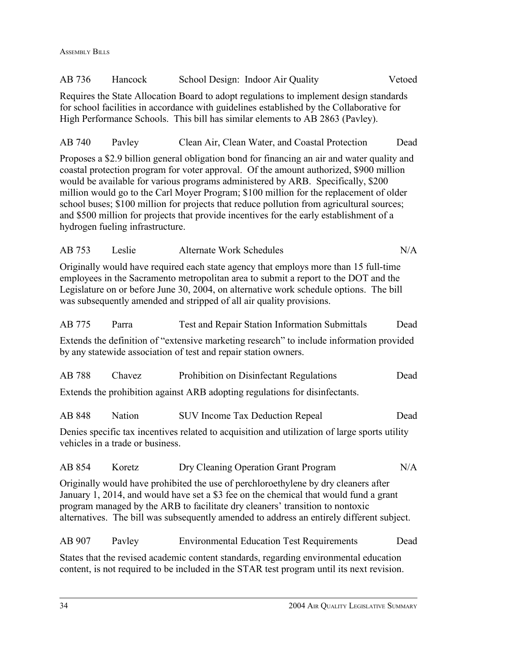ASSEMBLY BILLS

| AB 736 | Hancock                          | School Design: Indoor Air Quality                                                                                                                                                                                                                                                                                                                                                                                                                                                                                                                           | Vetoed |
|--------|----------------------------------|-------------------------------------------------------------------------------------------------------------------------------------------------------------------------------------------------------------------------------------------------------------------------------------------------------------------------------------------------------------------------------------------------------------------------------------------------------------------------------------------------------------------------------------------------------------|--------|
|        |                                  | Requires the State Allocation Board to adopt regulations to implement design standards<br>for school facilities in accordance with guidelines established by the Collaborative for<br>High Performance Schools. This bill has similar elements to AB 2863 (Pavley).                                                                                                                                                                                                                                                                                         |        |
| AB 740 | Payley                           | Clean Air, Clean Water, and Coastal Protection                                                                                                                                                                                                                                                                                                                                                                                                                                                                                                              | Dead   |
|        | hydrogen fueling infrastructure. | Proposes a \$2.9 billion general obligation bond for financing an air and water quality and<br>coastal protection program for voter approval. Of the amount authorized, \$900 million<br>would be available for various programs administered by ARB. Specifically, \$200<br>million would go to the Carl Moyer Program; \$100 million for the replacement of older<br>school buses; \$100 million for projects that reduce pollution from agricultural sources;<br>and \$500 million for projects that provide incentives for the early establishment of a |        |
| AB 753 | Leslie                           | <b>Alternate Work Schedules</b>                                                                                                                                                                                                                                                                                                                                                                                                                                                                                                                             | N/A    |
|        |                                  | Originally would have required each state agency that employs more than 15 full-time<br>employees in the Sacramento metropolitan area to submit a report to the DOT and the<br>Legislature on or before June 30, 2004, on alternative work schedule options. The bill<br>was subsequently amended and stripped of all air quality provisions.                                                                                                                                                                                                               |        |
| AB 775 | Parra                            | Test and Repair Station Information Submittals                                                                                                                                                                                                                                                                                                                                                                                                                                                                                                              | Dead   |
|        |                                  | Extends the definition of "extensive marketing research" to include information provided<br>by any statewide association of test and repair station owners.                                                                                                                                                                                                                                                                                                                                                                                                 |        |
| AB 788 | Chavez                           | Prohibition on Disinfectant Regulations                                                                                                                                                                                                                                                                                                                                                                                                                                                                                                                     | Dead   |
|        |                                  | Extends the prohibition against ARB adopting regulations for disinfectants.                                                                                                                                                                                                                                                                                                                                                                                                                                                                                 |        |
| AB 848 | Nation                           | <b>SUV Income Tax Deduction Repeal</b>                                                                                                                                                                                                                                                                                                                                                                                                                                                                                                                      | Dead   |
|        | vehicles in a trade or business. | Denies specific tax incentives related to acquisition and utilization of large sports utility                                                                                                                                                                                                                                                                                                                                                                                                                                                               |        |
| AB 854 | Koretz                           | Dry Cleaning Operation Grant Program                                                                                                                                                                                                                                                                                                                                                                                                                                                                                                                        | N/A    |
|        |                                  | Originally would have prohibited the use of perchloroethylene by dry cleaners after<br>January 1, 2014, and would have set a \$3 fee on the chemical that would fund a grant<br>program managed by the ARB to facilitate dry cleaners' transition to nontoxic<br>alternatives. The bill was subsequently amended to address an entirely different subject.                                                                                                                                                                                                  |        |
| AB 907 | Payley                           | <b>Environmental Education Test Requirements</b>                                                                                                                                                                                                                                                                                                                                                                                                                                                                                                            | Dead   |
|        |                                  | States that the revised academic content standards, regarding environmental education<br>content, is not required to be included in the STAR test program until its next revision.                                                                                                                                                                                                                                                                                                                                                                          |        |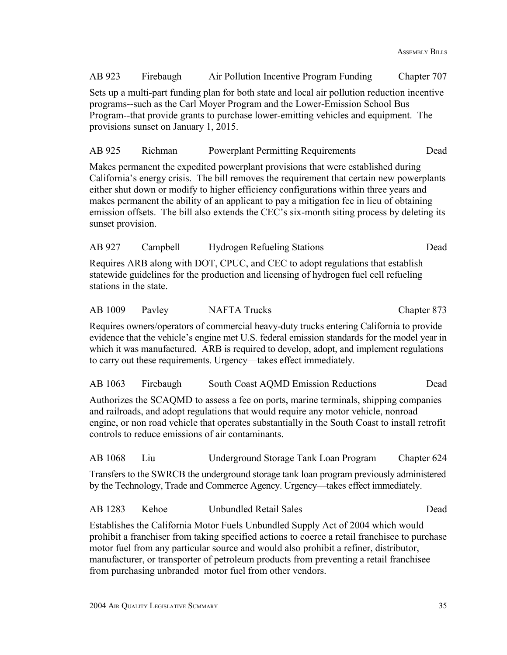AB 923 Firebaugh Air Pollution Incentive Program Funding Chapter 707 Sets up a multi-part funding plan for both state and local air pollution reduction incentive programs--such as the Carl Moyer Program and the Lower-Emission School Bus Program--that provide grants to purchase lower-emitting vehicles and equipment. The provisions sunset on January 1, 2015.

#### AB 925 Richman Powerplant Permitting Requirements Dead

Makes permanent the expedited powerplant provisions that were established during California's energy crisis. The bill removes the requirement that certain new powerplants either shut down or modify to higher efficiency configurations within three years and makes permanent the ability of an applicant to pay a mitigation fee in lieu of obtaining emission offsets. The bill also extends the CEC's six-month siting process by deleting its sunset provision.

| AB 927 | Campbell | <b>Hydrogen Refueling Stations</b> | Dead |
|--------|----------|------------------------------------|------|
|--------|----------|------------------------------------|------|

Requires ARB along with DOT, CPUC, and CEC to adopt regulations that establish statewide guidelines for the production and licensing of hydrogen fuel cell refueling stations in the state.

| AB 1009 | Pavley | <b>NAFTA Trucks</b> | Chapter 873 |
|---------|--------|---------------------|-------------|
|---------|--------|---------------------|-------------|

Requires owners/operators of commercial heavy-duty trucks entering California to provide evidence that the vehicle's engine met U.S. federal emission standards for the model year in which it was manufactured. ARB is required to develop, adopt, and implement regulations to carry out these requirements. Urgency—takes effect immediately.

#### AB 1063 Firebaugh South Coast AQMD Emission Reductions Dead

Authorizes the SCAQMD to assess a fee on ports, marine terminals, shipping companies and railroads, and adopt regulations that would require any motor vehicle, nonroad engine, or non road vehicle that operates substantially in the South Coast to install retrofit controls to reduce emissions of air contaminants.

AB 1068 Liu Underground Storage Tank Loan Program Chapter 624

Transfers to the SWRCB the underground storage tank loan program previously administered by the Technology, Trade and Commerce Agency. Urgency—takes effect immediately.

| AB 1283 | Kehoe | Unbundled Retail Sales | Dead |
|---------|-------|------------------------|------|
|---------|-------|------------------------|------|

Establishes the California Motor Fuels Unbundled Supply Act of 2004 which would prohibit a franchiser from taking specified actions to coerce a retail franchisee to purchase motor fuel from any particular source and would also prohibit a refiner, distributor, manufacturer, or transporter of petroleum products from preventing a retail franchisee from purchasing unbranded motor fuel from other vendors.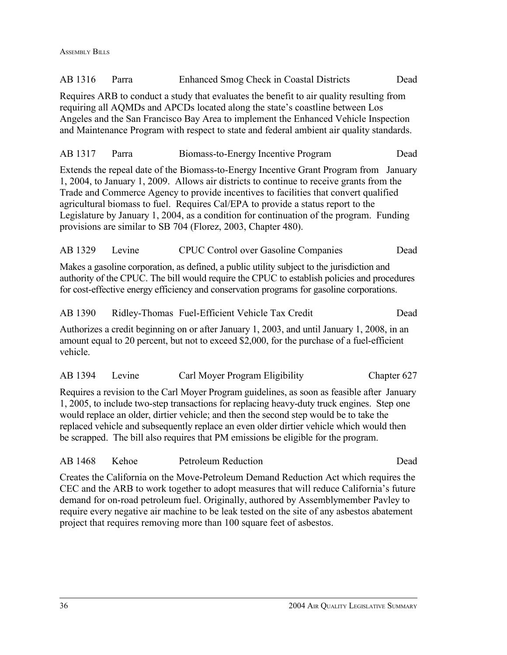| AB 1316                                                                                                                                                                                                                                                                                                                                                                                                                                                               | Parra                                                                                                                                                                                                                                                                                                                                                                                                                                                                                                                        | Enhanced Smog Check in Coastal Districts                                                                                                                                                                                                                                               | Dead        |  |  |  |
|-----------------------------------------------------------------------------------------------------------------------------------------------------------------------------------------------------------------------------------------------------------------------------------------------------------------------------------------------------------------------------------------------------------------------------------------------------------------------|------------------------------------------------------------------------------------------------------------------------------------------------------------------------------------------------------------------------------------------------------------------------------------------------------------------------------------------------------------------------------------------------------------------------------------------------------------------------------------------------------------------------------|----------------------------------------------------------------------------------------------------------------------------------------------------------------------------------------------------------------------------------------------------------------------------------------|-------------|--|--|--|
|                                                                                                                                                                                                                                                                                                                                                                                                                                                                       | Requires ARB to conduct a study that evaluates the benefit to air quality resulting from<br>requiring all AQMDs and APCDs located along the state's coastline between Los<br>Angeles and the San Francisco Bay Area to implement the Enhanced Vehicle Inspection<br>and Maintenance Program with respect to state and federal ambient air quality standards.                                                                                                                                                                 |                                                                                                                                                                                                                                                                                        |             |  |  |  |
| AB 1317                                                                                                                                                                                                                                                                                                                                                                                                                                                               | Parra                                                                                                                                                                                                                                                                                                                                                                                                                                                                                                                        | Biomass-to-Energy Incentive Program                                                                                                                                                                                                                                                    | Dead        |  |  |  |
|                                                                                                                                                                                                                                                                                                                                                                                                                                                                       | Extends the repeal date of the Biomass-to-Energy Incentive Grant Program from<br>January<br>1, 2004, to January 1, 2009. Allows air districts to continue to receive grants from the<br>Trade and Commerce Agency to provide incentives to facilities that convert qualified<br>agricultural biomass to fuel. Requires Cal/EPA to provide a status report to the<br>Legislature by January 1, 2004, as a condition for continuation of the program. Funding<br>provisions are similar to SB 704 (Florez, 2003, Chapter 480). |                                                                                                                                                                                                                                                                                        |             |  |  |  |
| AB 1329                                                                                                                                                                                                                                                                                                                                                                                                                                                               | Levine                                                                                                                                                                                                                                                                                                                                                                                                                                                                                                                       | <b>CPUC Control over Gasoline Companies</b>                                                                                                                                                                                                                                            | Dead        |  |  |  |
|                                                                                                                                                                                                                                                                                                                                                                                                                                                                       |                                                                                                                                                                                                                                                                                                                                                                                                                                                                                                                              | Makes a gasoline corporation, as defined, a public utility subject to the jurisdiction and<br>authority of the CPUC. The bill would require the CPUC to establish policies and procedures<br>for cost-effective energy efficiency and conservation programs for gasoline corporations. |             |  |  |  |
| AB 1390                                                                                                                                                                                                                                                                                                                                                                                                                                                               |                                                                                                                                                                                                                                                                                                                                                                                                                                                                                                                              | Ridley-Thomas Fuel-Efficient Vehicle Tax Credit                                                                                                                                                                                                                                        | Dead        |  |  |  |
| Authorizes a credit beginning on or after January 1, 2003, and until January 1, 2008, in an<br>amount equal to 20 percent, but not to exceed \$2,000, for the purchase of a fuel-efficient<br>vehicle.                                                                                                                                                                                                                                                                |                                                                                                                                                                                                                                                                                                                                                                                                                                                                                                                              |                                                                                                                                                                                                                                                                                        |             |  |  |  |
| AB 1394                                                                                                                                                                                                                                                                                                                                                                                                                                                               | Levine                                                                                                                                                                                                                                                                                                                                                                                                                                                                                                                       | Carl Moyer Program Eligibility                                                                                                                                                                                                                                                         | Chapter 627 |  |  |  |
| Requires a revision to the Carl Moyer Program guidelines, as soon as feasible after January<br>1, 2005, to include two-step transactions for replacing heavy-duty truck engines. Step one<br>would replace an older, dirtier vehicle; and then the second step would be to take the<br>replaced vehicle and subsequently replace an even older dirtier vehicle which would then<br>be scrapped. The bill also requires that PM emissions be eligible for the program. |                                                                                                                                                                                                                                                                                                                                                                                                                                                                                                                              |                                                                                                                                                                                                                                                                                        |             |  |  |  |
| AB 1468                                                                                                                                                                                                                                                                                                                                                                                                                                                               | Kehoe                                                                                                                                                                                                                                                                                                                                                                                                                                                                                                                        | <b>Petroleum Reduction</b>                                                                                                                                                                                                                                                             | Dead        |  |  |  |
|                                                                                                                                                                                                                                                                                                                                                                                                                                                                       | Creates the California on the Move-Petroleum Demand Reduction Act which requires the                                                                                                                                                                                                                                                                                                                                                                                                                                         |                                                                                                                                                                                                                                                                                        |             |  |  |  |

CEC and the ARB to work together to adopt measures that will reduce California's future demand for on-road petroleum fuel. Originally, authored by Assemblymember Pavley to require every negative air machine to be leak tested on the site of any asbestos abatement

project that requires removing more than 100 square feet of asbestos.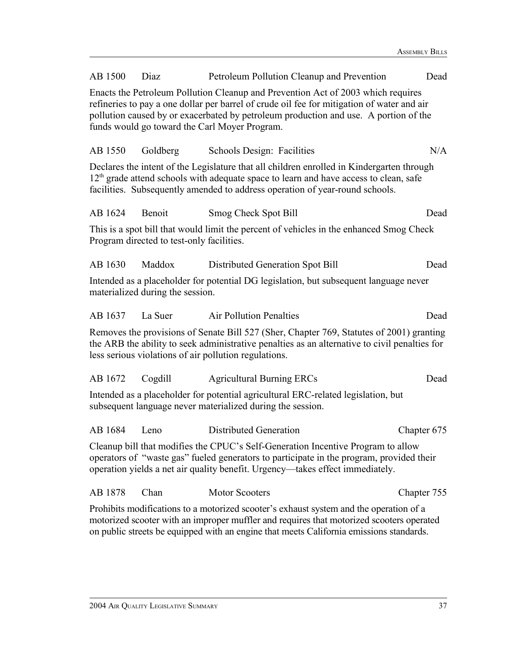| AB 1500                                                                                                                                                                                                                                                       | Diaz                                                                                                                                                                                                                                                                                                                    | Petroleum Pollution Cleanup and Prevention                                                                                                                                                                                                                           | Dead        |  |  |  |
|---------------------------------------------------------------------------------------------------------------------------------------------------------------------------------------------------------------------------------------------------------------|-------------------------------------------------------------------------------------------------------------------------------------------------------------------------------------------------------------------------------------------------------------------------------------------------------------------------|----------------------------------------------------------------------------------------------------------------------------------------------------------------------------------------------------------------------------------------------------------------------|-------------|--|--|--|
|                                                                                                                                                                                                                                                               | Enacts the Petroleum Pollution Cleanup and Prevention Act of 2003 which requires<br>refineries to pay a one dollar per barrel of crude oil fee for mitigation of water and air<br>pollution caused by or exacerbated by petroleum production and use. A portion of the<br>funds would go toward the Carl Moyer Program. |                                                                                                                                                                                                                                                                      |             |  |  |  |
| AB 1550                                                                                                                                                                                                                                                       | Goldberg                                                                                                                                                                                                                                                                                                                | Schools Design: Facilities                                                                                                                                                                                                                                           | N/A         |  |  |  |
|                                                                                                                                                                                                                                                               |                                                                                                                                                                                                                                                                                                                         | Declares the intent of the Legislature that all children enrolled in Kindergarten through<br>$12th$ grade attend schools with adequate space to learn and have access to clean, safe<br>facilities. Subsequently amended to address operation of year-round schools. |             |  |  |  |
| AB 1624                                                                                                                                                                                                                                                       | Benoit                                                                                                                                                                                                                                                                                                                  | Smog Check Spot Bill                                                                                                                                                                                                                                                 | Dead        |  |  |  |
|                                                                                                                                                                                                                                                               | Program directed to test-only facilities.                                                                                                                                                                                                                                                                               | This is a spot bill that would limit the percent of vehicles in the enhanced Smog Check                                                                                                                                                                              |             |  |  |  |
| AB 1630                                                                                                                                                                                                                                                       | Maddox                                                                                                                                                                                                                                                                                                                  | Distributed Generation Spot Bill                                                                                                                                                                                                                                     | Dead        |  |  |  |
|                                                                                                                                                                                                                                                               | materialized during the session.                                                                                                                                                                                                                                                                                        | Intended as a placeholder for potential DG legislation, but subsequent language never                                                                                                                                                                                |             |  |  |  |
| AB 1637                                                                                                                                                                                                                                                       | La Suer                                                                                                                                                                                                                                                                                                                 | <b>Air Pollution Penalties</b>                                                                                                                                                                                                                                       | Dead        |  |  |  |
| Removes the provisions of Senate Bill 527 (Sher, Chapter 769, Statutes of 2001) granting<br>the ARB the ability to seek administrative penalties as an alternative to civil penalties for<br>less serious violations of air pollution regulations.            |                                                                                                                                                                                                                                                                                                                         |                                                                                                                                                                                                                                                                      |             |  |  |  |
| AB 1672                                                                                                                                                                                                                                                       | Cogdill                                                                                                                                                                                                                                                                                                                 | <b>Agricultural Burning ERCs</b>                                                                                                                                                                                                                                     | Dead        |  |  |  |
| Intended as a placeholder for potential agricultural ERC-related legislation, but<br>subsequent language never materialized during the session.                                                                                                               |                                                                                                                                                                                                                                                                                                                         |                                                                                                                                                                                                                                                                      |             |  |  |  |
| AB 1684                                                                                                                                                                                                                                                       | Leno                                                                                                                                                                                                                                                                                                                    | <b>Distributed Generation</b>                                                                                                                                                                                                                                        | Chapter 675 |  |  |  |
| Cleanup bill that modifies the CPUC's Self-Generation Incentive Program to allow<br>operators of "waste gas" fueled generators to participate in the program, provided their<br>operation yields a net air quality benefit. Urgency—takes effect immediately. |                                                                                                                                                                                                                                                                                                                         |                                                                                                                                                                                                                                                                      |             |  |  |  |
| AB 1878                                                                                                                                                                                                                                                       | Chan                                                                                                                                                                                                                                                                                                                    | Motor Scooters                                                                                                                                                                                                                                                       | Chapter 755 |  |  |  |

Prohibits modifications to a motorized scooter's exhaust system and the operation of a motorized scooter with an improper muffler and requires that motorized scooters operated on public streets be equipped with an engine that meets California emissions standards.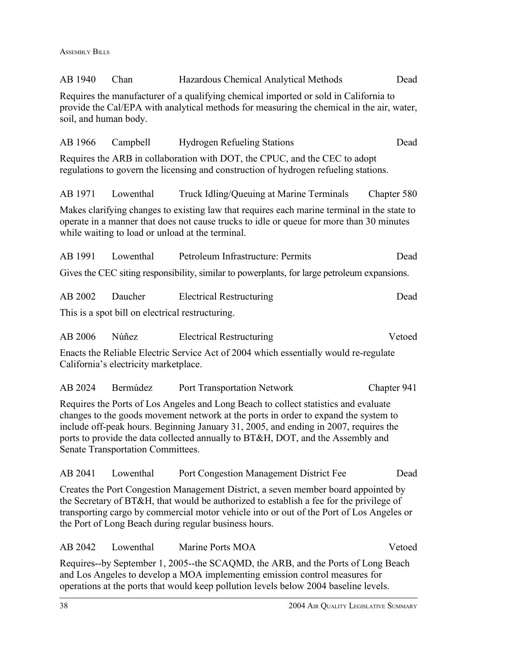ASSEMBLY BILLS

| AB 1940               | Chan                                             | Hazardous Chemical Analytical Methods                                                                                                                                                                                                                                                                                                                 | Dead        |
|-----------------------|--------------------------------------------------|-------------------------------------------------------------------------------------------------------------------------------------------------------------------------------------------------------------------------------------------------------------------------------------------------------------------------------------------------------|-------------|
| soil, and human body. |                                                  | Requires the manufacturer of a qualifying chemical imported or sold in California to<br>provide the Cal/EPA with analytical methods for measuring the chemical in the air, water,                                                                                                                                                                     |             |
| AB 1966               | Campbell                                         | <b>Hydrogen Refueling Stations</b>                                                                                                                                                                                                                                                                                                                    | Dead        |
|                       |                                                  | Requires the ARB in collaboration with DOT, the CPUC, and the CEC to adopt<br>regulations to govern the licensing and construction of hydrogen refueling stations.                                                                                                                                                                                    |             |
| AB 1971               | Lowenthal                                        | Truck Idling/Queuing at Marine Terminals                                                                                                                                                                                                                                                                                                              | Chapter 580 |
|                       |                                                  | Makes clarifying changes to existing law that requires each marine terminal in the state to<br>operate in a manner that does not cause trucks to idle or queue for more than 30 minutes<br>while waiting to load or unload at the terminal.                                                                                                           |             |
| AB 1991               | Lowenthal                                        | Petroleum Infrastructure: Permits                                                                                                                                                                                                                                                                                                                     | Dead        |
|                       |                                                  | Gives the CEC siting responsibility, similar to powerplants, for large petroleum expansions.                                                                                                                                                                                                                                                          |             |
| AB 2002               | Daucher                                          | <b>Electrical Restructuring</b>                                                                                                                                                                                                                                                                                                                       | Dead        |
|                       | This is a spot bill on electrical restructuring. |                                                                                                                                                                                                                                                                                                                                                       |             |
| AB 2006               | Núñez                                            | <b>Electrical Restructuring</b>                                                                                                                                                                                                                                                                                                                       | Vetoed      |
|                       | California's electricity marketplace.            | Enacts the Reliable Electric Service Act of 2004 which essentially would re-regulate                                                                                                                                                                                                                                                                  |             |
| AB 2024               | Bermúdez                                         | <b>Port Transportation Network</b>                                                                                                                                                                                                                                                                                                                    | Chapter 941 |
|                       | Senate Transportation Committees.                | Requires the Ports of Los Angeles and Long Beach to collect statistics and evaluate<br>changes to the goods movement network at the ports in order to expand the system to<br>include off-peak hours. Beginning January 31, 2005, and ending in 2007, requires the<br>ports to provide the data collected annually to BT&H, DOT, and the Assembly and |             |
| AB 2041               | Lowenthal                                        | Port Congestion Management District Fee                                                                                                                                                                                                                                                                                                               | Dead        |
|                       |                                                  | Creates the Port Congestion Management District, a seven member board appointed by<br>the Secretary of BT&H, that would be authorized to establish a fee for the privilege of<br>transporting cargo by commercial motor vehicle into or out of the Port of Los Angeles or<br>the Port of Long Beach during regular business hours.                    |             |
| AB 2042               | Lowenthal                                        | Marine Ports MOA                                                                                                                                                                                                                                                                                                                                      | Vetoed      |
|                       |                                                  | Requires-by September 1, 2005--the SCAQMD, the ARB, and the Ports of Long Beach<br>and Los Angeles to develop a MOA implementing emission control measures for<br>operations at the ports that would keep pollution levels below 2004 baseline levels.                                                                                                |             |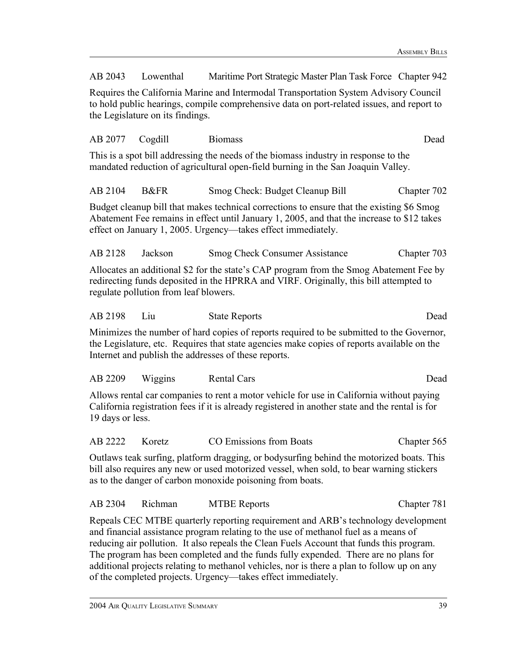AB 2043 Lowenthal Maritime Port Strategic Master Plan Task Force Chapter 942

Requires the California Marine and Intermodal Transportation System Advisory Council to hold public hearings, compile comprehensive data on port-related issues, and report to the Legislature on its findings.

AB 2077 Cogdill Biomass Dead This is a spot bill addressing the needs of the biomass industry in response to the mandated reduction of agricultural open-field burning in the San Joaquin Valley.

AB 2104 B&FR Smog Check: Budget Cleanup Bill Chapter 702

Budget cleanup bill that makes technical corrections to ensure that the existing \$6 Smog Abatement Fee remains in effect until January 1, 2005, and that the increase to \$12 takes effect on January 1, 2005. Urgency—takes effect immediately.

AB 2128 Jackson Smog Check Consumer Assistance Chapter 703 Allocates an additional \$2 for the state's CAP program from the Smog Abatement Fee by redirecting funds deposited in the HPRRA and VIRF. Originally, this bill attempted to

regulate pollution from leaf blowers.

AB 2198 Liu State Reports Dead

Minimizes the number of hard copies of reports required to be submitted to the Governor, the Legislature, etc. Requires that state agencies make copies of reports available on the Internet and publish the addresses of these reports.

| AB 2209 | Wiggins | Rental Cars | Dead |
|---------|---------|-------------|------|
|---------|---------|-------------|------|

Allows rental car companies to rent a motor vehicle for use in California without paying California registration fees if it is already registered in another state and the rental is for 19 days or less.

AB 2222 Koretz CO Emissions from Boats Chapter 565

Outlaws teak surfing, platform dragging, or bodysurfing behind the motorized boats. This bill also requires any new or used motorized vessel, when sold, to bear warning stickers as to the danger of carbon monoxide poisoning from boats.

AB 2304 Richman MTBE Reports Chapter 781

Repeals CEC MTBE quarterly reporting requirement and ARB's technology development and financial assistance program relating to the use of methanol fuel as a means of reducing air pollution. It also repeals the Clean Fuels Account that funds this program. The program has been completed and the funds fully expended. There are no plans for additional projects relating to methanol vehicles, nor is there a plan to follow up on any of the completed projects. Urgency—takes effect immediately.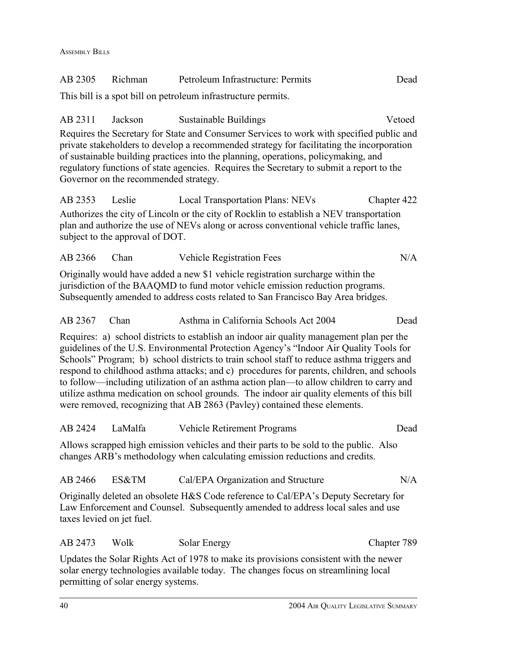| AB 2305                   | Richman                                          | Petroleum Infrastructure: Permits                                                                                                                                                                                                                                                                                                                                                                                                                                                                                                                                                                                                                 | Dead        |
|---------------------------|--------------------------------------------------|---------------------------------------------------------------------------------------------------------------------------------------------------------------------------------------------------------------------------------------------------------------------------------------------------------------------------------------------------------------------------------------------------------------------------------------------------------------------------------------------------------------------------------------------------------------------------------------------------------------------------------------------------|-------------|
|                           |                                                  | This bill is a spot bill on petroleum infrastructure permits.                                                                                                                                                                                                                                                                                                                                                                                                                                                                                                                                                                                     |             |
| AB 2311                   | Jackson<br>Governor on the recommended strategy. | Sustainable Buildings<br>Requires the Secretary for State and Consumer Services to work with specified public and<br>private stakeholders to develop a recommended strategy for facilitating the incorporation<br>of sustainable building practices into the planning, operations, policymaking, and<br>regulatory functions of state agencies. Requires the Secretary to submit a report to the                                                                                                                                                                                                                                                  | Vetoed      |
| AB 2353                   | Leslie<br>subject to the approval of DOT.        | <b>Local Transportation Plans: NEVs</b><br>Authorizes the city of Lincoln or the city of Rocklin to establish a NEV transportation<br>plan and authorize the use of NEVs along or across conventional vehicle traffic lanes,                                                                                                                                                                                                                                                                                                                                                                                                                      | Chapter 422 |
| AB 2366                   | Chan                                             | Vehicle Registration Fees                                                                                                                                                                                                                                                                                                                                                                                                                                                                                                                                                                                                                         | N/A         |
|                           |                                                  | Originally would have added a new \$1 vehicle registration surcharge within the<br>jurisdiction of the BAAQMD to fund motor vehicle emission reduction programs.<br>Subsequently amended to address costs related to San Francisco Bay Area bridges.                                                                                                                                                                                                                                                                                                                                                                                              |             |
| AB 2367                   | Chan                                             | Asthma in California Schools Act 2004                                                                                                                                                                                                                                                                                                                                                                                                                                                                                                                                                                                                             | Dead        |
|                           |                                                  | Requires: a) school districts to establish an indoor air quality management plan per the<br>guidelines of the U.S. Environmental Protection Agency's "Indoor Air Quality Tools for<br>Schools" Program; b) school districts to train school staff to reduce asthma triggers and<br>respond to childhood asthma attacks; and c) procedures for parents, children, and schools<br>to follow—including utilization of an asthma action plan—to allow children to carry and<br>utilize asthma medication on school grounds. The indoor air quality elements of this bill<br>were removed, recognizing that AB 2863 (Pavley) contained these elements. |             |
| AB 2424                   | LaMalfa                                          | <b>Vehicle Retirement Programs</b>                                                                                                                                                                                                                                                                                                                                                                                                                                                                                                                                                                                                                | Dead        |
|                           |                                                  | Allows scrapped high emission vehicles and their parts to be sold to the public. Also<br>changes ARB's methodology when calculating emission reductions and credits.                                                                                                                                                                                                                                                                                                                                                                                                                                                                              |             |
| AB 2466                   | ES&TM                                            | Cal/EPA Organization and Structure                                                                                                                                                                                                                                                                                                                                                                                                                                                                                                                                                                                                                | N/A         |
| taxes levied on jet fuel. |                                                  | Originally deleted an obsolete H&S Code reference to Cal/EPA's Deputy Secretary for<br>Law Enforcement and Counsel. Subsequently amended to address local sales and use                                                                                                                                                                                                                                                                                                                                                                                                                                                                           |             |
| AB 2473                   | Wolk                                             | Solar Energy                                                                                                                                                                                                                                                                                                                                                                                                                                                                                                                                                                                                                                      | Chapter 789 |
|                           |                                                  | Updates the Solar Rights Act of 1978 to make its provisions consistent with the newer<br>solar energy technologies available today. The changes focus on streamlining local                                                                                                                                                                                                                                                                                                                                                                                                                                                                       |             |

permitting of solar energy systems.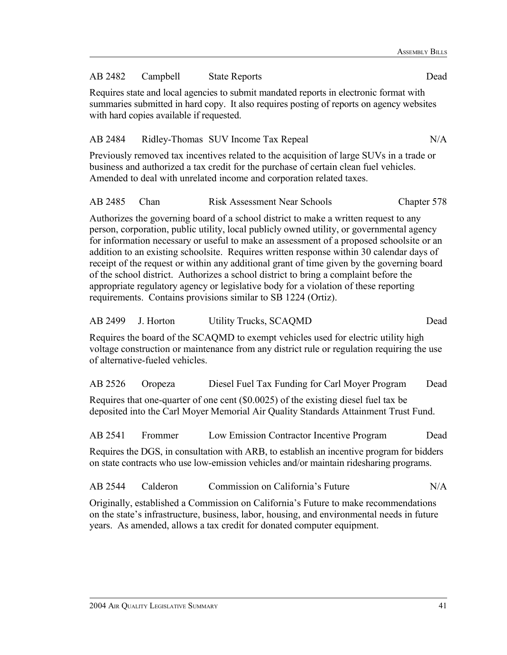### AB 2482 Campbell State Reports Dead

Requires state and local agencies to submit mandated reports in electronic format with summaries submitted in hard copy. It also requires posting of reports on agency websites with hard copies available if requested.

#### AB 2484 Ridley-Thomas SUV Income Tax Repeal N/A

Previously removed tax incentives related to the acquisition of large SUVs in a trade or business and authorized a tax credit for the purchase of certain clean fuel vehicles. Amended to deal with unrelated income and corporation related taxes.

| AB 2485 Chan |  | <b>Risk Assessment Near Schools</b> | Chapter 578 |
|--------------|--|-------------------------------------|-------------|
|--------------|--|-------------------------------------|-------------|

Authorizes the governing board of a school district to make a written request to any person, corporation, public utility, local publicly owned utility, or governmental agency for information necessary or useful to make an assessment of a proposed schoolsite or an addition to an existing schoolsite. Requires written response within 30 calendar days of receipt of the request or within any additional grant of time given by the governing board of the school district. Authorizes a school district to bring a complaint before the appropriate regulatory agency or legislative body for a violation of these reporting requirements. Contains provisions similar to SB 1224 (Ortiz).

| AB 2499 | J. Horton                       | <b>Utility Trucks, SCAQMD</b>                                                                                                                                                        | Dead |
|---------|---------------------------------|--------------------------------------------------------------------------------------------------------------------------------------------------------------------------------------|------|
|         | of alternative-fueled vehicles. | Requires the board of the SCAQMD to exempt vehicles used for electric utility high<br>voltage construction or maintenance from any district rule or regulation requiring the use     |      |
| AB 2526 | Oropeza                         | Diesel Fuel Tax Funding for Carl Moyer Program                                                                                                                                       | Dead |
|         |                                 | Requires that one-quarter of one cent (\$0.0025) of the existing diesel fuel tax be<br>deposited into the Carl Moyer Memorial Air Quality Standards Attainment Trust Fund.           |      |
| AB 2541 | Frommer                         | Low Emission Contractor Incentive Program                                                                                                                                            | Dead |
|         |                                 | Requires the DGS, in consultation with ARB, to establish an incentive program for bidders<br>on state contracts who use low-emission vehicles and/or maintain rides haring programs. |      |

| AB 2544 | Calderon | Commission on California's Future | $\rm N/A$ |
|---------|----------|-----------------------------------|-----------|
|---------|----------|-----------------------------------|-----------|

Originally, established a Commission on California's Future to make recommendations on the state's infrastructure, business, labor, housing, and environmental needs in future years. As amended, allows a tax credit for donated computer equipment.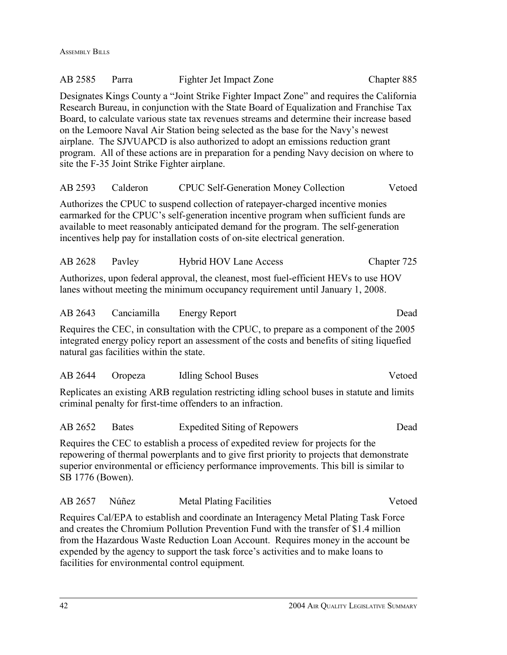ASSEMBLY BILLS

| AB 2585          | Parra                                        | Fighter Jet Impact Zone                                                                                                                                                                                                                                                                                                                                                                                                                                                                                                                             | Chapter 885 |
|------------------|----------------------------------------------|-----------------------------------------------------------------------------------------------------------------------------------------------------------------------------------------------------------------------------------------------------------------------------------------------------------------------------------------------------------------------------------------------------------------------------------------------------------------------------------------------------------------------------------------------------|-------------|
|                  | site the F-35 Joint Strike Fighter airplane. | Designates Kings County a "Joint Strike Fighter Impact Zone" and requires the California<br>Research Bureau, in conjunction with the State Board of Equalization and Franchise Tax<br>Board, to calculate various state tax revenues streams and determine their increase based<br>on the Lemoore Naval Air Station being selected as the base for the Navy's newest<br>airplane. The SJVUAPCD is also authorized to adopt an emissions reduction grant<br>program. All of these actions are in preparation for a pending Navy decision on where to |             |
| AB 2593 Calderon |                                              | <b>CPUC Self-Generation Money Collection</b>                                                                                                                                                                                                                                                                                                                                                                                                                                                                                                        | Vetoed      |
|                  |                                              | Authorizes the CPUC to suspend collection of ratepayer-charged incentive monies<br>earmarked for the CPUC's self-generation incentive program when sufficient funds are<br>available to meet reasonably anticipated demand for the program. The self-generation<br>incentives help pay for installation costs of on-site electrical generation.                                                                                                                                                                                                     |             |
| AB 2628          | Payley                                       | <b>Hybrid HOV Lane Access</b>                                                                                                                                                                                                                                                                                                                                                                                                                                                                                                                       | Chapter 725 |
|                  |                                              | Authorizes, upon federal approval, the cleanest, most fuel-efficient HEVs to use HOV<br>lanes without meeting the minimum occupancy requirement until January 1, 2008.                                                                                                                                                                                                                                                                                                                                                                              |             |
| AB 2643          | Canciamilla                                  | <b>Energy Report</b>                                                                                                                                                                                                                                                                                                                                                                                                                                                                                                                                | Dead        |
|                  | natural gas facilities within the state.     | Requires the CEC, in consultation with the CPUC, to prepare as a component of the 2005<br>integrated energy policy report an assessment of the costs and benefits of siting liquefied                                                                                                                                                                                                                                                                                                                                                               |             |
| AB 2644          | Oropeza                                      | <b>Idling School Buses</b>                                                                                                                                                                                                                                                                                                                                                                                                                                                                                                                          | Vetoed      |
|                  |                                              | Replicates an existing ARB regulation restricting idling school buses in statute and limits<br>criminal penalty for first-time offenders to an infraction.                                                                                                                                                                                                                                                                                                                                                                                          |             |
| AB 2652          | <b>Bates</b>                                 | <b>Expedited Siting of Repowers</b>                                                                                                                                                                                                                                                                                                                                                                                                                                                                                                                 | Dead        |
| SB 1776 (Bowen). |                                              | Requires the CEC to establish a process of expedited review for projects for the<br>repowering of thermal powerplants and to give first priority to projects that demonstrate<br>superior environmental or efficiency performance improvements. This bill is similar to                                                                                                                                                                                                                                                                             |             |
| AB 2657          | Núñez                                        | <b>Metal Plating Facilities</b>                                                                                                                                                                                                                                                                                                                                                                                                                                                                                                                     | Vetoed      |
|                  |                                              | Requires Cal/EPA to establish and coordinate an Interagency Metal Plating Task Force<br>and creates the Chromium Pollution Prevention Fund with the transfer of \$1.4 million<br>from the Hazardous Waste Reduction Loan Account. Requires money in the account be<br>expended by the agency to support the task force's activities and to make loans to                                                                                                                                                                                            |             |

facilities for environmental control equipment*.*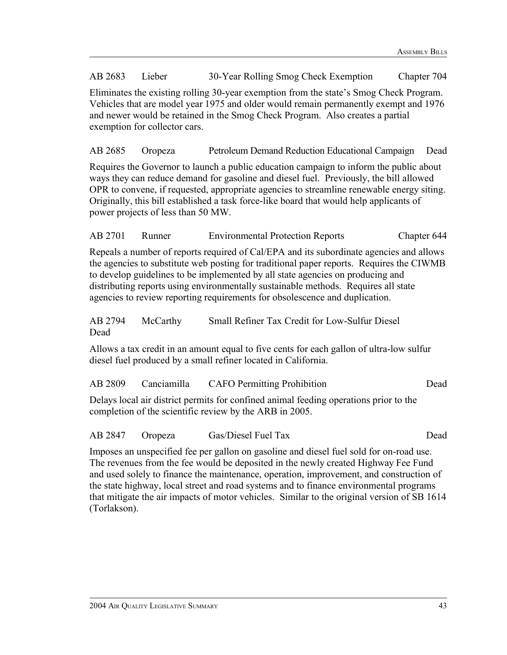AB 2683 Lieber 30-Year Rolling Smog Check Exemption Chapter 704

Eliminates the existing rolling 30-year exemption from the state's Smog Check Program. Vehicles that are model year 1975 and older would remain permanently exempt and 1976 and newer would be retained in the Smog Check Program. Also creates a partial exemption for collector cars.

AB 2685 Oropeza Petroleum Demand Reduction Educational Campaign Dead

Requires the Governor to launch a public education campaign to inform the public about ways they can reduce demand for gasoline and diesel fuel. Previously, the bill allowed OPR to convene, if requested, appropriate agencies to streamline renewable energy siting. Originally, this bill established a task force-like board that would help applicants of power projects of less than 50 MW.

AB 2701 Runner Environmental Protection Reports Chapter 644

Repeals a number of reports required of Cal/EPA and its subordinate agencies and allows the agencies to substitute web posting for traditional paper reports. Requires the CIWMB to develop guidelines to be implemented by all state agencies on producing and distributing reports using environmentally sustainable methods. Requires all state agencies to review reporting requirements for obsolescence and duplication.

AB 2794 McCarthy Small Refiner Tax Credit for Low-Sulfur Diesel Dead

Allows a tax credit in an amount equal to five cents for each gallon of ultra-low sulfur diesel fuel produced by a small refiner located in California.

| AB 2809 | Canciamilla | <b>CAFO</b> Permitting Prohibition | Dead |
|---------|-------------|------------------------------------|------|
|---------|-------------|------------------------------------|------|

Delays local air district permits for confined animal feeding operations prior to the completion of the scientific review by the ARB in 2005.

AB 2847 Oropeza Gas/Diesel Fuel Tax Dead

Imposes an unspecified fee per gallon on gasoline and diesel fuel sold for on-road use. The revenues from the fee would be deposited in the newly created Highway Fee Fund and used solely to finance the maintenance, operation, improvement, and construction of the state highway, local street and road systems and to finance environmental programs that mitigate the air impacts of motor vehicles. Similar to the original version of SB 1614 (Torlakson).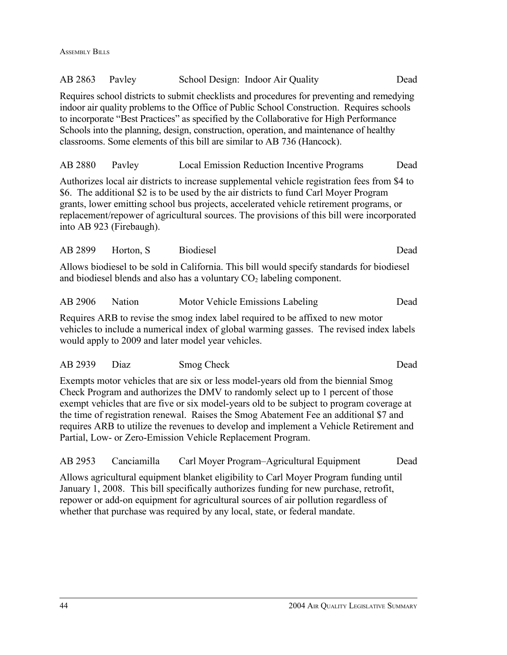| AB 2863 | Pavley                   |                                                             | School Design: Indoor Air Quality                                                                                                                                                                                                                                                                                                                                                                                                                      | Dead |
|---------|--------------------------|-------------------------------------------------------------|--------------------------------------------------------------------------------------------------------------------------------------------------------------------------------------------------------------------------------------------------------------------------------------------------------------------------------------------------------------------------------------------------------------------------------------------------------|------|
|         |                          |                                                             | Requires school districts to submit checklists and procedures for preventing and remedying<br>indoor air quality problems to the Office of Public School Construction. Requires schools<br>to incorporate "Best Practices" as specified by the Collaborative for High Performance<br>Schools into the planning, design, construction, operation, and maintenance of healthy<br>classrooms. Some elements of this bill are similar to AB 736 (Hancock). |      |
| AB 2880 | Payley                   |                                                             | Local Emission Reduction Incentive Programs                                                                                                                                                                                                                                                                                                                                                                                                            | Dead |
|         | into AB 923 (Firebaugh). |                                                             | Authorizes local air districts to increase supplemental vehicle registration fees from \$4 to<br>\$6. The additional \$2 is to be used by the air districts to fund Carl Moyer Program<br>grants, lower emitting school bus projects, accelerated vehicle retirement programs, or<br>replacement/repower of agricultural sources. The provisions of this bill were incorporated                                                                        |      |
| AB 2899 | Horton, S                | <b>Biodiesel</b>                                            |                                                                                                                                                                                                                                                                                                                                                                                                                                                        | Dead |
|         |                          |                                                             | Allows biodiesel to be sold in California. This bill would specify standards for biodiesel<br>and biodiesel blends and also has a voluntary CO <sub>2</sub> labeling component.                                                                                                                                                                                                                                                                        |      |
| AB 2906 | Nation                   |                                                             | Motor Vehicle Emissions Labeling                                                                                                                                                                                                                                                                                                                                                                                                                       | Dead |
|         |                          | would apply to 2009 and later model year vehicles.          | Requires ARB to revise the smog index label required to be affixed to new motor<br>vehicles to include a numerical index of global warming gasses. The revised index labels                                                                                                                                                                                                                                                                            |      |
| AB 2939 | Diaz                     | Smog Check                                                  |                                                                                                                                                                                                                                                                                                                                                                                                                                                        | Dead |
|         |                          | Partial, Low- or Zero-Emission Vehicle Replacement Program. | Exempts motor vehicles that are six or less model-years old from the biennial Smog<br>Check Program and authorizes the DMV to randomly select up to 1 percent of those<br>exempt vehicles that are five or six model-years old to be subject to program coverage at<br>the time of registration renewal. Raises the Smog Abatement Fee an additional \$7 and<br>requires ARB to utilize the revenues to develop and implement a Vehicle Retirement and |      |
| AB 2953 | Canciamilla              |                                                             | Carl Moyer Program–Agricultural Equipment                                                                                                                                                                                                                                                                                                                                                                                                              | Dead |
|         |                          |                                                             | Allows agricultural equipment blanket eligibility to Carl Moyer Program funding until                                                                                                                                                                                                                                                                                                                                                                  |      |

January 1, 2008. This bill specifically authorizes funding for new purchase, retrofit, repower or add-on equipment for agricultural sources of air pollution regardless of

whether that purchase was required by any local, state, or federal mandate.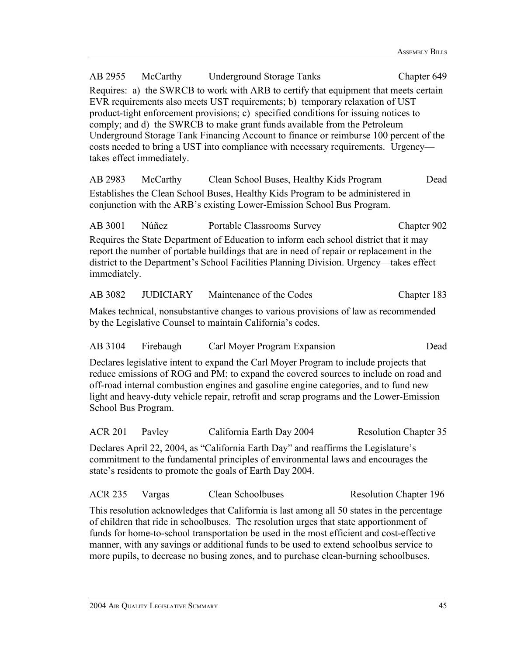AB 2955 McCarthy Underground Storage Tanks Chapter 649 Requires: a) the SWRCB to work with ARB to certify that equipment that meets certain EVR requirements also meets UST requirements; b) temporary relaxation of UST product-tight enforcement provisions; c) specified conditions for issuing notices to comply; and d) the SWRCB to make grant funds available from the Petroleum Underground Storage Tank Financing Account to finance or reimburse 100 percent of the costs needed to bring a UST into compliance with necessary requirements. Urgency takes effect immediately. AB 2983 McCarthy Clean School Buses, Healthy Kids Program Dead Establishes the Clean School Buses, Healthy Kids Program to be administered in conjunction with the ARB's existing Lower-Emission School Bus Program. AB 3001 Núñez Portable Classrooms Survey Chapter 902 Requires the State Department of Education to inform each school district that it may report the number of portable buildings that are in need of repair or replacement in the district to the Department's School Facilities Planning Division. Urgency—takes effect immediately. AB 3082 JUDICIARY Maintenance of the Codes Chapter 183 Makes technical, nonsubstantive changes to various provisions of law as recommended by the Legislative Counsel to maintain California's codes. AB 3104 Firebaugh Carl Moyer Program Expansion Dead Declares legislative intent to expand the Carl Moyer Program to include projects that reduce emissions of ROG and PM; to expand the covered sources to include on road and off-road internal combustion engines and gasoline engine categories, and to fund new light and heavy-duty vehicle repair, retrofit and scrap programs and the Lower-Emission School Bus Program. ACR 201 Pavley California Earth Day 2004 Resolution Chapter 35 Declares April 22, 2004, as "California Earth Day" and reaffirms the Legislature's commitment to the fundamental principles of environmental laws and encourages the state's residents to promote the goals of Earth Day 2004. ACR 235 Vargas Clean Schoolbuses Resolution Chapter 196 This resolution acknowledges that California is last among all 50 states in the percentage of children that ride in schoolbuses. The resolution urges that state apportionment of funds for home-to-school transportation be used in the most efficient and cost-effective manner, with any savings or additional funds to be used to extend schoolbus service to

more pupils, to decrease no busing zones, and to purchase clean-burning schoolbuses.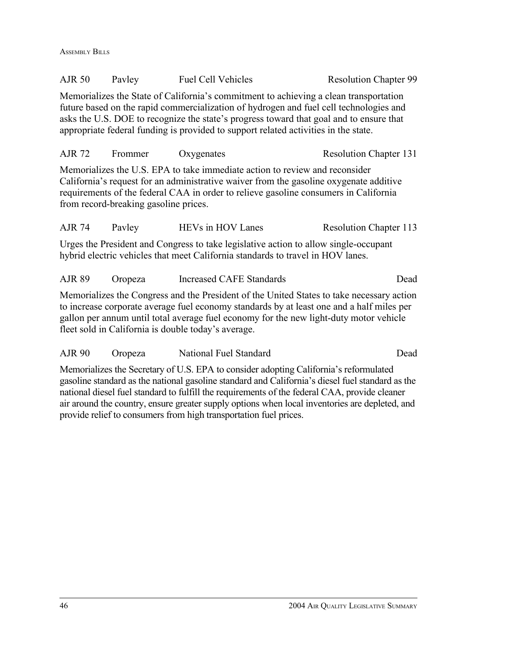ASSEMBLY BILLS

| <b>AJR 50</b> | Payley | <b>Fuel Cell Vehicles</b> | <b>Resolution Chapter 99</b> |
|---------------|--------|---------------------------|------------------------------|
|               |        |                           |                              |

Memorializes the State of California's commitment to achieving a clean transportation future based on the rapid commercialization of hydrogen and fuel cell technologies and asks the U.S. DOE to recognize the state's progress toward that goal and to ensure that appropriate federal funding is provided to support related activities in the state.

| AJR 72 | Frommer | Oxygenates | <b>Resolution Chapter 131</b> |  |
|--------|---------|------------|-------------------------------|--|
|        |         |            |                               |  |

Memorializes the U.S. EPA to take immediate action to review and reconsider California's request for an administrative waiver from the gasoline oxygenate additive requirements of the federal CAA in order to relieve gasoline consumers in California from record-breaking gasoline prices.

AJR 74 Pavley HEVs in HOV Lanes Resolution Chapter 113

Urges the President and Congress to take legislative action to allow single-occupant hybrid electric vehicles that meet California standards to travel in HOV lanes.

AJR 89 Oropeza Increased CAFE Standards Dead

Memorializes the Congress and the President of the United States to take necessary action to increase corporate average fuel economy standards by at least one and a half miles per gallon per annum until total average fuel economy for the new light-duty motor vehicle fleet sold in California is double today's average.

AJR 90 Oropeza National Fuel Standard Dead

Memorializes the Secretary of U.S. EPA to consider adopting California's reformulated gasoline standard as the national gasoline standard and California's diesel fuel standard as the national diesel fuel standard to fulfill the requirements of the federal CAA, provide cleaner air around the country, ensure greater supply options when local inventories are depleted, and provide relief to consumers from high transportation fuel prices.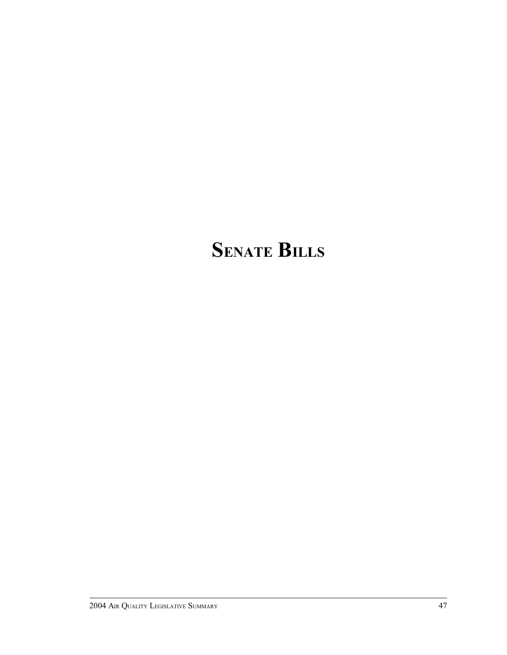# **SENATE BILLS**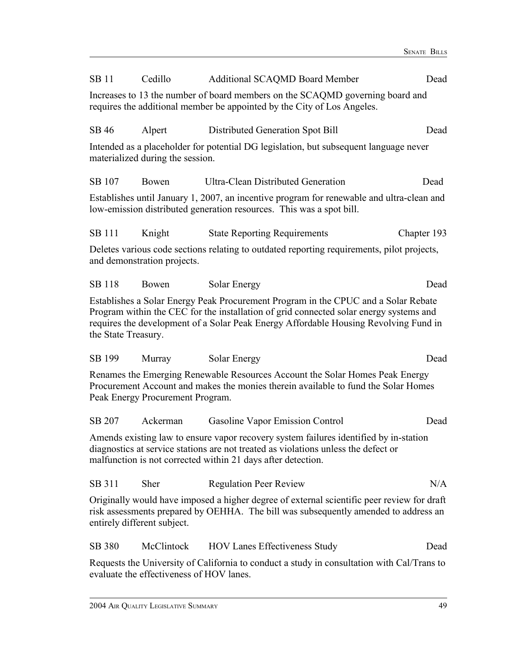| <b>SB11</b>         | Cedillo                                                                                                                                                  | <b>Additional SCAQMD Board Member</b>                                                                                                                                                                                                                                | Dead        |  |  |  |
|---------------------|----------------------------------------------------------------------------------------------------------------------------------------------------------|----------------------------------------------------------------------------------------------------------------------------------------------------------------------------------------------------------------------------------------------------------------------|-------------|--|--|--|
|                     | Increases to 13 the number of board members on the SCAQMD governing board and<br>requires the additional member be appointed by the City of Los Angeles. |                                                                                                                                                                                                                                                                      |             |  |  |  |
| SB 46               | Alpert                                                                                                                                                   | Distributed Generation Spot Bill                                                                                                                                                                                                                                     | Dead        |  |  |  |
|                     | materialized during the session.                                                                                                                         | Intended as a placeholder for potential DG legislation, but subsequent language never                                                                                                                                                                                |             |  |  |  |
| SB 107              | Bowen                                                                                                                                                    | <b>Ultra-Clean Distributed Generation</b>                                                                                                                                                                                                                            | Dead        |  |  |  |
|                     |                                                                                                                                                          | Establishes until January 1, 2007, an incentive program for renewable and ultra-clean and<br>low-emission distributed generation resources. This was a spot bill.                                                                                                    |             |  |  |  |
| <b>SB</b> 111       | Knight                                                                                                                                                   | <b>State Reporting Requirements</b>                                                                                                                                                                                                                                  | Chapter 193 |  |  |  |
|                     | and demonstration projects.                                                                                                                              | Deletes various code sections relating to outdated reporting requirements, pilot projects,                                                                                                                                                                           |             |  |  |  |
| <b>SB</b> 118       | Bowen                                                                                                                                                    | Solar Energy                                                                                                                                                                                                                                                         | Dead        |  |  |  |
| the State Treasury. |                                                                                                                                                          | Establishes a Solar Energy Peak Procurement Program in the CPUC and a Solar Rebate<br>Program within the CEC for the installation of grid connected solar energy systems and<br>requires the development of a Solar Peak Energy Affordable Housing Revolving Fund in |             |  |  |  |
| SB 199              | Murray                                                                                                                                                   | Solar Energy                                                                                                                                                                                                                                                         | Dead        |  |  |  |
|                     | Peak Energy Procurement Program.                                                                                                                         | Renames the Emerging Renewable Resources Account the Solar Homes Peak Energy<br>Procurement Account and makes the monies therein available to fund the Solar Homes                                                                                                   |             |  |  |  |
| <b>SB 207</b>       | Ackerman                                                                                                                                                 | Gasoline Vapor Emission Control                                                                                                                                                                                                                                      | Dead        |  |  |  |
|                     |                                                                                                                                                          | Amends existing law to ensure vapor recovery system failures identified by in-station<br>diagnostics at service stations are not treated as violations unless the defect or<br>malfunction is not corrected within 21 days after detection.                          |             |  |  |  |
| SB 311              | Sher                                                                                                                                                     | <b>Regulation Peer Review</b>                                                                                                                                                                                                                                        | N/A         |  |  |  |
|                     | entirely different subject.                                                                                                                              | Originally would have imposed a higher degree of external scientific peer review for draft<br>risk assessments prepared by OEHHA. The bill was subsequently amended to address an                                                                                    |             |  |  |  |
| SB 380              | McClintock                                                                                                                                               | <b>HOV Lanes Effectiveness Study</b>                                                                                                                                                                                                                                 | Dead        |  |  |  |
|                     | evaluate the effectiveness of HOV lanes.                                                                                                                 | Requests the University of California to conduct a study in consultation with Cal/Trans to                                                                                                                                                                           |             |  |  |  |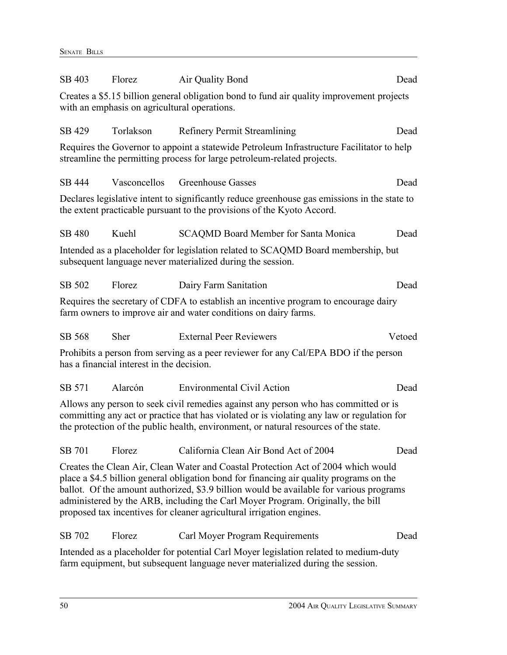| SB 403        | Florez                                       | Air Quality Bond                                                                                                                                                                                                                                                                                                                                                                                                                   | Dead   |
|---------------|----------------------------------------------|------------------------------------------------------------------------------------------------------------------------------------------------------------------------------------------------------------------------------------------------------------------------------------------------------------------------------------------------------------------------------------------------------------------------------------|--------|
|               | with an emphasis on agricultural operations. | Creates a \$5.15 billion general obligation bond to fund air quality improvement projects                                                                                                                                                                                                                                                                                                                                          |        |
| SB 429        | Torlakson                                    | <b>Refinery Permit Streamlining</b>                                                                                                                                                                                                                                                                                                                                                                                                | Dead   |
|               |                                              | Requires the Governor to appoint a statewide Petroleum Infrastructure Facilitator to help<br>streamline the permitting process for large petroleum-related projects.                                                                                                                                                                                                                                                               |        |
| SB 444        | Vasconcellos                                 | Greenhouse Gasses                                                                                                                                                                                                                                                                                                                                                                                                                  | Dead   |
|               |                                              | Declares legislative intent to significantly reduce greenhouse gas emissions in the state to<br>the extent practicable pursuant to the provisions of the Kyoto Accord.                                                                                                                                                                                                                                                             |        |
| <b>SB 480</b> | Kuehl                                        | <b>SCAQMD Board Member for Santa Monica</b>                                                                                                                                                                                                                                                                                                                                                                                        | Dead   |
|               |                                              | Intended as a placeholder for legislation related to SCAQMD Board membership, but<br>subsequent language never materialized during the session.                                                                                                                                                                                                                                                                                    |        |
| SB 502        | Florez                                       | Dairy Farm Sanitation                                                                                                                                                                                                                                                                                                                                                                                                              | Dead   |
|               |                                              | Requires the secretary of CDFA to establish an incentive program to encourage dairy<br>farm owners to improve air and water conditions on dairy farms.                                                                                                                                                                                                                                                                             |        |
| SB 568        | <b>Sher</b>                                  | <b>External Peer Reviewers</b>                                                                                                                                                                                                                                                                                                                                                                                                     | Vetoed |
|               | has a financial interest in the decision.    | Prohibits a person from serving as a peer reviewer for any Cal/EPA BDO if the person                                                                                                                                                                                                                                                                                                                                               |        |
| SB 571        | Alarcón                                      | <b>Environmental Civil Action</b>                                                                                                                                                                                                                                                                                                                                                                                                  | Dead   |
|               |                                              | Allows any person to seek civil remedies against any person who has committed or is<br>committing any act or practice that has violated or is violating any law or regulation for<br>the protection of the public health, environment, or natural resources of the state.                                                                                                                                                          |        |
| SB 701        | Florez                                       | California Clean Air Bond Act of 2004                                                                                                                                                                                                                                                                                                                                                                                              | Dead   |
|               |                                              | Creates the Clean Air, Clean Water and Coastal Protection Act of 2004 which would<br>place a \$4.5 billion general obligation bond for financing air quality programs on the<br>ballot. Of the amount authorized, \$3.9 billion would be available for various programs<br>administered by the ARB, including the Carl Moyer Program. Originally, the bill<br>proposed tax incentives for cleaner agricultural irrigation engines. |        |
| SB 702        | Florez                                       | Carl Moyer Program Requirements                                                                                                                                                                                                                                                                                                                                                                                                    | Dead   |
|               |                                              | Intended as a placeholder for potential Carl Moyer legislation related to medium-duty<br>farm equipment, but subsequent language never materialized during the session.                                                                                                                                                                                                                                                            |        |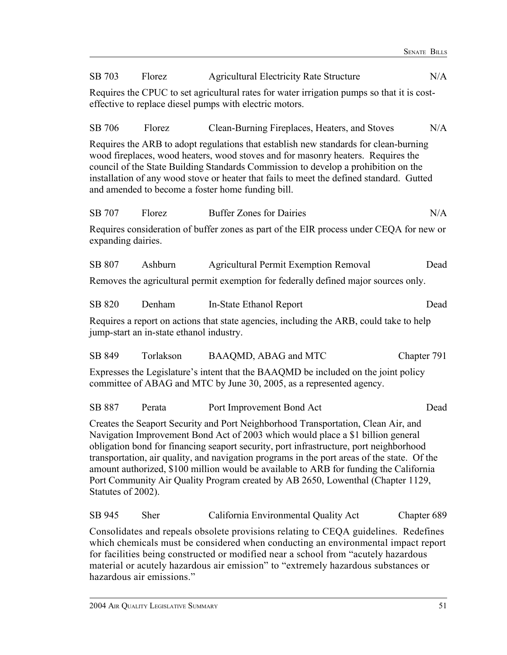| SB 703                                                                                                                                                                                                                                                                                                                                                                                                                                                                                                                                                          | Florez                                                                                                                                                | <b>Agricultural Electricity Rate Structure</b>                                                                                                                                                                                                                                                                                                                                                                  | N/A         |  |  |  |
|-----------------------------------------------------------------------------------------------------------------------------------------------------------------------------------------------------------------------------------------------------------------------------------------------------------------------------------------------------------------------------------------------------------------------------------------------------------------------------------------------------------------------------------------------------------------|-------------------------------------------------------------------------------------------------------------------------------------------------------|-----------------------------------------------------------------------------------------------------------------------------------------------------------------------------------------------------------------------------------------------------------------------------------------------------------------------------------------------------------------------------------------------------------------|-------------|--|--|--|
|                                                                                                                                                                                                                                                                                                                                                                                                                                                                                                                                                                 | Requires the CPUC to set agricultural rates for water irrigation pumps so that it is cost-<br>effective to replace diesel pumps with electric motors. |                                                                                                                                                                                                                                                                                                                                                                                                                 |             |  |  |  |
| SB 706                                                                                                                                                                                                                                                                                                                                                                                                                                                                                                                                                          | Florez                                                                                                                                                | Clean-Burning Fireplaces, Heaters, and Stoves                                                                                                                                                                                                                                                                                                                                                                   | N/A         |  |  |  |
|                                                                                                                                                                                                                                                                                                                                                                                                                                                                                                                                                                 |                                                                                                                                                       | Requires the ARB to adopt regulations that establish new standards for clean-burning<br>wood fireplaces, wood heaters, wood stoves and for masonry heaters. Requires the<br>council of the State Building Standards Commission to develop a prohibition on the<br>installation of any wood stove or heater that fails to meet the defined standard. Gutted<br>and amended to become a foster home funding bill. |             |  |  |  |
| SB 707                                                                                                                                                                                                                                                                                                                                                                                                                                                                                                                                                          | Florez                                                                                                                                                | <b>Buffer Zones for Dairies</b>                                                                                                                                                                                                                                                                                                                                                                                 | N/A         |  |  |  |
| expanding dairies.                                                                                                                                                                                                                                                                                                                                                                                                                                                                                                                                              |                                                                                                                                                       | Requires consideration of buffer zones as part of the EIR process under CEQA for new or                                                                                                                                                                                                                                                                                                                         |             |  |  |  |
| SB 807                                                                                                                                                                                                                                                                                                                                                                                                                                                                                                                                                          | Ashburn                                                                                                                                               | <b>Agricultural Permit Exemption Removal</b>                                                                                                                                                                                                                                                                                                                                                                    | Dead        |  |  |  |
|                                                                                                                                                                                                                                                                                                                                                                                                                                                                                                                                                                 |                                                                                                                                                       | Removes the agricultural permit exemption for federally defined major sources only.                                                                                                                                                                                                                                                                                                                             |             |  |  |  |
| SB 820                                                                                                                                                                                                                                                                                                                                                                                                                                                                                                                                                          | Denham                                                                                                                                                | In-State Ethanol Report                                                                                                                                                                                                                                                                                                                                                                                         | Dead        |  |  |  |
|                                                                                                                                                                                                                                                                                                                                                                                                                                                                                                                                                                 | jump-start an in-state ethanol industry.                                                                                                              | Requires a report on actions that state agencies, including the ARB, could take to help                                                                                                                                                                                                                                                                                                                         |             |  |  |  |
| SB 849                                                                                                                                                                                                                                                                                                                                                                                                                                                                                                                                                          | Torlakson                                                                                                                                             | BAAQMD, ABAG and MTC                                                                                                                                                                                                                                                                                                                                                                                            | Chapter 791 |  |  |  |
|                                                                                                                                                                                                                                                                                                                                                                                                                                                                                                                                                                 |                                                                                                                                                       | Expresses the Legislature's intent that the BAAQMD be included on the joint policy<br>committee of ABAG and MTC by June 30, 2005, as a represented agency.                                                                                                                                                                                                                                                      |             |  |  |  |
| SB 887                                                                                                                                                                                                                                                                                                                                                                                                                                                                                                                                                          | Perata                                                                                                                                                | Port Improvement Bond Act                                                                                                                                                                                                                                                                                                                                                                                       | Dead        |  |  |  |
| Creates the Seaport Security and Port Neighborhood Transportation, Clean Air, and<br>Navigation Improvement Bond Act of 2003 which would place a \$1 billion general<br>obligation bond for financing seaport security, port infrastructure, port neighborhood<br>transportation, air quality, and navigation programs in the port areas of the state. Of the<br>amount authorized, \$100 million would be available to ARB for funding the California<br>Port Community Air Quality Program created by AB 2650, Lowenthal (Chapter 1129,<br>Statutes of 2002). |                                                                                                                                                       |                                                                                                                                                                                                                                                                                                                                                                                                                 |             |  |  |  |
| SB 945                                                                                                                                                                                                                                                                                                                                                                                                                                                                                                                                                          | Sher                                                                                                                                                  | California Environmental Quality Act                                                                                                                                                                                                                                                                                                                                                                            | Chapter 689 |  |  |  |
|                                                                                                                                                                                                                                                                                                                                                                                                                                                                                                                                                                 | hazardous air emissions."                                                                                                                             | Consolidates and repeals obsolete provisions relating to CEQA guidelines. Redefines<br>which chemicals must be considered when conducting an environmental impact report<br>for facilities being constructed or modified near a school from "acutely hazardous"<br>material or acutely hazardous air emission" to "extremely hazardous substances or                                                            |             |  |  |  |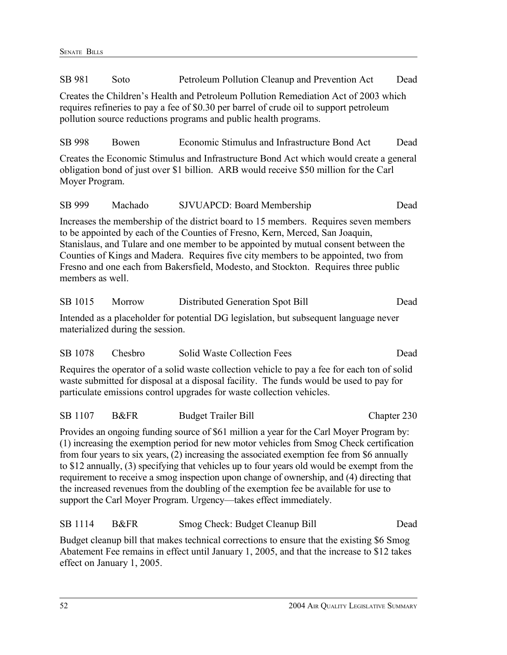SB 981 Soto Petroleum Pollution Cleanup and Prevention Act Dead Creates the Children's Health and Petroleum Pollution Remediation Act of 2003 which requires refineries to pay a fee of \$0.30 per barrel of crude oil to support petroleum pollution source reductions programs and public health programs. SB 998 Bowen Economic Stimulus and Infrastructure Bond Act Dead Creates the Economic Stimulus and Infrastructure Bond Act which would create a general obligation bond of just over \$1 billion. ARB would receive \$50 million for the Carl Moyer Program. SB 999 Machado SJVUAPCD: Board Membership Dead Increases the membership of the district board to 15 members. Requires seven members to be appointed by each of the Counties of Fresno, Kern, Merced, San Joaquin, Stanislaus, and Tulare and one member to be appointed by mutual consent between the Counties of Kings and Madera. Requires five city members to be appointed, two from Fresno and one each from Bakersfield, Modesto, and Stockton. Requires three public members as well SB 1015 Morrow Distributed Generation Spot Bill Dead Intended as a placeholder for potential DG legislation, but subsequent language never materialized during the session. SB 1078 Chesbro Solid Waste Collection Fees Dead Requires the operator of a solid waste collection vehicle to pay a fee for each ton of solid waste submitted for disposal at a disposal facility. The funds would be used to pay for particulate emissions control upgrades for waste collection vehicles. SB 1107 B&FR Budget Trailer Bill Chapter 230 Provides an ongoing funding source of \$61 million a year for the Carl Moyer Program by: (1) increasing the exemption period for new motor vehicles from Smog Check certification from four years to six years, (2) increasing the associated exemption fee from \$6 annually to \$12 annually, (3) specifying that vehicles up to four years old would be exempt from the requirement to receive a smog inspection upon change of ownership, and (4) directing that the increased revenues from the doubling of the exemption fee be available for use to support the Carl Moyer Program. Urgency—takes effect immediately. SB 1114 B&FR Smog Check: Budget Cleanup Bill Dead Budget cleanup bill that makes technical corrections to ensure that the existing \$6 Smog Abatement Fee remains in effect until January 1, 2005, and that the increase to \$12 takes

effect on January 1, 2005.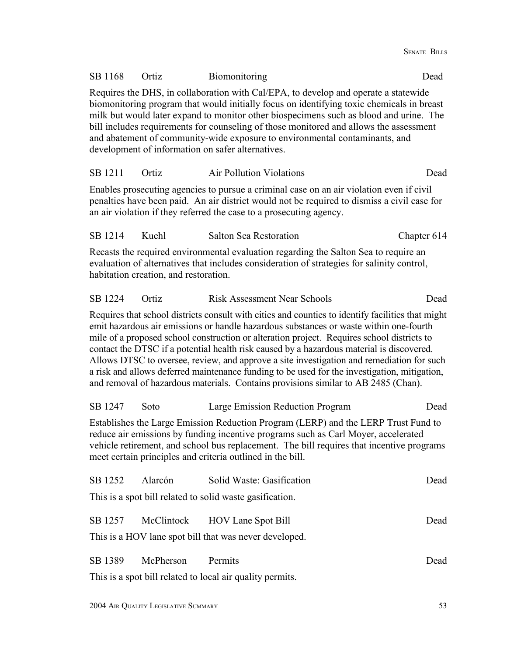| SB 1168                                                                                                                                                                                                                                                                                                                             | Ortiz                                                                                                                                                                                                                                                                                                                                                                                                                                                                                                    | Biomonitoring                                                                                                                                                                                                                                                                                                                                                                                                                                                                                                                                                                                                                                                             | Dead        |  |  |  |
|-------------------------------------------------------------------------------------------------------------------------------------------------------------------------------------------------------------------------------------------------------------------------------------------------------------------------------------|----------------------------------------------------------------------------------------------------------------------------------------------------------------------------------------------------------------------------------------------------------------------------------------------------------------------------------------------------------------------------------------------------------------------------------------------------------------------------------------------------------|---------------------------------------------------------------------------------------------------------------------------------------------------------------------------------------------------------------------------------------------------------------------------------------------------------------------------------------------------------------------------------------------------------------------------------------------------------------------------------------------------------------------------------------------------------------------------------------------------------------------------------------------------------------------------|-------------|--|--|--|
|                                                                                                                                                                                                                                                                                                                                     | Requires the DHS, in collaboration with Cal/EPA, to develop and operate a statewide<br>biomonitoring program that would initially focus on identifying toxic chemicals in breast<br>milk but would later expand to monitor other biospecimens such as blood and urine. The<br>bill includes requirements for counseling of those monitored and allows the assessment<br>and abatement of community-wide exposure to environmental contaminants, and<br>development of information on safer alternatives. |                                                                                                                                                                                                                                                                                                                                                                                                                                                                                                                                                                                                                                                                           |             |  |  |  |
| SB 1211                                                                                                                                                                                                                                                                                                                             | Ortiz                                                                                                                                                                                                                                                                                                                                                                                                                                                                                                    | <b>Air Pollution Violations</b>                                                                                                                                                                                                                                                                                                                                                                                                                                                                                                                                                                                                                                           | Dead        |  |  |  |
|                                                                                                                                                                                                                                                                                                                                     |                                                                                                                                                                                                                                                                                                                                                                                                                                                                                                          | Enables prosecuting agencies to pursue a criminal case on an air violation even if civil<br>penalties have been paid. An air district would not be required to dismiss a civil case for<br>an air violation if they referred the case to a prosecuting agency.                                                                                                                                                                                                                                                                                                                                                                                                            |             |  |  |  |
| SB 1214                                                                                                                                                                                                                                                                                                                             | Kuehl                                                                                                                                                                                                                                                                                                                                                                                                                                                                                                    | Salton Sea Restoration                                                                                                                                                                                                                                                                                                                                                                                                                                                                                                                                                                                                                                                    | Chapter 614 |  |  |  |
|                                                                                                                                                                                                                                                                                                                                     | habitation creation, and restoration.                                                                                                                                                                                                                                                                                                                                                                                                                                                                    | Recasts the required environmental evaluation regarding the Salton Sea to require an<br>evaluation of alternatives that includes consideration of strategies for salinity control,                                                                                                                                                                                                                                                                                                                                                                                                                                                                                        |             |  |  |  |
| SB 1224                                                                                                                                                                                                                                                                                                                             | Ortiz                                                                                                                                                                                                                                                                                                                                                                                                                                                                                                    | <b>Risk Assessment Near Schools</b>                                                                                                                                                                                                                                                                                                                                                                                                                                                                                                                                                                                                                                       | Dead        |  |  |  |
|                                                                                                                                                                                                                                                                                                                                     |                                                                                                                                                                                                                                                                                                                                                                                                                                                                                                          | Requires that school districts consult with cities and counties to identify facilities that might<br>emit hazardous air emissions or handle hazardous substances or waste within one-fourth<br>mile of a proposed school construction or alteration project. Requires school districts to<br>contact the DTSC if a potential health risk caused by a hazardous material is discovered.<br>Allows DTSC to oversee, review, and approve a site investigation and remediation for such<br>a risk and allows deferred maintenance funding to be used for the investigation, mitigation,<br>and removal of hazardous materials. Contains provisions similar to AB 2485 (Chan). |             |  |  |  |
| SB 1247                                                                                                                                                                                                                                                                                                                             | Soto                                                                                                                                                                                                                                                                                                                                                                                                                                                                                                     | Large Emission Reduction Program                                                                                                                                                                                                                                                                                                                                                                                                                                                                                                                                                                                                                                          | Dead        |  |  |  |
| Establishes the Large Emission Reduction Program (LERP) and the LERP Trust Fund to<br>reduce air emissions by funding incentive programs such as Carl Moyer, accelerated<br>vehicle retirement, and school bus replacement. The bill requires that incentive programs<br>meet certain principles and criteria outlined in the bill. |                                                                                                                                                                                                                                                                                                                                                                                                                                                                                                          |                                                                                                                                                                                                                                                                                                                                                                                                                                                                                                                                                                                                                                                                           |             |  |  |  |
| SB 1252                                                                                                                                                                                                                                                                                                                             | Alarcón                                                                                                                                                                                                                                                                                                                                                                                                                                                                                                  | Solid Waste: Gasification                                                                                                                                                                                                                                                                                                                                                                                                                                                                                                                                                                                                                                                 | Dead        |  |  |  |
|                                                                                                                                                                                                                                                                                                                                     |                                                                                                                                                                                                                                                                                                                                                                                                                                                                                                          | This is a spot bill related to solid waste gasification.                                                                                                                                                                                                                                                                                                                                                                                                                                                                                                                                                                                                                  |             |  |  |  |
| SB 1257                                                                                                                                                                                                                                                                                                                             | McClintock                                                                                                                                                                                                                                                                                                                                                                                                                                                                                               | <b>HOV Lane Spot Bill</b>                                                                                                                                                                                                                                                                                                                                                                                                                                                                                                                                                                                                                                                 | Dead        |  |  |  |
|                                                                                                                                                                                                                                                                                                                                     |                                                                                                                                                                                                                                                                                                                                                                                                                                                                                                          | This is a HOV lane spot bill that was never developed.                                                                                                                                                                                                                                                                                                                                                                                                                                                                                                                                                                                                                    |             |  |  |  |
| SB 1389                                                                                                                                                                                                                                                                                                                             | McPherson                                                                                                                                                                                                                                                                                                                                                                                                                                                                                                | Permits                                                                                                                                                                                                                                                                                                                                                                                                                                                                                                                                                                                                                                                                   | Dead        |  |  |  |

This is a spot bill related to local air quality permits.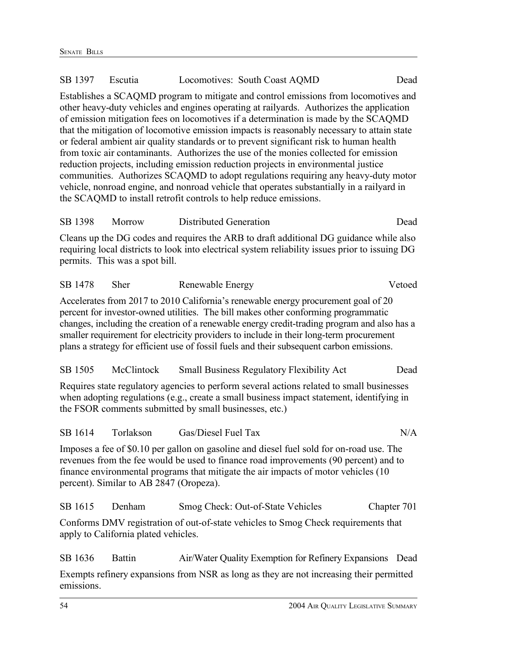| SB 1397 | Escutia                                 | Locomotives: South Coast AQMD                                                                                                                                                                                                                                                                                                                                                                                                                                                                                                                                                                                                                                                                                                                                                                                                                                                                         | Dead        |
|---------|-----------------------------------------|-------------------------------------------------------------------------------------------------------------------------------------------------------------------------------------------------------------------------------------------------------------------------------------------------------------------------------------------------------------------------------------------------------------------------------------------------------------------------------------------------------------------------------------------------------------------------------------------------------------------------------------------------------------------------------------------------------------------------------------------------------------------------------------------------------------------------------------------------------------------------------------------------------|-------------|
|         |                                         | Establishes a SCAQMD program to mitigate and control emissions from locomotives and<br>other heavy-duty vehicles and engines operating at railyards. Authorizes the application<br>of emission mitigation fees on locomotives if a determination is made by the SCAQMD<br>that the mitigation of locomotive emission impacts is reasonably necessary to attain state<br>or federal ambient air quality standards or to prevent significant risk to human health<br>from toxic air contaminants. Authorizes the use of the monies collected for emission<br>reduction projects, including emission reduction projects in environmental justice<br>communities. Authorizes SCAQMD to adopt regulations requiring any heavy-duty motor<br>vehicle, nonroad engine, and nonroad vehicle that operates substantially in a railyard in<br>the SCAQMD to install retrofit controls to help reduce emissions. |             |
| SB 1398 | Morrow                                  | <b>Distributed Generation</b>                                                                                                                                                                                                                                                                                                                                                                                                                                                                                                                                                                                                                                                                                                                                                                                                                                                                         | Dead        |
|         | permits. This was a spot bill.          | Cleans up the DG codes and requires the ARB to draft additional DG guidance while also<br>requiring local districts to look into electrical system reliability issues prior to issuing DG                                                                                                                                                                                                                                                                                                                                                                                                                                                                                                                                                                                                                                                                                                             |             |
| SB 1478 | Sher                                    | Renewable Energy                                                                                                                                                                                                                                                                                                                                                                                                                                                                                                                                                                                                                                                                                                                                                                                                                                                                                      | Vetoed      |
|         |                                         | Accelerates from 2017 to 2010 California's renewable energy procurement goal of 20<br>percent for investor-owned utilities. The bill makes other conforming programmatic<br>changes, including the creation of a renewable energy credit-trading program and also has a<br>smaller requirement for electricity providers to include in their long-term procurement<br>plans a strategy for efficient use of fossil fuels and their subsequent carbon emissions.                                                                                                                                                                                                                                                                                                                                                                                                                                       |             |
| SB 1505 | McClintock                              | <b>Small Business Regulatory Flexibility Act</b>                                                                                                                                                                                                                                                                                                                                                                                                                                                                                                                                                                                                                                                                                                                                                                                                                                                      | Dead        |
|         |                                         | Requires state regulatory agencies to perform several actions related to small businesses<br>when adopting regulations (e.g., create a small business impact statement, identifying in<br>the FSOR comments submitted by small businesses, etc.)                                                                                                                                                                                                                                                                                                                                                                                                                                                                                                                                                                                                                                                      |             |
| SB 1614 | Torlakson                               | Gas/Diesel Fuel Tax                                                                                                                                                                                                                                                                                                                                                                                                                                                                                                                                                                                                                                                                                                                                                                                                                                                                                   | N/A         |
|         | percent). Similar to AB 2847 (Oropeza). | Imposes a fee of \$0.10 per gallon on gasoline and diesel fuel sold for on-road use. The<br>revenues from the fee would be used to finance road improvements (90 percent) and to<br>finance environmental programs that mitigate the air impacts of motor vehicles (10                                                                                                                                                                                                                                                                                                                                                                                                                                                                                                                                                                                                                                |             |
| SB 1615 | Denham                                  | Smog Check: Out-of-State Vehicles                                                                                                                                                                                                                                                                                                                                                                                                                                                                                                                                                                                                                                                                                                                                                                                                                                                                     | Chapter 701 |
|         | apply to California plated vehicles.    | Conforms DMV registration of out-of-state vehicles to Smog Check requirements that                                                                                                                                                                                                                                                                                                                                                                                                                                                                                                                                                                                                                                                                                                                                                                                                                    |             |
| SB 1636 | <b>Battin</b>                           | Air/Water Quality Exemption for Refinery Expansions                                                                                                                                                                                                                                                                                                                                                                                                                                                                                                                                                                                                                                                                                                                                                                                                                                                   | Dead        |
|         |                                         |                                                                                                                                                                                                                                                                                                                                                                                                                                                                                                                                                                                                                                                                                                                                                                                                                                                                                                       |             |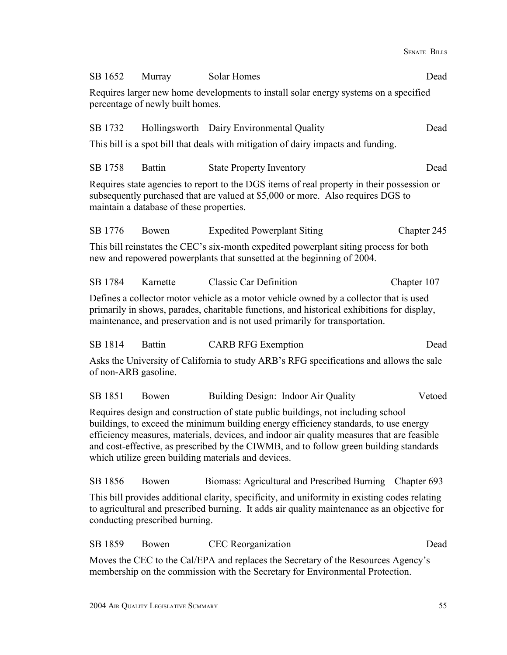| SB 1652                                                                                                                                                                                                                                                                                                                                                                                                                 | Murray        | Solar Homes                                                                       | Dead        |
|-------------------------------------------------------------------------------------------------------------------------------------------------------------------------------------------------------------------------------------------------------------------------------------------------------------------------------------------------------------------------------------------------------------------------|---------------|-----------------------------------------------------------------------------------|-------------|
| Requires larger new home developments to install solar energy systems on a specified<br>percentage of newly built homes.                                                                                                                                                                                                                                                                                                |               |                                                                                   |             |
| SB 1732                                                                                                                                                                                                                                                                                                                                                                                                                 |               | Hollingsworth Dairy Environmental Quality                                         | Dead        |
|                                                                                                                                                                                                                                                                                                                                                                                                                         |               | This bill is a spot bill that deals with mitigation of dairy impacts and funding. |             |
| SB 1758                                                                                                                                                                                                                                                                                                                                                                                                                 | <b>Battin</b> | <b>State Property Inventory</b>                                                   | Dead        |
| Requires state agencies to report to the DGS items of real property in their possession or<br>subsequently purchased that are valued at \$5,000 or more. Also requires DGS to<br>maintain a database of these properties.                                                                                                                                                                                               |               |                                                                                   |             |
| SB 1776                                                                                                                                                                                                                                                                                                                                                                                                                 | Bowen         | <b>Expedited Powerplant Siting</b>                                                | Chapter 245 |
| This bill reinstates the CEC's six-month expedited powerplant siting process for both<br>new and repowered powerplants that sunsetted at the beginning of 2004.                                                                                                                                                                                                                                                         |               |                                                                                   |             |
| SB 1784                                                                                                                                                                                                                                                                                                                                                                                                                 | Karnette      | <b>Classic Car Definition</b>                                                     | Chapter 107 |
| Defines a collector motor vehicle as a motor vehicle owned by a collector that is used<br>primarily in shows, parades, charitable functions, and historical exhibitions for display,<br>maintenance, and preservation and is not used primarily for transportation.                                                                                                                                                     |               |                                                                                   |             |
| SB 1814                                                                                                                                                                                                                                                                                                                                                                                                                 | <b>Battin</b> | <b>CARB RFG Exemption</b>                                                         | Dead        |
| Asks the University of California to study ARB's RFG specifications and allows the sale<br>of non-ARB gasoline.                                                                                                                                                                                                                                                                                                         |               |                                                                                   |             |
| SB 1851                                                                                                                                                                                                                                                                                                                                                                                                                 | Bowen         | Building Design: Indoor Air Quality                                               | Vetoed      |
| Requires design and construction of state public buildings, not including school<br>buildings, to exceed the minimum building energy efficiency standards, to use energy<br>efficiency measures, materials, devices, and indoor air quality measures that are feasible<br>and cost-effective, as prescribed by the CIWMB, and to follow green building standards<br>which utilize green building materials and devices. |               |                                                                                   |             |
| SB 1856                                                                                                                                                                                                                                                                                                                                                                                                                 | Bowen         | Biomass: Agricultural and Prescribed Burning Chapter 693                          |             |
| This bill provides additional clarity, specificity, and uniformity in existing codes relating<br>to agricultural and prescribed burning. It adds air quality maintenance as an objective for<br>conducting prescribed burning.                                                                                                                                                                                          |               |                                                                                   |             |
| SB 1859                                                                                                                                                                                                                                                                                                                                                                                                                 | Bowen         | <b>CEC</b> Reorganization                                                         | Dead        |
| Moves the CEC to the Cal/EPA and replaces the Secretary of the Resources Agency's<br>membership on the commission with the Secretary for Environmental Protection.                                                                                                                                                                                                                                                      |               |                                                                                   |             |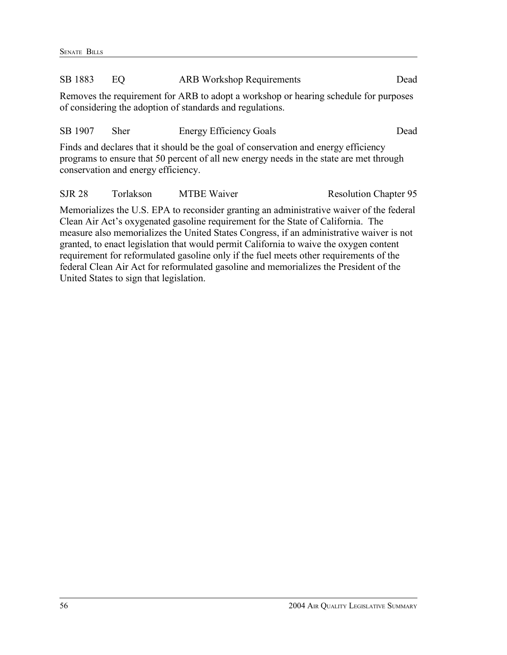| SB 1883                                                                                                                                                                                                               | EО                                                                            | <b>ARB Workshop Requirements</b>                                                                                                                  | Dead                         |
|-----------------------------------------------------------------------------------------------------------------------------------------------------------------------------------------------------------------------|-------------------------------------------------------------------------------|---------------------------------------------------------------------------------------------------------------------------------------------------|------------------------------|
|                                                                                                                                                                                                                       |                                                                               | Removes the requirement for ARB to adopt a workshop or hearing schedule for purposes<br>of considering the adoption of standards and regulations. |                              |
| SB 1907                                                                                                                                                                                                               | <b>Sher</b>                                                                   | <b>Energy Efficiency Goals</b>                                                                                                                    | Dead                         |
| Finds and declares that it should be the goal of conservation and energy efficiency<br>programs to ensure that 50 percent of all new energy needs in the state are met through<br>conservation and energy efficiency. |                                                                               |                                                                                                                                                   |                              |
| <b>SJR 28</b>                                                                                                                                                                                                         | Torlakson                                                                     | <b>MTBE Waiver</b>                                                                                                                                | <b>Resolution Chapter 95</b> |
|                                                                                                                                                                                                                       | $\mathbf{M}$ $\mathbf{M}$ $\mathbf{M}$ $\mathbf{M}$ $\mathbf{M}$ $\mathbf{M}$ | $\mathbf{1}$ , the set of $\mathbf{1}$                                                                                                            | $0.1$ $0.1$ $1$              |

Memorializes the U.S. EPA to reconsider granting an administrative waiver of the federal Clean Air Act's oxygenated gasoline requirement for the State of California. The measure also memorializes the United States Congress, if an administrative waiver is not granted, to enact legislation that would permit California to waive the oxygen content requirement for reformulated gasoline only if the fuel meets other requirements of the federal Clean Air Act for reformulated gasoline and memorializes the President of the United States to sign that legislation.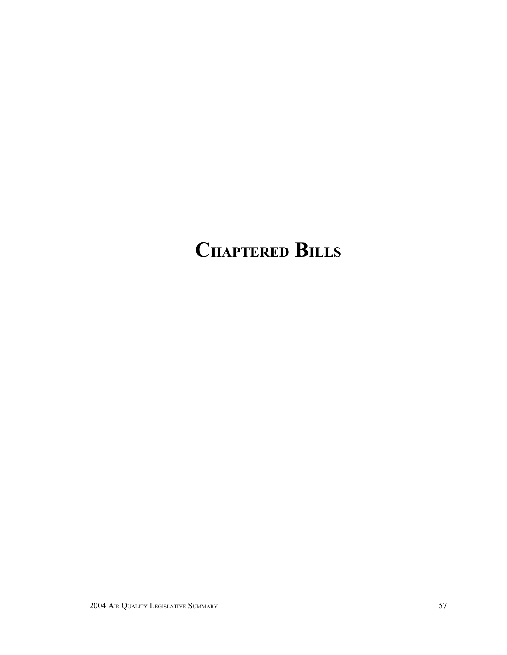### **CHAPTERED BILLS**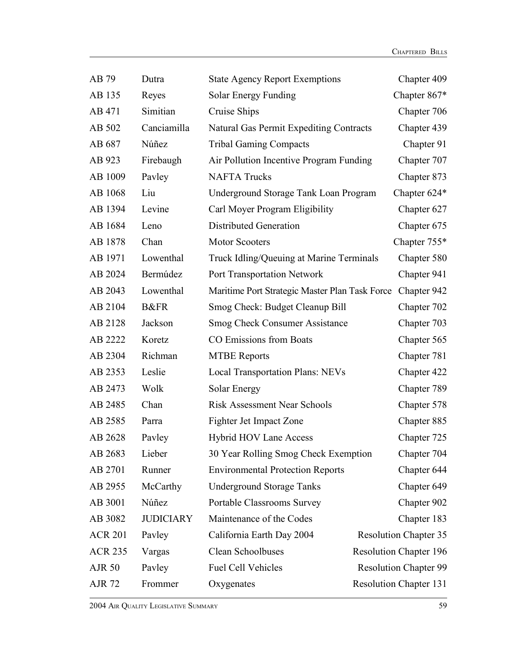| AB 79          | Dutra            | <b>State Agency Report Exemptions</b>          | Chapter 409                   |
|----------------|------------------|------------------------------------------------|-------------------------------|
| AB 135         | Reyes            | Solar Energy Funding                           | Chapter 867*                  |
| AB 471         | Simitian         | Cruise Ships                                   | Chapter 706                   |
| AB 502         | Canciamilla      | Natural Gas Permit Expediting Contracts        | Chapter 439                   |
| AB 687         | Núñez            | <b>Tribal Gaming Compacts</b>                  | Chapter 91                    |
| AB 923         | Firebaugh        | Air Pollution Incentive Program Funding        | Chapter 707                   |
| AB 1009        | Pavley           | <b>NAFTA Trucks</b>                            | Chapter 873                   |
| AB 1068        | Liu              | Underground Storage Tank Loan Program          | Chapter 624*                  |
| AB 1394        | Levine           | Carl Moyer Program Eligibility                 | Chapter 627                   |
| AB 1684        | Leno             | <b>Distributed Generation</b>                  | Chapter 675                   |
| AB 1878        | Chan             | <b>Motor Scooters</b>                          | Chapter 755*                  |
| AB 1971        | Lowenthal        | Truck Idling/Queuing at Marine Terminals       | Chapter 580                   |
| AB 2024        | Bermúdez         | <b>Port Transportation Network</b>             | Chapter 941                   |
| AB 2043        | Lowenthal        | Maritime Port Strategic Master Plan Task Force | Chapter 942                   |
| AB 2104        | <b>B&amp;FR</b>  | Smog Check: Budget Cleanup Bill                | Chapter 702                   |
| AB 2128        | Jackson          | <b>Smog Check Consumer Assistance</b>          | Chapter 703                   |
| AB 2222        | Koretz           | CO Emissions from Boats                        | Chapter 565                   |
| AB 2304        | Richman          | <b>MTBE Reports</b>                            | Chapter 781                   |
| AB 2353        | Leslie           | <b>Local Transportation Plans: NEVs</b>        | Chapter 422                   |
| AB 2473        | Wolk             | Solar Energy                                   | Chapter 789                   |
| AB 2485        | Chan             | <b>Risk Assessment Near Schools</b>            | Chapter 578                   |
| AB 2585        | Parra            | Fighter Jet Impact Zone                        | Chapter 885                   |
| AB 2628        | Pavley           | <b>Hybrid HOV Lane Access</b>                  | Chapter 725                   |
| AB 2683        | Lieber           | 30 Year Rolling Smog Check Exemption           | Chapter 704                   |
| AB 2701        | Runner           | <b>Environmental Protection Reports</b>        | Chapter 644                   |
| AB 2955        | McCarthy         | <b>Underground Storage Tanks</b>               | Chapter 649                   |
| AB 3001        | Núñez            | Portable Classrooms Survey                     | Chapter 902                   |
| AB 3082        | <b>JUDICIARY</b> | Maintenance of the Codes                       | Chapter 183                   |
| <b>ACR 201</b> | Payley           | California Earth Day 2004                      | <b>Resolution Chapter 35</b>  |
| <b>ACR 235</b> | Vargas           | Clean Schoolbuses                              | <b>Resolution Chapter 196</b> |
| <b>AJR 50</b>  | Payley           | <b>Fuel Cell Vehicles</b>                      | <b>Resolution Chapter 99</b>  |
| <b>AJR 72</b>  | Frommer          | Oxygenates                                     | <b>Resolution Chapter 131</b> |

2004 AIR QUALITY LEGISLATIVE SUMMARY 59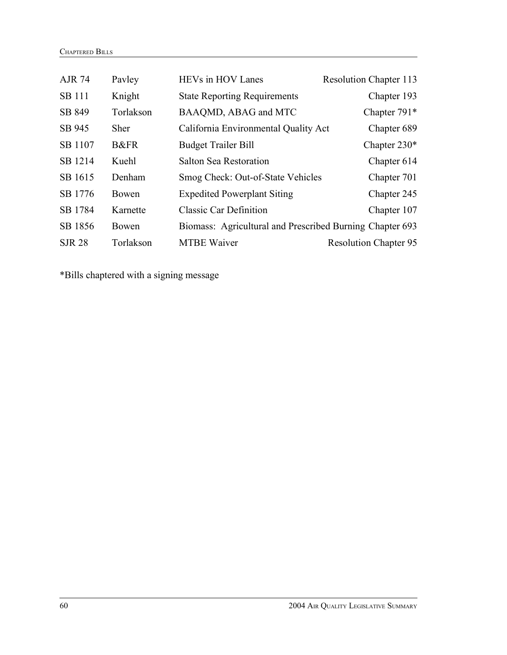| <b>AJR 74</b> | Payley          | <b>HEVs</b> in HOV Lanes                                 | <b>Resolution Chapter 113</b> |
|---------------|-----------------|----------------------------------------------------------|-------------------------------|
| <b>SB</b> 111 | Knight          | <b>State Reporting Requirements</b>                      | Chapter 193                   |
| SB 849        | Torlakson       | BAAQMD, ABAG and MTC                                     | Chapter 791*                  |
| SB 945        | <b>Sher</b>     | California Environmental Quality Act                     | Chapter 689                   |
| SB 1107       | <b>B&amp;FR</b> | <b>Budget Trailer Bill</b>                               | Chapter $230*$                |
| SB 1214       | Kuehl           | Salton Sea Restoration                                   | Chapter 614                   |
| SB 1615       | Denham          | Smog Check: Out-of-State Vehicles                        | Chapter 701                   |
| SB 1776       | Bowen           | <b>Expedited Powerplant Siting</b>                       | Chapter 245                   |
| SB 1784       | Karnette        | <b>Classic Car Definition</b>                            | Chapter 107                   |
| SB 1856       | Bowen           | Biomass: Agricultural and Prescribed Burning Chapter 693 |                               |
| <b>SJR 28</b> | Torlakson       | <b>MTBE Waiver</b>                                       | <b>Resolution Chapter 95</b>  |

\*Bills chaptered with a signing message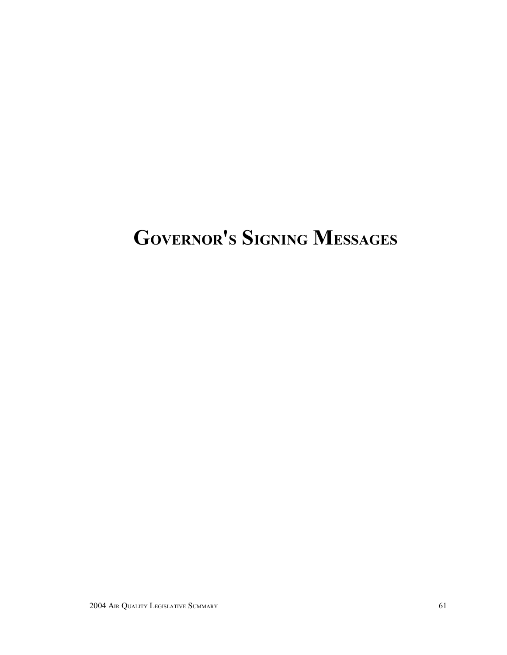## **GOVERNOR'S SIGNING MESSAGES**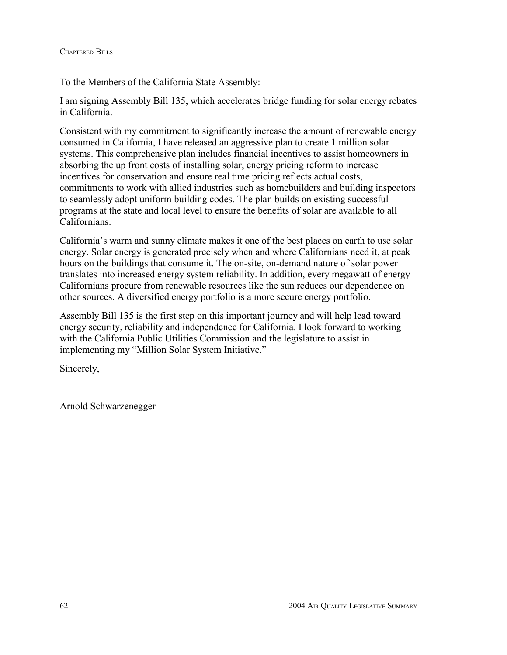To the Members of the California State Assembly:

I am signing Assembly Bill 135, which accelerates bridge funding for solar energy rebates in California.

Consistent with my commitment to significantly increase the amount of renewable energy consumed in California, I have released an aggressive plan to create 1 million solar systems. This comprehensive plan includes financial incentives to assist homeowners in absorbing the up front costs of installing solar, energy pricing reform to increase incentives for conservation and ensure real time pricing reflects actual costs, commitments to work with allied industries such as homebuilders and building inspectors to seamlessly adopt uniform building codes. The plan builds on existing successful programs at the state and local level to ensure the benefits of solar are available to all Californians.

California's warm and sunny climate makes it one of the best places on earth to use solar energy. Solar energy is generated precisely when and where Californians need it, at peak hours on the buildings that consume it. The on-site, on-demand nature of solar power translates into increased energy system reliability. In addition, every megawatt of energy Californians procure from renewable resources like the sun reduces our dependence on other sources. A diversified energy portfolio is a more secure energy portfolio.

Assembly Bill 135 is the first step on this important journey and will help lead toward energy security, reliability and independence for California. I look forward to working with the California Public Utilities Commission and the legislature to assist in implementing my "Million Solar System Initiative."

Sincerely,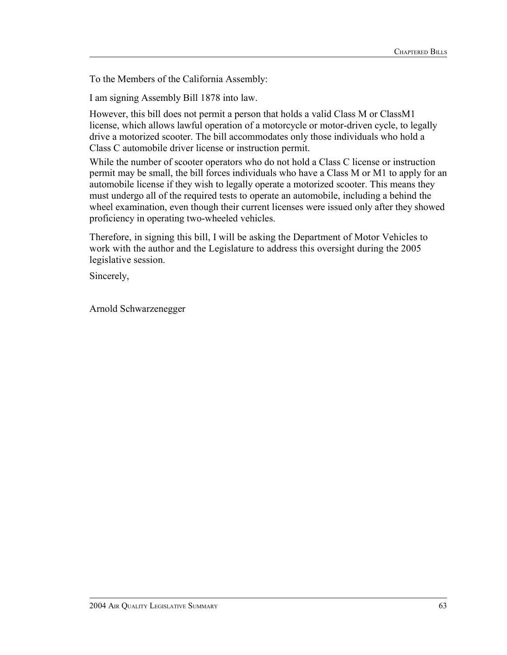To the Members of the California Assembly:

I am signing Assembly Bill 1878 into law.

However, this bill does not permit a person that holds a valid Class M or ClassM1 license, which allows lawful operation of a motorcycle or motor-driven cycle, to legally drive a motorized scooter. The bill accommodates only those individuals who hold a Class C automobile driver license or instruction permit.

While the number of scooter operators who do not hold a Class C license or instruction permit may be small, the bill forces individuals who have a Class M or M1 to apply for an automobile license if they wish to legally operate a motorized scooter. This means they must undergo all of the required tests to operate an automobile, including a behind the wheel examination, even though their current licenses were issued only after they showed proficiency in operating two-wheeled vehicles.

Therefore, in signing this bill, I will be asking the Department of Motor Vehicles to work with the author and the Legislature to address this oversight during the 2005 legislative session.

Sincerely,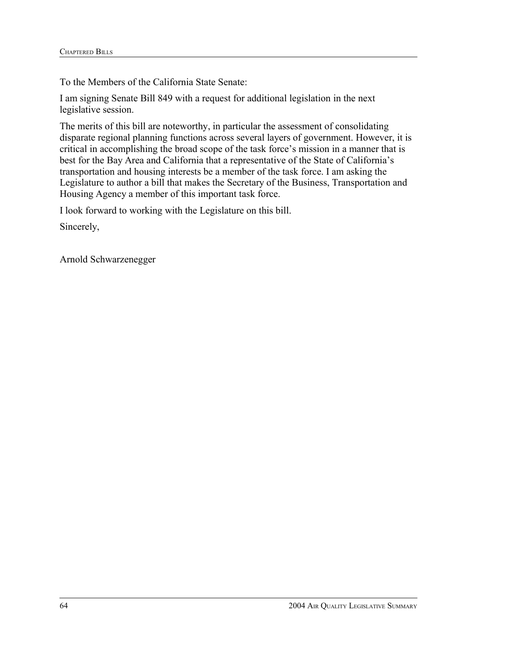To the Members of the California State Senate:

I am signing Senate Bill 849 with a request for additional legislation in the next legislative session.

The merits of this bill are noteworthy, in particular the assessment of consolidating disparate regional planning functions across several layers of government. However, it is critical in accomplishing the broad scope of the task force's mission in a manner that is best for the Bay Area and California that a representative of the State of California's transportation and housing interests be a member of the task force. I am asking the Legislature to author a bill that makes the Secretary of the Business, Transportation and Housing Agency a member of this important task force.

I look forward to working with the Legislature on this bill.

Sincerely,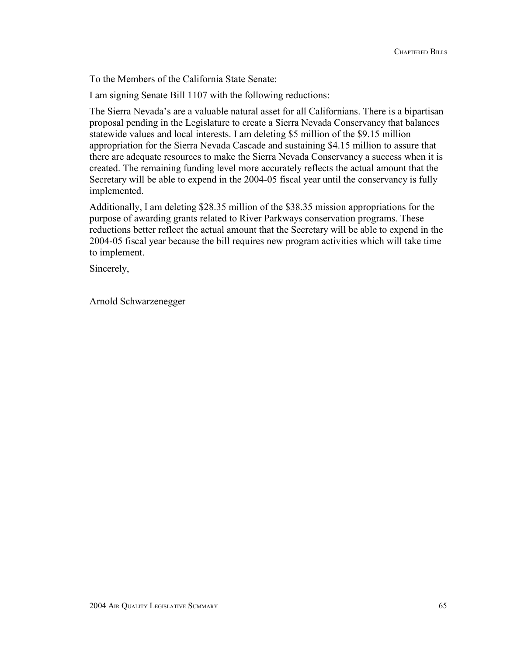To the Members of the California State Senate:

I am signing Senate Bill 1107 with the following reductions:

The Sierra Nevada's are a valuable natural asset for all Californians. There is a bipartisan proposal pending in the Legislature to create a Sierra Nevada Conservancy that balances statewide values and local interests. I am deleting \$5 million of the \$9.15 million appropriation for the Sierra Nevada Cascade and sustaining \$4.15 million to assure that there are adequate resources to make the Sierra Nevada Conservancy a success when it is created. The remaining funding level more accurately reflects the actual amount that the Secretary will be able to expend in the 2004-05 fiscal year until the conservancy is fully implemented.

Additionally, I am deleting \$28.35 million of the \$38.35 mission appropriations for the purpose of awarding grants related to River Parkways conservation programs. These reductions better reflect the actual amount that the Secretary will be able to expend in the 2004-05 fiscal year because the bill requires new program activities which will take time to implement.

Sincerely,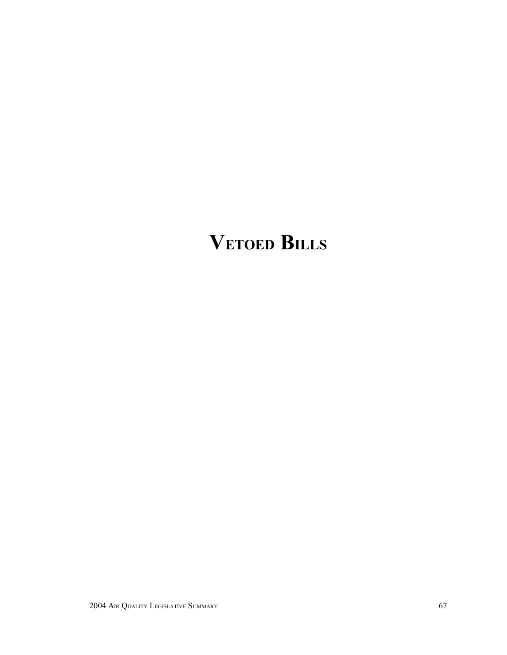# **VETOED BILLS**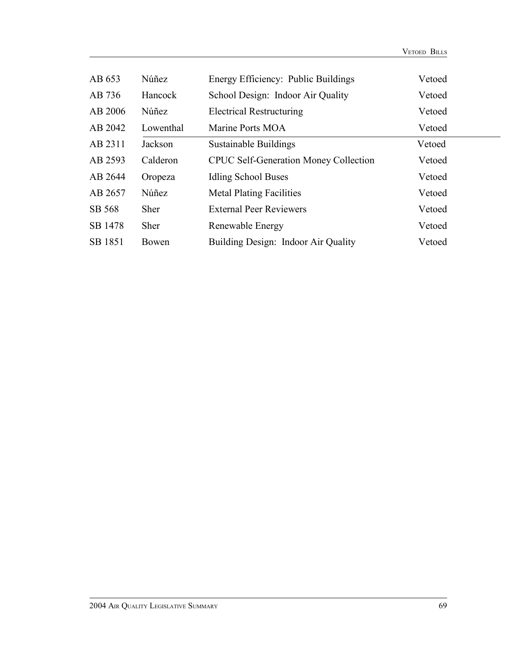| AB 653  | Núñez       | Energy Efficiency: Public Buildings          | Vetoed |
|---------|-------------|----------------------------------------------|--------|
| AB 736  | Hancock     | School Design: Indoor Air Quality            | Vetoed |
| AB 2006 | Núñez       | <b>Electrical Restructuring</b>              | Vetoed |
| AB 2042 | Lowenthal   | Marine Ports MOA                             | Vetoed |
| AB 2311 | Jackson     | Sustainable Buildings                        | Vetoed |
| AB 2593 | Calderon    | <b>CPUC Self-Generation Money Collection</b> | Vetoed |
| AB 2644 | Oropeza     | Idling School Buses                          | Vetoed |
| AB 2657 | Núñez       | <b>Metal Plating Facilities</b>              | Vetoed |
| SB 568  | <b>Sher</b> | <b>External Peer Reviewers</b>               | Vetoed |
| SB 1478 | <b>Sher</b> | Renewable Energy                             | Vetoed |
| SB 1851 | Bowen       | Building Design: Indoor Air Quality          | Vetoed |

VETOED BILLS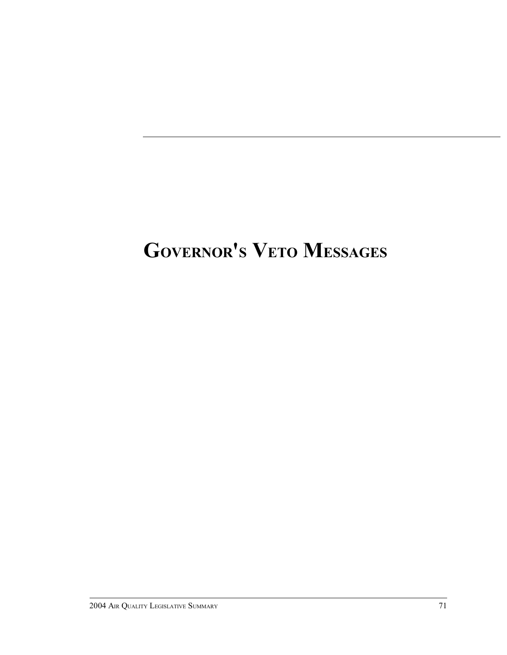# **GOVERNOR'S VETO MESSAGES**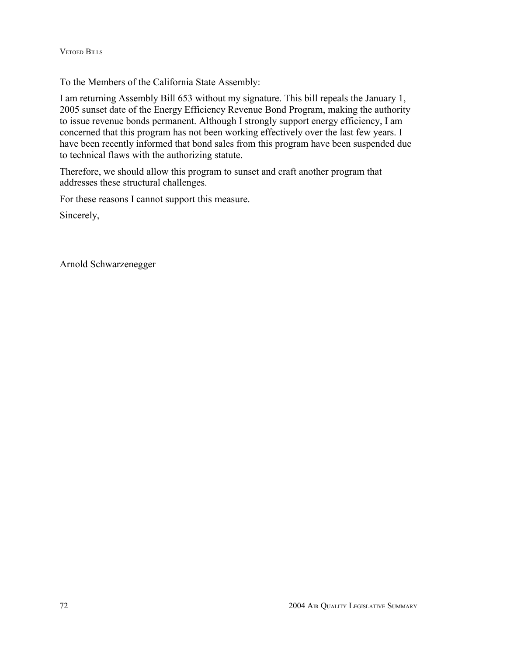I am returning Assembly Bill 653 without my signature. This bill repeals the January 1, 2005 sunset date of the Energy Efficiency Revenue Bond Program, making the authority to issue revenue bonds permanent. Although I strongly support energy efficiency, I am concerned that this program has not been working effectively over the last few years. I have been recently informed that bond sales from this program have been suspended due to technical flaws with the authorizing statute.

Therefore, we should allow this program to sunset and craft another program that addresses these structural challenges.

For these reasons I cannot support this measure.

Sincerely,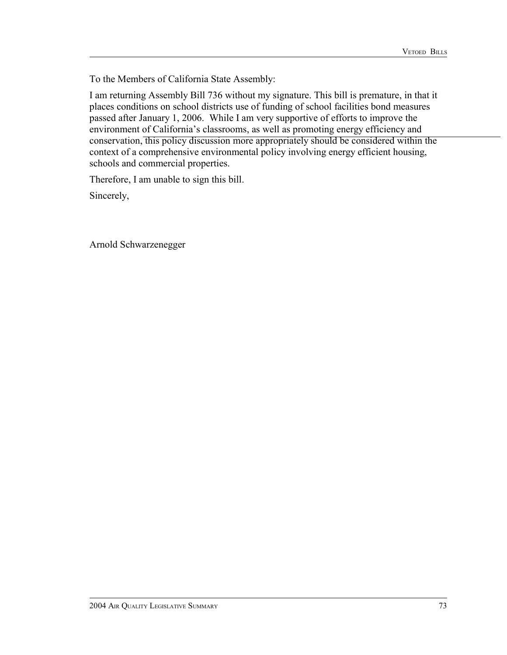I am returning Assembly Bill 736 without my signature. This bill is premature, in that it places conditions on school districts use of funding of school facilities bond measures passed after January 1, 2006. While I am very supportive of efforts to improve the environment of California's classrooms, as well as promoting energy efficiency and conservation, this policy discussion more appropriately should be considered within the context of a comprehensive environmental policy involving energy efficient housing, schools and commercial properties.

Therefore, I am unable to sign this bill.

Sincerely,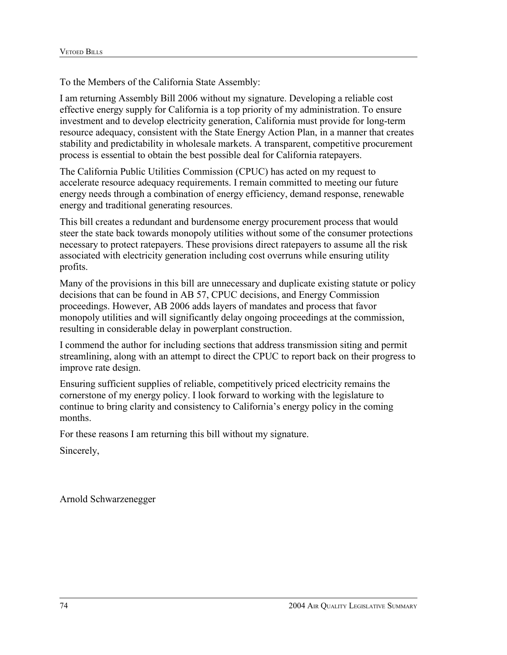I am returning Assembly Bill 2006 without my signature. Developing a reliable cost effective energy supply for California is a top priority of my administration. To ensure investment and to develop electricity generation, California must provide for long-term resource adequacy, consistent with the State Energy Action Plan, in a manner that creates stability and predictability in wholesale markets. A transparent, competitive procurement process is essential to obtain the best possible deal for California ratepayers.

The California Public Utilities Commission (CPUC) has acted on my request to accelerate resource adequacy requirements. I remain committed to meeting our future energy needs through a combination of energy efficiency, demand response, renewable energy and traditional generating resources.

This bill creates a redundant and burdensome energy procurement process that would steer the state back towards monopoly utilities without some of the consumer protections necessary to protect ratepayers. These provisions direct ratepayers to assume all the risk associated with electricity generation including cost overruns while ensuring utility profits.

Many of the provisions in this bill are unnecessary and duplicate existing statute or policy decisions that can be found in AB 57, CPUC decisions, and Energy Commission proceedings. However, AB 2006 adds layers of mandates and process that favor monopoly utilities and will significantly delay ongoing proceedings at the commission, resulting in considerable delay in powerplant construction.

I commend the author for including sections that address transmission siting and permit streamlining, along with an attempt to direct the CPUC to report back on their progress to improve rate design.

Ensuring sufficient supplies of reliable, competitively priced electricity remains the cornerstone of my energy policy. I look forward to working with the legislature to continue to bring clarity and consistency to California's energy policy in the coming months.

For these reasons I am returning this bill without my signature.

Sincerely,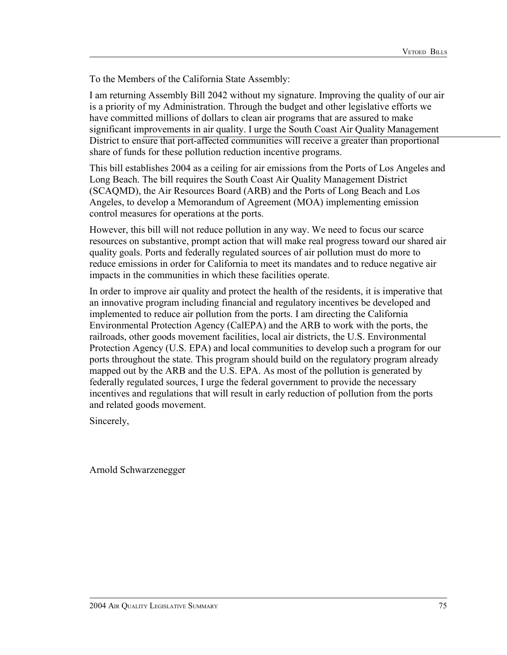I am returning Assembly Bill 2042 without my signature. Improving the quality of our air is a priority of my Administration. Through the budget and other legislative efforts we have committed millions of dollars to clean air programs that are assured to make significant improvements in air quality. I urge the South Coast Air Quality Management District to ensure that port-affected communities will receive a greater than proportional share of funds for these pollution reduction incentive programs.

This bill establishes 2004 as a ceiling for air emissions from the Ports of Los Angeles and Long Beach. The bill requires the South Coast Air Quality Management District (SCAQMD), the Air Resources Board (ARB) and the Ports of Long Beach and Los Angeles, to develop a Memorandum of Agreement (MOA) implementing emission control measures for operations at the ports.

However, this bill will not reduce pollution in any way. We need to focus our scarce resources on substantive, prompt action that will make real progress toward our shared air quality goals. Ports and federally regulated sources of air pollution must do more to reduce emissions in order for California to meet its mandates and to reduce negative air impacts in the communities in which these facilities operate.

In order to improve air quality and protect the health of the residents, it is imperative that an innovative program including financial and regulatory incentives be developed and implemented to reduce air pollution from the ports. I am directing the California Environmental Protection Agency (CalEPA) and the ARB to work with the ports, the railroads, other goods movement facilities, local air districts, the U.S. Environmental Protection Agency (U.S. EPA) and local communities to develop such a program for our ports throughout the state. This program should build on the regulatory program already mapped out by the ARB and the U.S. EPA. As most of the pollution is generated by federally regulated sources, I urge the federal government to provide the necessary incentives and regulations that will result in early reduction of pollution from the ports and related goods movement.

Sincerely,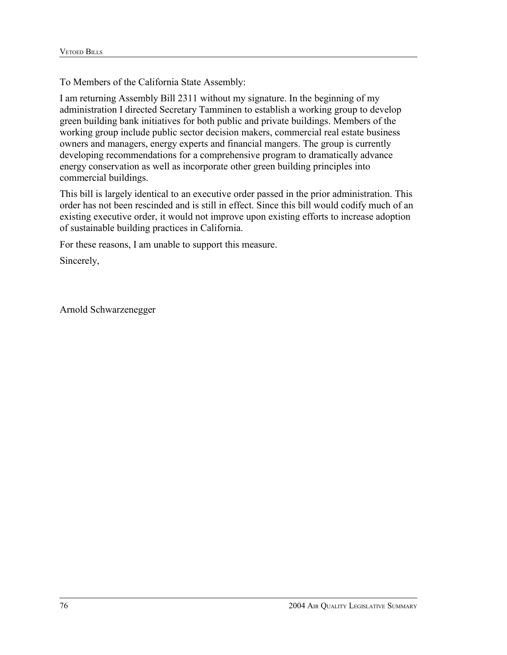I am returning Assembly Bill 2311 without my signature. In the beginning of my administration I directed Secretary Tamminen to establish a working group to develop green building bank initiatives for both public and private buildings. Members of the working group include public sector decision makers, commercial real estate business owners and managers, energy experts and financial mangers. The group is currently developing recommendations for a comprehensive program to dramatically advance energy conservation as well as incorporate other green building principles into commercial buildings.

This bill is largely identical to an executive order passed in the prior administration. This order has not been rescinded and is still in effect. Since this bill would codify much of an existing executive order, it would not improve upon existing efforts to increase adoption of sustainable building practices in California.

For these reasons, I am unable to support this measure.

Sincerely,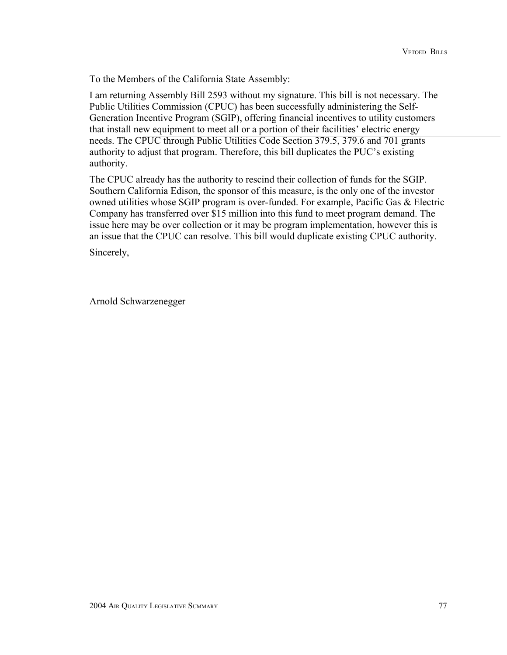I am returning Assembly Bill 2593 without my signature. This bill is not necessary. The Public Utilities Commission (CPUC) has been successfully administering the Self-Generation Incentive Program (SGIP), offering financial incentives to utility customers that install new equipment to meet all or a portion of their facilities' electric energy needs. The CPUC through Public Utilities Code Section 379.5, 379.6 and 701 grants authority to adjust that program. Therefore, this bill duplicates the PUC's existing authority.

The CPUC already has the authority to rescind their collection of funds for the SGIP. Southern California Edison, the sponsor of this measure, is the only one of the investor owned utilities whose SGIP program is over-funded. For example, Pacific Gas & Electric Company has transferred over \$15 million into this fund to meet program demand. The issue here may be over collection or it may be program implementation, however this is an issue that the CPUC can resolve. This bill would duplicate existing CPUC authority.

Sincerely,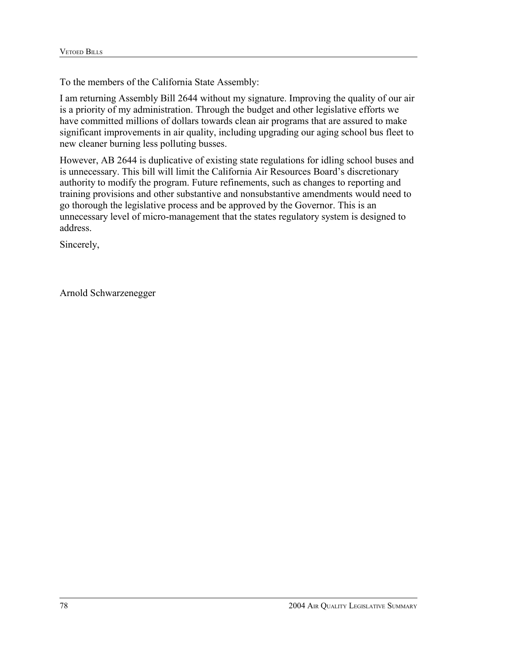I am returning Assembly Bill 2644 without my signature. Improving the quality of our air is a priority of my administration. Through the budget and other legislative efforts we have committed millions of dollars towards clean air programs that are assured to make significant improvements in air quality, including upgrading our aging school bus fleet to new cleaner burning less polluting busses.

However, AB 2644 is duplicative of existing state regulations for idling school buses and is unnecessary. This bill will limit the California Air Resources Board's discretionary authority to modify the program. Future refinements, such as changes to reporting and training provisions and other substantive and nonsubstantive amendments would need to go thorough the legislative process and be approved by the Governor. This is an unnecessary level of micro-management that the states regulatory system is designed to address.

Sincerely,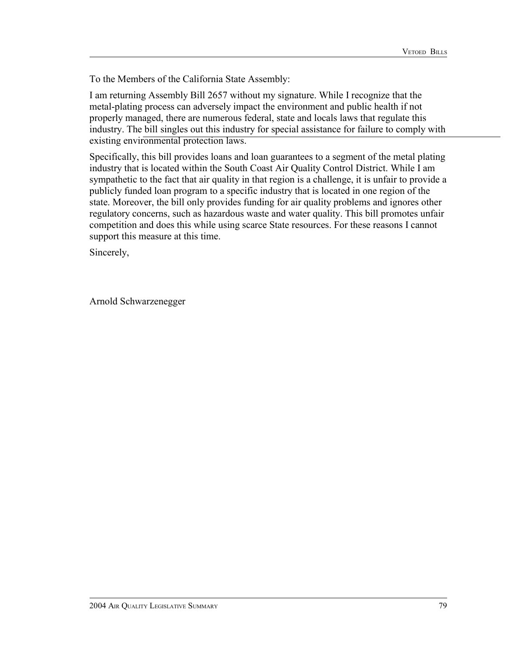I am returning Assembly Bill 2657 without my signature. While I recognize that the metal-plating process can adversely impact the environment and public health if not properly managed, there are numerous federal, state and locals laws that regulate this industry. The bill singles out this industry for special assistance for failure to comply with existing environmental protection laws.

Specifically, this bill provides loans and loan guarantees to a segment of the metal plating industry that is located within the South Coast Air Quality Control District. While I am sympathetic to the fact that air quality in that region is a challenge, it is unfair to provide a publicly funded loan program to a specific industry that is located in one region of the state. Moreover, the bill only provides funding for air quality problems and ignores other regulatory concerns, such as hazardous waste and water quality. This bill promotes unfair competition and does this while using scarce State resources. For these reasons I cannot support this measure at this time.

Sincerely,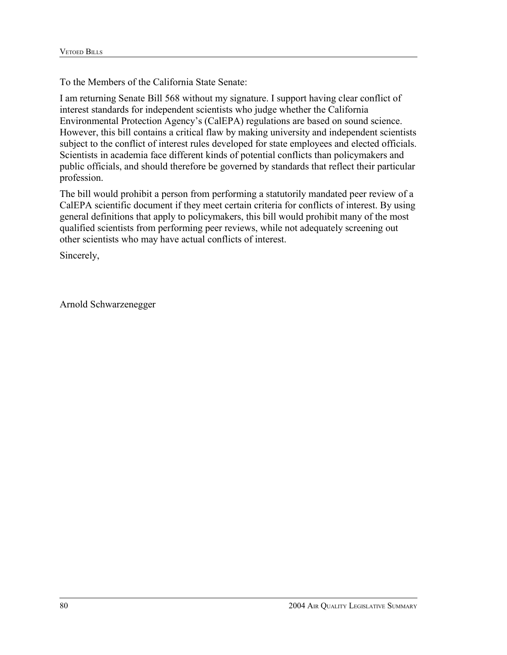To the Members of the California State Senate:

I am returning Senate Bill 568 without my signature. I support having clear conflict of interest standards for independent scientists who judge whether the California Environmental Protection Agency's (CalEPA) regulations are based on sound science. However, this bill contains a critical flaw by making university and independent scientists subject to the conflict of interest rules developed for state employees and elected officials. Scientists in academia face different kinds of potential conflicts than policymakers and public officials, and should therefore be governed by standards that reflect their particular profession.

The bill would prohibit a person from performing a statutorily mandated peer review of a CalEPA scientific document if they meet certain criteria for conflicts of interest. By using general definitions that apply to policymakers, this bill would prohibit many of the most qualified scientists from performing peer reviews, while not adequately screening out other scientists who may have actual conflicts of interest.

Sincerely,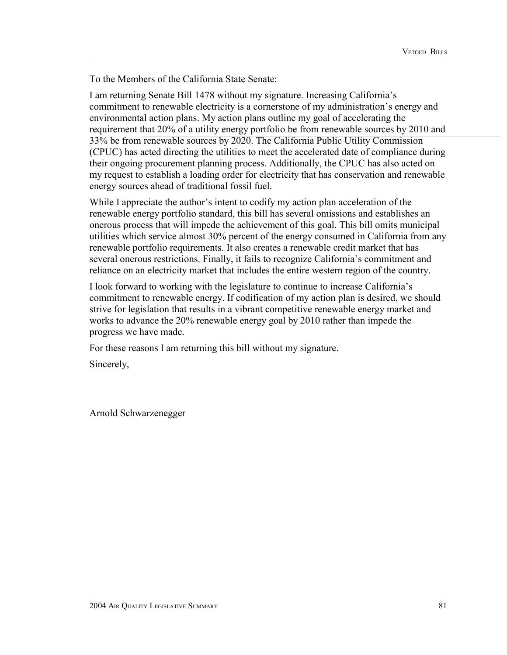To the Members of the California State Senate:

I am returning Senate Bill 1478 without my signature. Increasing California's commitment to renewable electricity is a cornerstone of my administration's energy and environmental action plans. My action plans outline my goal of accelerating the requirement that 20% of a utility energy portfolio be from renewable sources by 2010 and 33% be from renewable sources by 2020. The California Public Utility Commission (CPUC) has acted directing the utilities to meet the accelerated date of compliance during their ongoing procurement planning process. Additionally, the CPUC has also acted on my request to establish a loading order for electricity that has conservation and renewable energy sources ahead of traditional fossil fuel.

While I appreciate the author's intent to codify my action plan acceleration of the renewable energy portfolio standard, this bill has several omissions and establishes an onerous process that will impede the achievement of this goal. This bill omits municipal utilities which service almost 30% percent of the energy consumed in California from any renewable portfolio requirements. It also creates a renewable credit market that has several onerous restrictions. Finally, it fails to recognize California's commitment and reliance on an electricity market that includes the entire western region of the country.

I look forward to working with the legislature to continue to increase California's commitment to renewable energy. If codification of my action plan is desired, we should strive for legislation that results in a vibrant competitive renewable energy market and works to advance the 20% renewable energy goal by 2010 rather than impede the progress we have made.

For these reasons I am returning this bill without my signature.

Sincerely,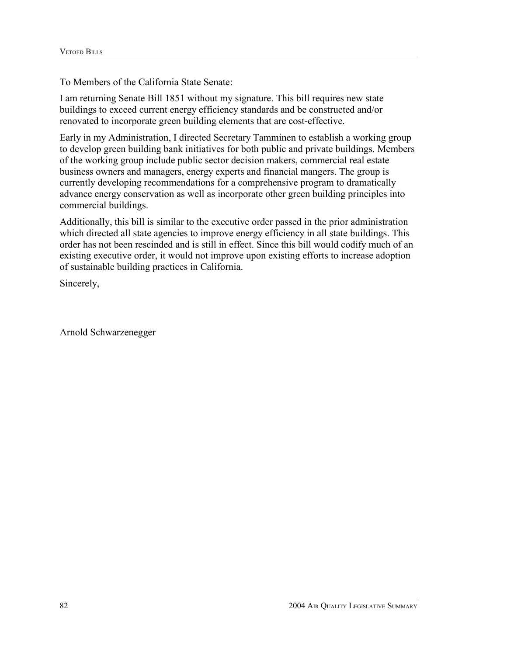To Members of the California State Senate:

I am returning Senate Bill 1851 without my signature. This bill requires new state buildings to exceed current energy efficiency standards and be constructed and/or renovated to incorporate green building elements that are cost-effective.

Early in my Administration, I directed Secretary Tamminen to establish a working group to develop green building bank initiatives for both public and private buildings. Members of the working group include public sector decision makers, commercial real estate business owners and managers, energy experts and financial mangers. The group is currently developing recommendations for a comprehensive program to dramatically advance energy conservation as well as incorporate other green building principles into commercial buildings.

Additionally, this bill is similar to the executive order passed in the prior administration which directed all state agencies to improve energy efficiency in all state buildings. This order has not been rescinded and is still in effect. Since this bill would codify much of an existing executive order, it would not improve upon existing efforts to increase adoption of sustainable building practices in California.

Sincerely,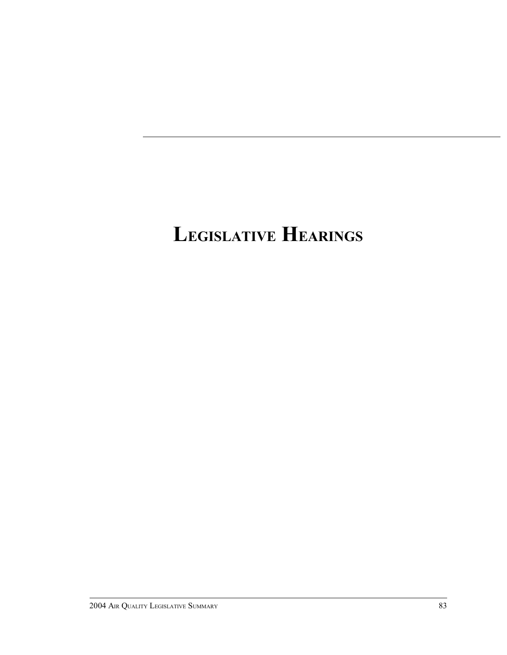# **LEGISLATIVE HEARINGS**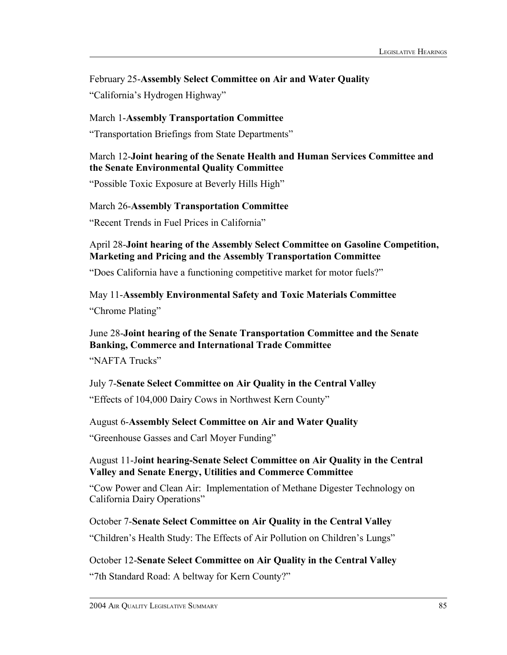February 25-**Assembly Select Committee on Air and Water Quality** "California's Hydrogen Highway"

March 1-**Assembly Transportation Committee** "Transportation Briefings from State Departments"

## March 12-**Joint hearing of the Senate Health and Human Services Committee and the Senate Environmental Quality Committee**

"Possible Toxic Exposure at Beverly Hills High"

#### March 26-**Assembly Transportation Committee**

"Recent Trends in Fuel Prices in California"

April 28-**Joint hearing of the Assembly Select Committee on Gasoline Competition, Marketing and Pricing and the Assembly Transportation Committee**

"Does California have a functioning competitive market for motor fuels?"

#### May 11-**Assembly Environmental Safety and Toxic Materials Committee**

"Chrome Plating"

## June 28-**Joint hearing of the Senate Transportation Committee and the Senate Banking, Commerce and International Trade Committee**

"NAFTA Trucks"

## July 7-**Senate Select Committee on Air Quality in the Central Valley**

"Effects of 104,000 Dairy Cows in Northwest Kern County"

#### August 6-**Assembly Select Committee on Air and Water Quality**

"Greenhouse Gasses and Carl Moyer Funding"

## August 11-J**oint hearing-Senate Select Committee on Air Quality in the Central Valley and Senate Energy, Utilities and Commerce Committee**

"Cow Power and Clean Air: Implementation of Methane Digester Technology on California Dairy Operations"

## October 7-**Senate Select Committee on Air Quality in the Central Valley**

"Children's Health Study: The Effects of Air Pollution on Children's Lungs"

## October 12-**Senate Select Committee on Air Quality in the Central Valley**

"7th Standard Road: A beltway for Kern County?"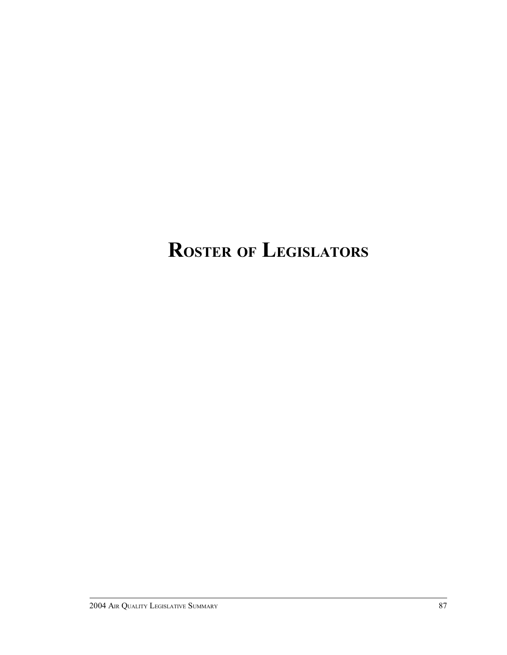# **ROSTER OF LEGISLATORS**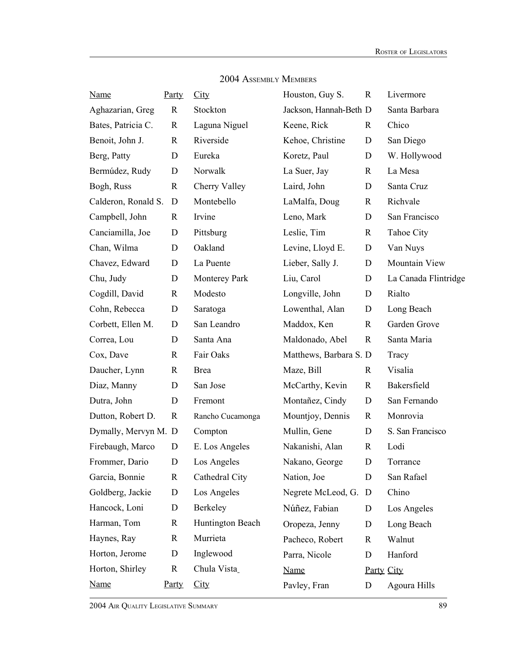| <b>Name</b>          | Party       | City                 | Houston, Guy S.        | $\mathbf R$ | Livermore            |
|----------------------|-------------|----------------------|------------------------|-------------|----------------------|
| Aghazarian, Greg     | $\mathbf R$ | Stockton             | Jackson, Hannah-Beth D |             | Santa Barbara        |
| Bates, Patricia C.   | $\mathbf R$ | Laguna Niguel        | Keene, Rick            | R           | Chico                |
| Benoit, John J.      | $\mathbf R$ | Riverside            | Kehoe, Christine       | $\mathbf D$ | San Diego            |
| Berg, Patty          | D           | Eureka               | Koretz, Paul           | D           | W. Hollywood         |
| Bermúdez, Rudy       | D           | Norwalk              | La Suer, Jay           | $\mathbf R$ | La Mesa              |
| Bogh, Russ           | $\mathbf R$ | Cherry Valley        | Laird, John            | D           | Santa Cruz           |
| Calderon, Ronald S.  | D           | Montebello           | LaMalfa, Doug          | $\mathbf R$ | Richvale             |
| Campbell, John       | R           | Irvine               | Leno, Mark             | D           | San Francisco        |
| Canciamilla, Joe     | D           | Pittsburg            | Leslie, Tim            | $\mathbf R$ | Tahoe City           |
| Chan, Wilma          | D           | Oakland              | Levine, Lloyd E.       | $\mathbf D$ | Van Nuys             |
| Chavez, Edward       | D           | La Puente            | Lieber, Sally J.       | D           | Mountain View        |
| Chu, Judy            | D           | <b>Monterey Park</b> | Liu, Carol             | D           | La Canada Flintridge |
| Cogdill, David       | $\mathbf R$ | Modesto              | Longville, John        | D           | Rialto               |
| Cohn, Rebecca        | D           | Saratoga             | Lowenthal, Alan        | $\mathbf D$ | Long Beach           |
| Corbett, Ellen M.    | D           | San Leandro          | Maddox, Ken            | $\mathbf R$ | Garden Grove         |
| Correa, Lou          | D           | Santa Ana            | Maldonado, Abel        | $\mathbf R$ | Santa Maria          |
| Cox, Dave            | $\mathbf R$ | Fair Oaks            | Matthews, Barbara S. D |             | Tracy                |
| Daucher, Lynn        | $\mathbf R$ | <b>Brea</b>          | Maze, Bill             | $\mathbf R$ | Visalia              |
| Diaz, Manny          | D           | San Jose             | McCarthy, Kevin        | $\mathbf R$ | Bakersfield          |
| Dutra, John          | D           | Fremont              | Montañez, Cindy        | D           | San Fernando         |
| Dutton, Robert D.    | R           | Rancho Cucamonga     | Mountjoy, Dennis       | $\mathbf R$ | Monrovia             |
| Dymally, Mervyn M. D |             | Compton              | Mullin, Gene           | D           | S. San Francisco     |
| Firebaugh, Marco     | D           | E. Los Angeles       | Nakanishi, Alan        | $\mathbf R$ | Lodi                 |
| Frommer, Dario       | $\mathbf D$ | Los Angeles          | Nakano, George         | $\mathbf D$ | Torrance             |
| Garcia, Bonnie       | $\mathbf R$ | Cathedral City       | Nation, Joe            | D           | San Rafael           |
| Goldberg, Jackie     | $\mathbf D$ | Los Angeles          | Negrete McLeod, G.     | D           | Chino                |
| Hancock, Loni        | D           | Berkeley             | Núñez, Fabian          | D           | Los Angeles          |
| Harman, Tom          | $\mathbf R$ | Huntington Beach     | Oropeza, Jenny         | $\mathbf D$ | Long Beach           |
| Haynes, Ray          | $\mathbf R$ | Murrieta             | Pacheco, Robert        | $\mathbf R$ | Walnut               |
| Horton, Jerome       | D           | Inglewood            | Parra, Nicole          | $\mathbf D$ | Hanford              |
| Horton, Shirley      | $\mathbf R$ | Chula Vista_         | <b>Name</b>            | Party City  |                      |
| <b>Name</b>          | Party       | City                 | Pavley, Fran           | D           | Agoura Hills         |

2004 ASSEMBLY MEMBERS

2004 AIR QUALITY LEGISLATIVE SUMMARY 89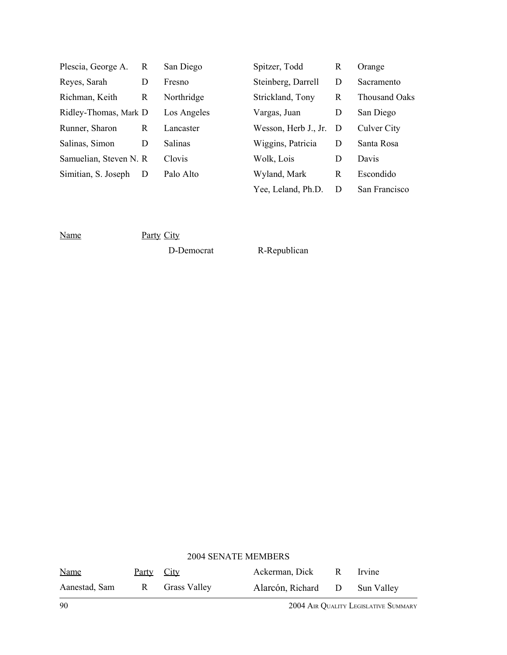| Plescia, George A.      | R | San Diego      | Spitzer, Todd        | R   | Orange        |
|-------------------------|---|----------------|----------------------|-----|---------------|
| Reyes, Sarah            | D | Fresno         | Steinberg, Darrell   | D   | Sacramento    |
| Richman, Keith          | R | Northridge     | Strickland, Tony     | R   | Thousand Oaks |
| Ridley-Thomas, Mark D   |   | Los Angeles    | Vargas, Juan         | D   | San Diego     |
| Runner, Sharon          | R | Lancaster      | Wesson, Herb J., Jr. | - D | Culver City   |
| Salinas, Simon          | D | <b>Salinas</b> | Wiggins, Patricia    | D   | Santa Rosa    |
| Samuelian, Steven N. R. |   | Clovis         | Wolk, Lois           | D   | Davis         |
| Simitian, S. Joseph     | D | Palo Alto      | Wyland, Mark         | R   | Escondido     |
|                         |   |                | Yee, Leland, Ph.D.   | D   | San Francisco |

Name Party City

D-Democrat R-Republican

| <b>2004 SENATE MEMBERS</b> |                   |                |                               |  |        |
|----------------------------|-------------------|----------------|-------------------------------|--|--------|
| <u>Name</u>                | <u>Party</u> City |                | Ackerman, Dick R              |  | Irvine |
| Aanestad, Sam              |                   | R Grass Valley | Alarcón, Richard D Sun Valley |  |        |